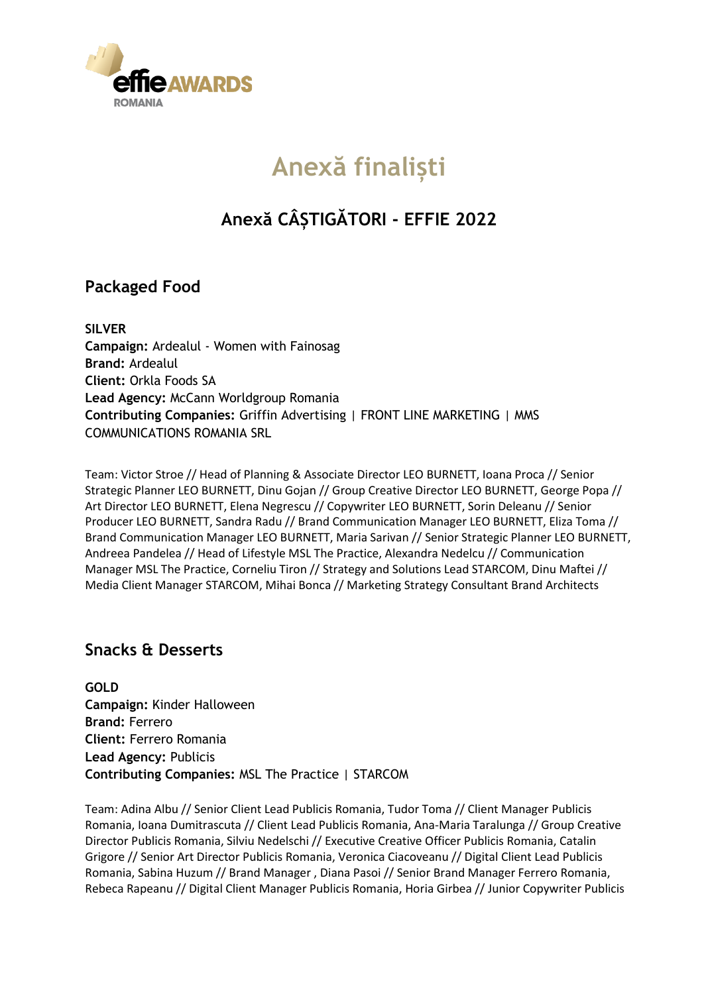

# **Anexă finaliști**

## **Anexă CÂȘTIGĂTORI - EFFIE 2022**

### **Packaged Food**

**SILVER Campaign:** Ardealul - Women with Fainosag **Brand:** Ardealul **Client:** Orkla Foods SA **Lead Agency:** McCann Worldgroup Romania **Contributing Companies:** Griffin Advertising | FRONT LINE MARKETING | MMS COMMUNICATIONS ROMANIA SRL

Team: Victor Stroe // Head of Planning & Associate Director LEO BURNETT, Ioana Proca // Senior Strategic Planner LEO BURNETT, Dinu Gojan // Group Creative Director LEO BURNETT, George Popa // Art Director LEO BURNETT, Elena Negrescu // Copywriter LEO BURNETT, Sorin Deleanu // Senior Producer LEO BURNETT, Sandra Radu // Brand Communication Manager LEO BURNETT, Eliza Toma // Brand Communication Manager LEO BURNETT, Maria Sarivan // Senior Strategic Planner LEO BURNETT, Andreea Pandelea // Head of Lifestyle MSL The Practice, Alexandra Nedelcu // Communication Manager MSL The Practice, Corneliu Tiron // Strategy and Solutions Lead STARCOM, Dinu Maftei // Media Client Manager STARCOM, Mihai Bonca // Marketing Strategy Consultant Brand Architects

### **Snacks & Desserts**

**GOLD Campaign:** Kinder Halloween **Brand:** Ferrero **Client:** Ferrero Romania **Lead Agency:** Publicis **Contributing Companies:** MSL The Practice | STARCOM

Team: Adina Albu // Senior Client Lead Publicis Romania, Tudor Toma // Client Manager Publicis Romania, Ioana Dumitrascuta // Client Lead Publicis Romania, Ana-Maria Taralunga // Group Creative Director Publicis Romania, Silviu Nedelschi // Executive Creative Officer Publicis Romania, Catalin Grigore // Senior Art Director Publicis Romania, Veronica Ciacoveanu // Digital Client Lead Publicis Romania, Sabina Huzum // Brand Manager , Diana Pasoi // Senior Brand Manager Ferrero Romania, Rebeca Rapeanu // Digital Client Manager Publicis Romania, Horia Girbea // Junior Copywriter Publicis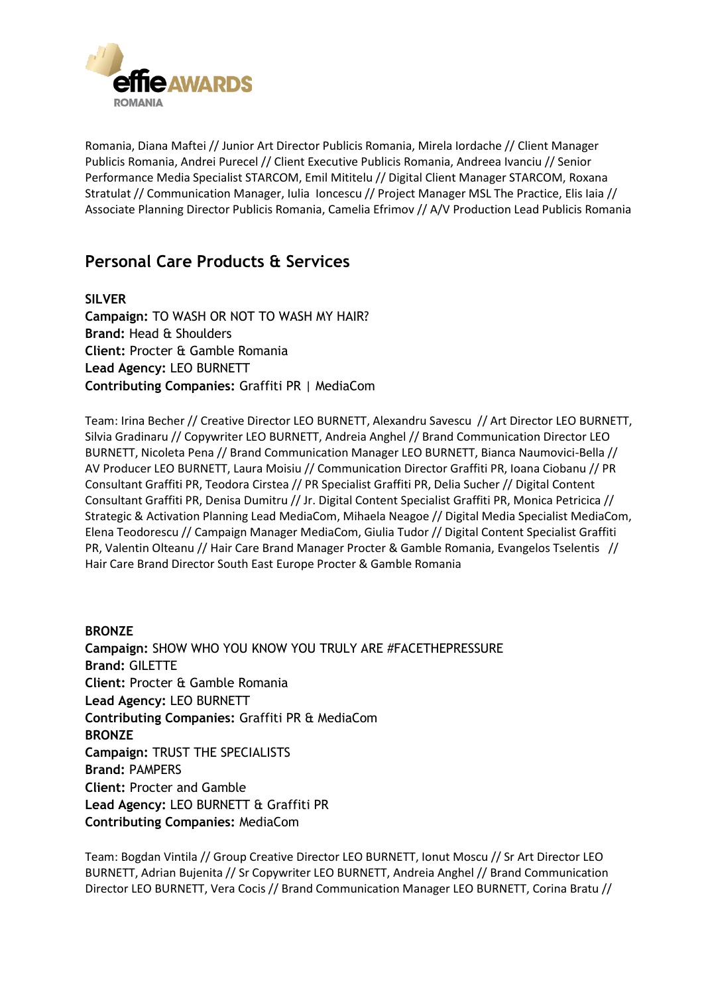

Romania, Diana Maftei // Junior Art Director Publicis Romania, Mirela Iordache // Client Manager Publicis Romania, Andrei Purecel // Client Executive Publicis Romania, Andreea Ivanciu // Senior Performance Media Specialist STARCOM, Emil Mititelu // Digital Client Manager STARCOM, Roxana Stratulat // Communication Manager, Iulia Ioncescu // Project Manager MSL The Practice, Elis Iaia // Associate Planning Director Publicis Romania, Camelia Efrimov // A/V Production Lead Publicis Romania

### **Personal Care Products & Services**

**SILVER Campaign:** TO WASH OR NOT TO WASH MY HAIR? **Brand:** Head & Shoulders **Client:** Procter & Gamble Romania **Lead Agency:** LEO BURNETT **Contributing Companies:** Graffiti PR | MediaCom

Team: Irina Becher // Creative Director LEO BURNETT, Alexandru Savescu // Art Director LEO BURNETT, Silvia Gradinaru // Copywriter LEO BURNETT, Andreia Anghel // Brand Communication Director LEO BURNETT, Nicoleta Pena // Brand Communication Manager LEO BURNETT, Bianca Naumovici-Bella // AV Producer LEO BURNETT, Laura Moisiu // Communication Director Graffiti PR, Ioana Ciobanu // PR Consultant Graffiti PR, Teodora Cirstea // PR Specialist Graffiti PR, Delia Sucher // Digital Content Consultant Graffiti PR, Denisa Dumitru // Jr. Digital Content Specialist Graffiti PR, Monica Petricica // Strategic & Activation Planning Lead MediaCom, Mihaela Neagoe // Digital Media Specialist MediaCom, Elena Teodorescu // Campaign Manager MediaCom, Giulia Tudor // Digital Content Specialist Graffiti PR, Valentin Olteanu // Hair Care Brand Manager Procter & Gamble Romania, Evangelos Tselentis // Hair Care Brand Director South East Europe Procter & Gamble Romania

**BRONZE Campaign:** SHOW WHO YOU KNOW YOU TRULY ARE #FACETHEPRESSURE **Brand:** GILETTE **Client:** Procter & Gamble Romania **Lead Agency:** LEO BURNETT **Contributing Companies:** Graffiti PR & MediaCom **BRONZE Campaign:** TRUST THE SPECIALISTS **Brand:** PAMPERS **Client:** Procter and Gamble **Lead Agency:** LEO BURNETT & Graffiti PR **Contributing Companies:** MediaCom

Team: Bogdan Vintila // Group Creative Director LEO BURNETT, Ionut Moscu // Sr Art Director LEO BURNETT, Adrian Bujenita // Sr Copywriter LEO BURNETT, Andreia Anghel // Brand Communication Director LEO BURNETT, Vera Cocis // Brand Communication Manager LEO BURNETT, Corina Bratu //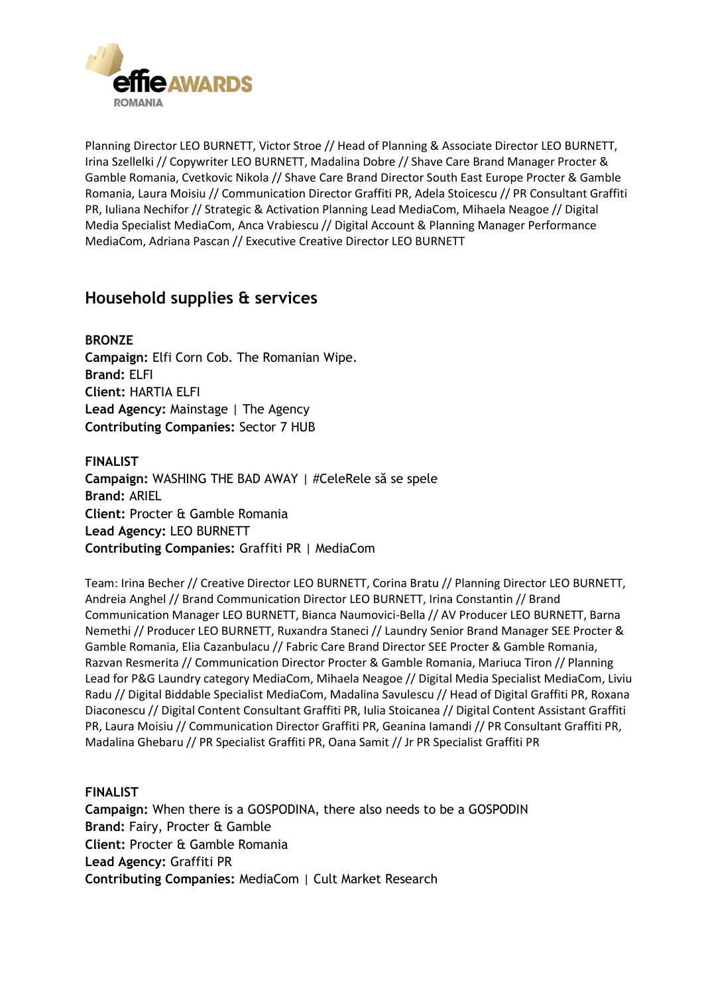

Planning Director LEO BURNETT, Victor Stroe // Head of Planning & Associate Director LEO BURNETT, Irina Szellelki // Copywriter LEO BURNETT, Madalina Dobre // Shave Care Brand Manager Procter & Gamble Romania, Cvetkovic Nikola // Shave Care Brand Director South East Europe Procter & Gamble Romania, Laura Moisiu // Communication Director Graffiti PR, Adela Stoicescu // PR Consultant Graffiti PR, Iuliana Nechifor // Strategic & Activation Planning Lead MediaCom, Mihaela Neagoe // Digital Media Specialist MediaCom, Anca Vrabiescu // Digital Account & Planning Manager Performance MediaCom, Adriana Pascan // Executive Creative Director LEO BURNETT

### **Household supplies & services**

**BRONZE Campaign:** Elfi Corn Cob. The Romanian Wipe. **Brand:** ELFI **Client:** HARTIA ELFI **Lead Agency:** Mainstage | The Agency **Contributing Companies:** Sector 7 HUB

**FINALIST Campaign:** WASHING THE BAD AWAY | #CeleRele să se spele **Brand:** ARIEL **Client:** Procter & Gamble Romania **Lead Agency:** LEO BURNETT **Contributing Companies:** Graffiti PR | MediaCom

Team: Irina Becher // Creative Director LEO BURNETT, Corina Bratu // Planning Director LEO BURNETT, Andreia Anghel // Brand Communication Director LEO BURNETT, Irina Constantin // Brand Communication Manager LEO BURNETT, Bianca Naumovici-Bella // AV Producer LEO BURNETT, Barna Nemethi // Producer LEO BURNETT, Ruxandra Staneci // Laundry Senior Brand Manager SEE Procter & Gamble Romania, Elia Cazanbulacu // Fabric Care Brand Director SEE Procter & Gamble Romania, Razvan Resmerita // Communication Director Procter & Gamble Romania, Mariuca Tiron // Planning Lead for P&G Laundry category MediaCom, Mihaela Neagoe // Digital Media Specialist MediaCom, Liviu Radu // Digital Biddable Specialist MediaCom, Madalina Savulescu // Head of Digital Graffiti PR, Roxana Diaconescu // Digital Content Consultant Graffiti PR, Iulia Stoicanea // Digital Content Assistant Graffiti PR, Laura Moisiu // Communication Director Graffiti PR, Geanina Iamandi // PR Consultant Graffiti PR, Madalina Ghebaru // PR Specialist Graffiti PR, Oana Samit // Jr PR Specialist Graffiti PR

#### **FINALIST**

**Campaign:** When there is a GOSPODINA, there also needs to be a GOSPODIN **Brand:** Fairy, Procter & Gamble **Client:** Procter & Gamble Romania **Lead Agency:** Graffiti PR **Contributing Companies:** MediaCom | Cult Market Research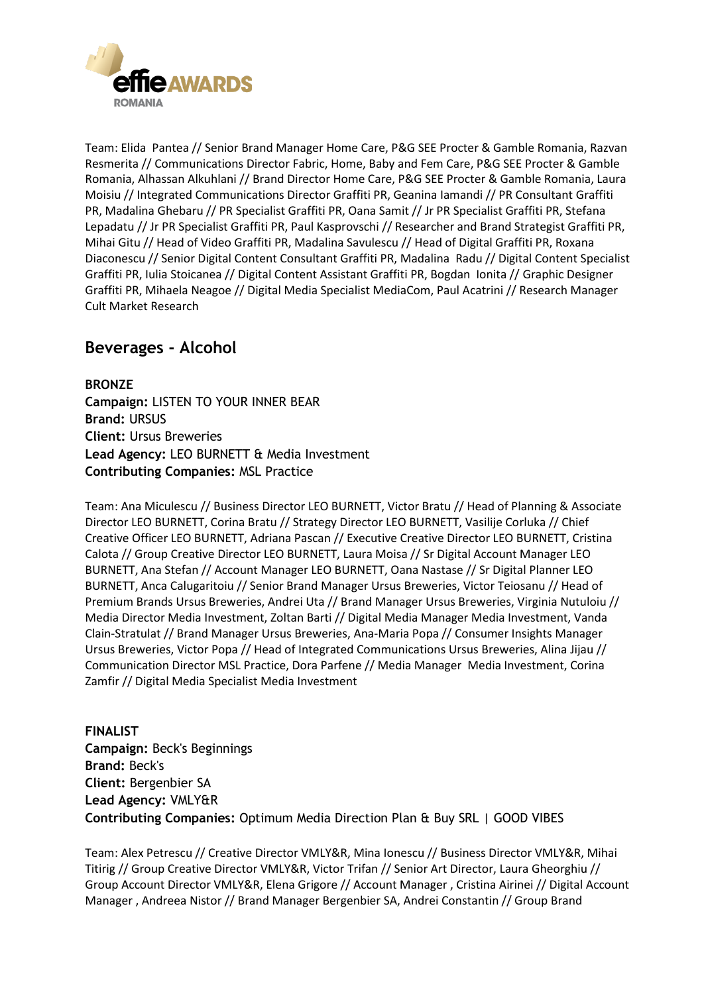

Team: Elida Pantea // Senior Brand Manager Home Care, P&G SEE Procter & Gamble Romania, Razvan Resmerita // Communications Director Fabric, Home, Baby and Fem Care, P&G SEE Procter & Gamble Romania, Alhassan Alkuhlani // Brand Director Home Care, P&G SEE Procter & Gamble Romania, Laura Moisiu // Integrated Communications Director Graffiti PR, Geanina Iamandi // PR Consultant Graffiti PR, Madalina Ghebaru // PR Specialist Graffiti PR, Oana Samit // Jr PR Specialist Graffiti PR, Stefana Lepadatu // Jr PR Specialist Graffiti PR, Paul Kasprovschi // Researcher and Brand Strategist Graffiti PR, Mihai Gitu // Head of Video Graffiti PR, Madalina Savulescu // Head of Digital Graffiti PR, Roxana Diaconescu // Senior Digital Content Consultant Graffiti PR, Madalina Radu // Digital Content Specialist Graffiti PR, Iulia Stoicanea // Digital Content Assistant Graffiti PR, Bogdan Ionita // Graphic Designer Graffiti PR, Mihaela Neagoe // Digital Media Specialist MediaCom, Paul Acatrini // Research Manager Cult Market Research

### **Beverages - Alcohol**

**BRONZE**

**Campaign:** LISTEN TO YOUR INNER BEAR **Brand:** URSUS **Client:** Ursus Breweries **Lead Agency:** LEO BURNETT & Media Investment **Contributing Companies:** MSL Practice

Team: Ana Miculescu // Business Director LEO BURNETT, Victor Bratu // Head of Planning & Associate Director LEO BURNETT, Corina Bratu // Strategy Director LEO BURNETT, Vasilije Corluka // Chief Creative Officer LEO BURNETT, Adriana Pascan // Executive Creative Director LEO BURNETT, Cristina Calota // Group Creative Director LEO BURNETT, Laura Moisa // Sr Digital Account Manager LEO BURNETT, Ana Stefan // Account Manager LEO BURNETT, Oana Nastase // Sr Digital Planner LEO BURNETT, Anca Calugaritoiu // Senior Brand Manager Ursus Breweries, Victor Teiosanu // Head of Premium Brands Ursus Breweries, Andrei Uta // Brand Manager Ursus Breweries, Virginia Nutuloiu // Media Director Media Investment, Zoltan Barti // Digital Media Manager Media Investment, Vanda Clain-Stratulat // Brand Manager Ursus Breweries, Ana-Maria Popa // Consumer Insights Manager Ursus Breweries, Victor Popa // Head of Integrated Communications Ursus Breweries, Alina Jijau // Communication Director MSL Practice, Dora Parfene // Media Manager Media Investment, Corina Zamfir // Digital Media Specialist Media Investment

**FINALIST Campaign:** Beck's Beginnings **Brand:** Beck's **Client:** Bergenbier SA **Lead Agency:** VMLY&R **Contributing Companies:** Optimum Media Direction Plan & Buy SRL | GOOD VIBES

Team: Alex Petrescu // Creative Director VMLY&R, Mina Ionescu // Business Director VMLY&R, Mihai Titirig // Group Creative Director VMLY&R, Victor Trifan // Senior Art Director, Laura Gheorghiu // Group Account Director VMLY&R, Elena Grigore // Account Manager , Cristina Airinei // Digital Account Manager , Andreea Nistor // Brand Manager Bergenbier SA, Andrei Constantin // Group Brand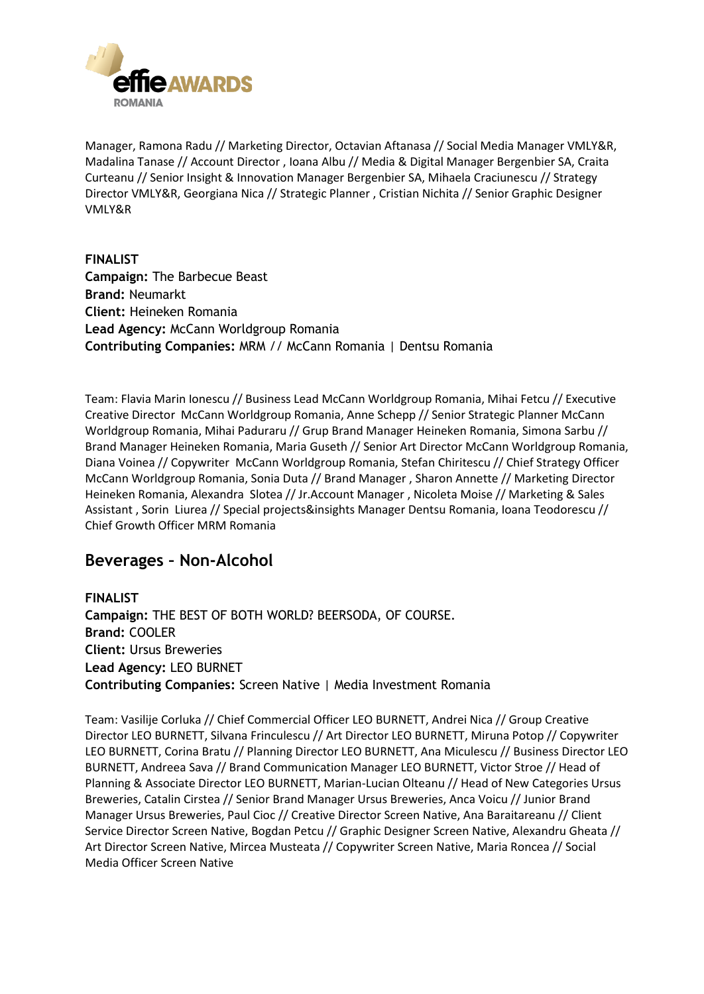

Manager, Ramona Radu // Marketing Director, Octavian Aftanasa // Social Media Manager VMLY&R, Madalina Tanase // Account Director , Ioana Albu // Media & Digital Manager Bergenbier SA, Craita Curteanu // Senior Insight & Innovation Manager Bergenbier SA, Mihaela Craciunescu // Strategy Director VMLY&R, Georgiana Nica // Strategic Planner , Cristian Nichita // Senior Graphic Designer VMLY&R

**FINALIST Campaign:** The Barbecue Beast **Brand:** Neumarkt **Client:** Heineken Romania **Lead Agency:** McCann Worldgroup Romania **Contributing Companies:** MRM // McCann Romania | Dentsu Romania

Team: Flavia Marin Ionescu // Business Lead McCann Worldgroup Romania, Mihai Fetcu // Executive Creative Director McCann Worldgroup Romania, Anne Schepp // Senior Strategic Planner McCann Worldgroup Romania, Mihai Paduraru // Grup Brand Manager Heineken Romania, Simona Sarbu // Brand Manager Heineken Romania, Maria Guseth // Senior Art Director McCann Worldgroup Romania, Diana Voinea // Copywriter McCann Worldgroup Romania, Stefan Chiritescu // Chief Strategy Officer McCann Worldgroup Romania, Sonia Duta // Brand Manager , Sharon Annette // Marketing Director Heineken Romania, Alexandra Slotea // Jr.Account Manager , Nicoleta Moise // Marketing & Sales Assistant , Sorin Liurea // Special projects&insights Manager Dentsu Romania, Ioana Teodorescu // Chief Growth Officer MRM Romania

#### **Beverages – Non-Alcohol**

**FINALIST Campaign:** THE BEST OF BOTH WORLD? BEERSODA, OF COURSE. **Brand:** COOLER **Client:** Ursus Breweries **Lead Agency:** LEO BURNET **Contributing Companies:** Screen Native | Media Investment Romania

Team: Vasilije Corluka // Chief Commercial Officer LEO BURNETT, Andrei Nica // Group Creative Director LEO BURNETT, Silvana Frinculescu // Art Director LEO BURNETT, Miruna Potop // Copywriter LEO BURNETT, Corina Bratu // Planning Director LEO BURNETT, Ana Miculescu // Business Director LEO BURNETT, Andreea Sava // Brand Communication Manager LEO BURNETT, Victor Stroe // Head of Planning & Associate Director LEO BURNETT, Marian-Lucian Olteanu // Head of New Categories Ursus Breweries, Catalin Cirstea // Senior Brand Manager Ursus Breweries, Anca Voicu // Junior Brand Manager Ursus Breweries, Paul Cioc // Creative Director Screen Native, Ana Baraitareanu // Client Service Director Screen Native, Bogdan Petcu // Graphic Designer Screen Native, Alexandru Gheata // Art Director Screen Native, Mircea Musteata // Copywriter Screen Native, Maria Roncea // Social Media Officer Screen Native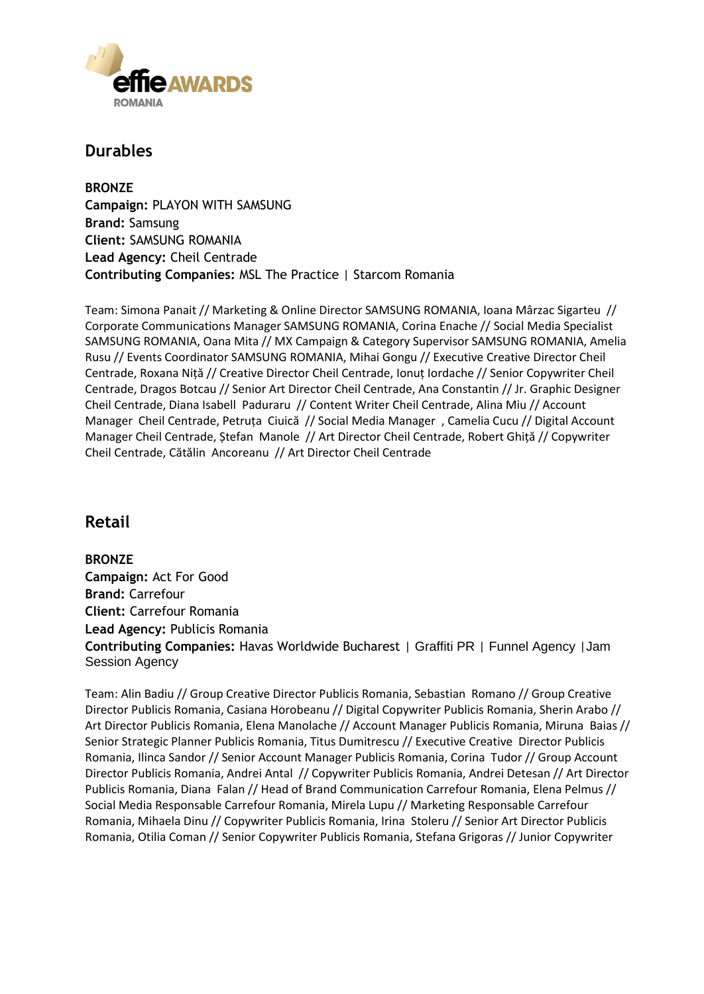

### **Durables**

**BRONZE Campaign:** PLAYON WITH SAMSUNG **Brand:** Samsung **Client:** SAMSUNG ROMANIA **Lead Agency:** Cheil Centrade **Contributing Companies:** MSL The Practice | Starcom Romania

Team: Simona Panait // Marketing & Online Director SAMSUNG ROMANIA, Ioana Mârzac Sigarteu // Corporate Communications Manager SAMSUNG ROMANIA, Corina Enache // Social Media Specialist SAMSUNG ROMANIA, Oana Mita // MX Campaign & Category Supervisor SAMSUNG ROMANIA, Amelia Rusu // Events Coordinator SAMSUNG ROMANIA, Mihai Gongu // Executive Creative Director Cheil Centrade, Roxana Niță // Creative Director Cheil Centrade, Ionuț Iordache // Senior Copywriter Cheil Centrade, Dragos Botcau // Senior Art Director Cheil Centrade, Ana Constantin // Jr. Graphic Designer Cheil Centrade, Diana Isabell Paduraru // Content Writer Cheil Centrade, Alina Miu // Account Manager Cheil Centrade, Petruța Ciuică // Social Media Manager , Camelia Cucu // Digital Account Manager Cheil Centrade, Ștefan Manole // Art Director Cheil Centrade, Robert Ghiță // Copywriter Cheil Centrade, Cătălin Ancoreanu // Art Director Cheil Centrade

### **Retail**

**BRONZE Campaign:** Act For Good **Brand:** Carrefour **Client:** Carrefour Romania **Lead Agency:** Publicis Romania **Contributing Companies:** Havas Worldwide Bucharest | Graffiti PR | Funnel Agency |Jam Session Agency

Team: Alin Badiu // Group Creative Director Publicis Romania, Sebastian Romano // Group Creative Director Publicis Romania, Casiana Horobeanu // Digital Copywriter Publicis Romania, Sherin Arabo // Art Director Publicis Romania, Elena Manolache // Account Manager Publicis Romania, Miruna Baias // Senior Strategic Planner Publicis Romania, Titus Dumitrescu // Executive Creative Director Publicis Romania, Ilinca Sandor // Senior Account Manager Publicis Romania, Corina Tudor // Group Account Director Publicis Romania, Andrei Antal // Copywriter Publicis Romania, Andrei Detesan // Art Director Publicis Romania, Diana Falan // Head of Brand Communication Carrefour Romania, Elena Pelmus // Social Media Responsable Carrefour Romania, Mirela Lupu // Marketing Responsable Carrefour Romania, Mihaela Dinu // Copywriter Publicis Romania, Irina Stoleru // Senior Art Director Publicis Romania, Otilia Coman // Senior Copywriter Publicis Romania, Stefana Grigoras // Junior Copywriter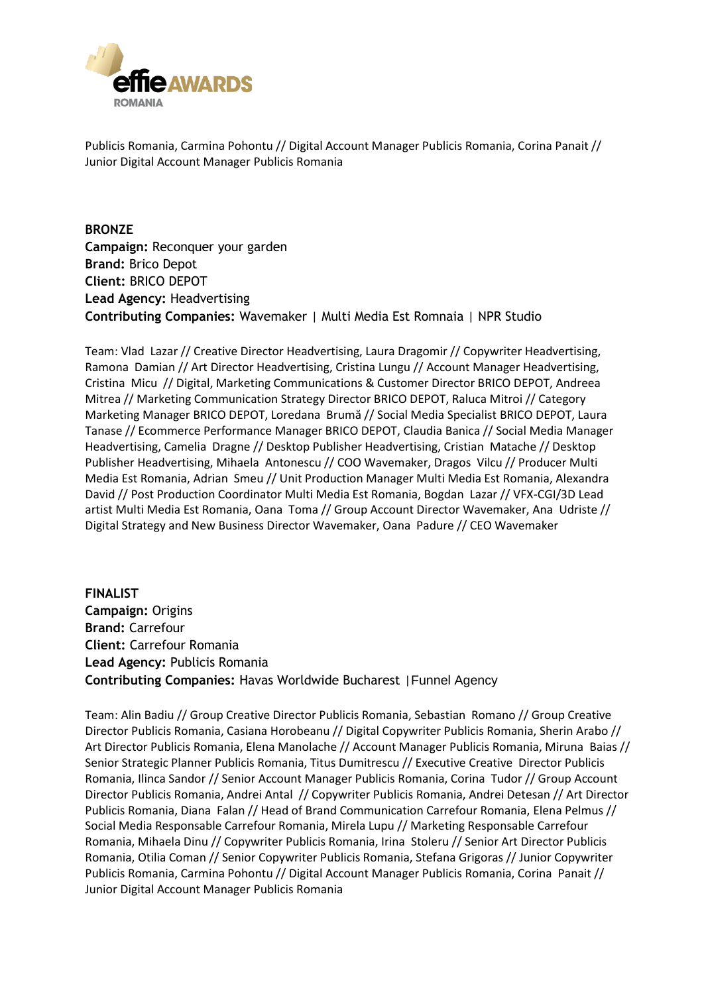

Publicis Romania, Carmina Pohontu // Digital Account Manager Publicis Romania, Corina Panait // Junior Digital Account Manager Publicis Romania

**BRONZE Campaign:** Reconquer your garden **Brand:** Brico Depot **Client:** BRICO DEPOT **Lead Agency:** Headvertising **Contributing Companies:** Wavemaker | Multi Media Est Romnaia | NPR Studio

Team: Vlad Lazar // Creative Director Headvertising, Laura Dragomir // Copywriter Headvertising, Ramona Damian // Art Director Headvertising, Cristina Lungu // Account Manager Headvertising, Cristina Micu // Digital, Marketing Communications & Customer Director BRICO DEPOT, Andreea Mitrea // Marketing Communication Strategy Director BRICO DEPOT, Raluca Mitroi // Category Marketing Manager BRICO DEPOT, Loredana Brumă // Social Media Specialist BRICO DEPOT, Laura Tanase // Ecommerce Performance Manager BRICO DEPOT, Claudia Banica // Social Media Manager Headvertising, Camelia Dragne // Desktop Publisher Headvertising, Cristian Matache // Desktop Publisher Headvertising, Mihaela Antonescu // COO Wavemaker, Dragos Vilcu // Producer Multi Media Est Romania, Adrian Smeu // Unit Production Manager Multi Media Est Romania, Alexandra David // Post Production Coordinator Multi Media Est Romania, Bogdan Lazar // VFX-CGI/3D Lead artist Multi Media Est Romania, Oana Toma // Group Account Director Wavemaker, Ana Udriste // Digital Strategy and New Business Director Wavemaker, Oana Padure // CEO Wavemaker

**FINALIST Campaign:** Origins **Brand:** Carrefour **Client:** Carrefour Romania **Lead Agency:** Publicis Romania **Contributing Companies:** Havas Worldwide Bucharest |Funnel Agency

Team: Alin Badiu // Group Creative Director Publicis Romania, Sebastian Romano // Group Creative Director Publicis Romania, Casiana Horobeanu // Digital Copywriter Publicis Romania, Sherin Arabo // Art Director Publicis Romania, Elena Manolache // Account Manager Publicis Romania, Miruna Baias // Senior Strategic Planner Publicis Romania, Titus Dumitrescu // Executive Creative Director Publicis Romania, Ilinca Sandor // Senior Account Manager Publicis Romania, Corina Tudor // Group Account Director Publicis Romania, Andrei Antal // Copywriter Publicis Romania, Andrei Detesan // Art Director Publicis Romania, Diana Falan // Head of Brand Communication Carrefour Romania, Elena Pelmus // Social Media Responsable Carrefour Romania, Mirela Lupu // Marketing Responsable Carrefour Romania, Mihaela Dinu // Copywriter Publicis Romania, Irina Stoleru // Senior Art Director Publicis Romania, Otilia Coman // Senior Copywriter Publicis Romania, Stefana Grigoras // Junior Copywriter Publicis Romania, Carmina Pohontu // Digital Account Manager Publicis Romania, Corina Panait // Junior Digital Account Manager Publicis Romania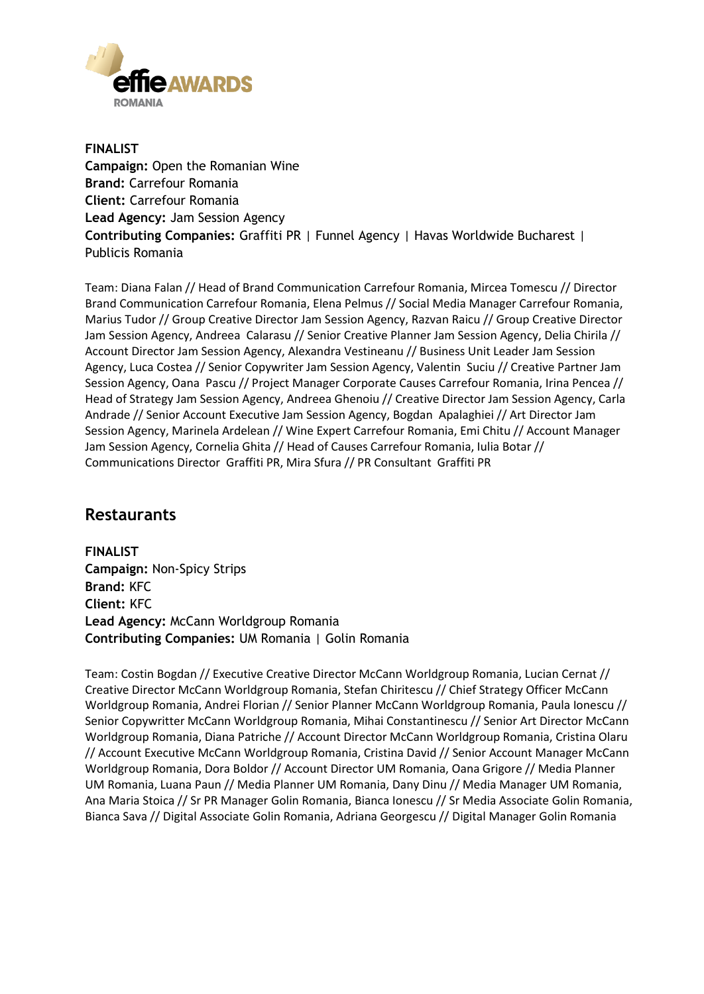

**FINALIST Campaign:** Open the Romanian Wine **Brand:** Carrefour Romania **Client:** Carrefour Romania **Lead Agency:** Jam Session Agency **Contributing Companies:** Graffiti PR | Funnel Agency | Havas Worldwide Bucharest | Publicis Romania

Team: Diana Falan // Head of Brand Communication Carrefour Romania, Mircea Tomescu // Director Brand Communication Carrefour Romania, Elena Pelmus // Social Media Manager Carrefour Romania, Marius Tudor // Group Creative Director Jam Session Agency, Razvan Raicu // Group Creative Director Jam Session Agency, Andreea Calarasu // Senior Creative Planner Jam Session Agency, Delia Chirila // Account Director Jam Session Agency, Alexandra Vestineanu // Business Unit Leader Jam Session Agency, Luca Costea // Senior Copywriter Jam Session Agency, Valentin Suciu // Creative Partner Jam Session Agency, Oana Pascu // Project Manager Corporate Causes Carrefour Romania, Irina Pencea // Head of Strategy Jam Session Agency, Andreea Ghenoiu // Creative Director Jam Session Agency, Carla Andrade // Senior Account Executive Jam Session Agency, Bogdan Apalaghiei // Art Director Jam Session Agency, Marinela Ardelean // Wine Expert Carrefour Romania, Emi Chitu // Account Manager Jam Session Agency, Cornelia Ghita // Head of Causes Carrefour Romania, Iulia Botar // Communications Director Graffiti PR, Mira Sfura // PR Consultant Graffiti PR

#### **Restaurants**

**FINALIST Campaign:** Non-Spicy Strips **Brand:** KFC **Client:** KFC **Lead Agency:** McCann Worldgroup Romania **Contributing Companies:** UM Romania | Golin Romania

Team: Costin Bogdan // Executive Creative Director McCann Worldgroup Romania, Lucian Cernat // Creative Director McCann Worldgroup Romania, Stefan Chiritescu // Chief Strategy Officer McCann Worldgroup Romania, Andrei Florian // Senior Planner McCann Worldgroup Romania, Paula Ionescu // Senior Copywritter McCann Worldgroup Romania, Mihai Constantinescu // Senior Art Director McCann Worldgroup Romania, Diana Patriche // Account Director McCann Worldgroup Romania, Cristina Olaru // Account Executive McCann Worldgroup Romania, Cristina David // Senior Account Manager McCann Worldgroup Romania, Dora Boldor // Account Director UM Romania, Oana Grigore // Media Planner UM Romania, Luana Paun // Media Planner UM Romania, Dany Dinu // Media Manager UM Romania, Ana Maria Stoica // Sr PR Manager Golin Romania, Bianca Ionescu // Sr Media Associate Golin Romania, Bianca Sava // Digital Associate Golin Romania, Adriana Georgescu // Digital Manager Golin Romania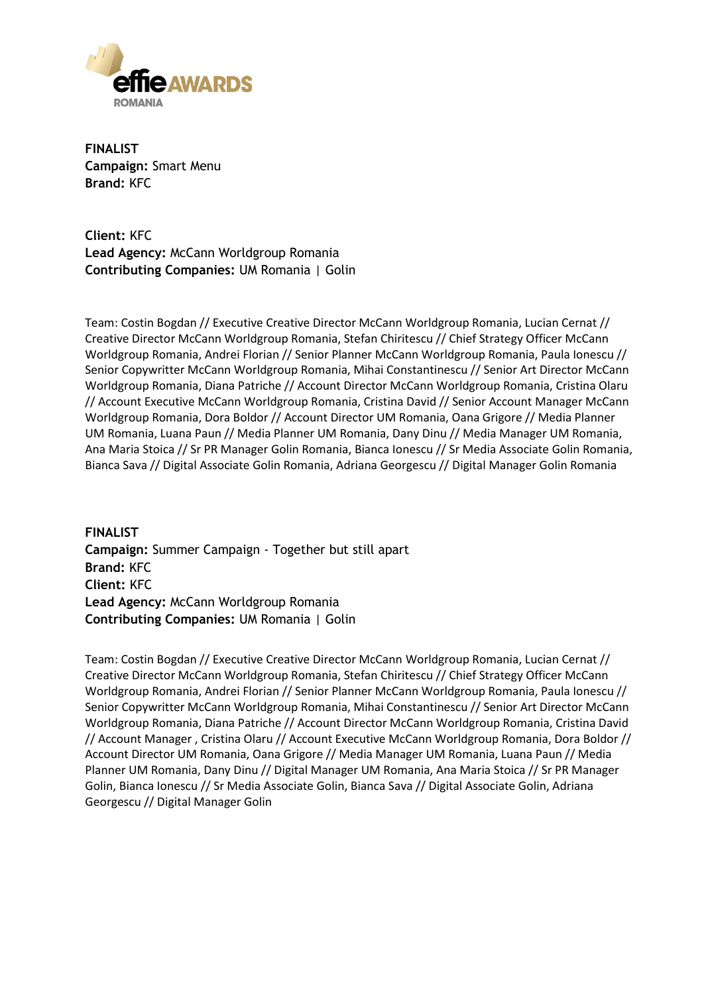

**FINALIST Campaign:** Smart Menu **Brand:** KFC

**Client:** KFC **Lead Agency:** McCann Worldgroup Romania **Contributing Companies:** UM Romania | Golin

Team: Costin Bogdan // Executive Creative Director McCann Worldgroup Romania, Lucian Cernat // Creative Director McCann Worldgroup Romania, Stefan Chiritescu // Chief Strategy Officer McCann Worldgroup Romania, Andrei Florian // Senior Planner McCann Worldgroup Romania, Paula Ionescu // Senior Copywritter McCann Worldgroup Romania, Mihai Constantinescu // Senior Art Director McCann Worldgroup Romania, Diana Patriche // Account Director McCann Worldgroup Romania, Cristina Olaru // Account Executive McCann Worldgroup Romania, Cristina David // Senior Account Manager McCann Worldgroup Romania, Dora Boldor // Account Director UM Romania, Oana Grigore // Media Planner UM Romania, Luana Paun // Media Planner UM Romania, Dany Dinu // Media Manager UM Romania, Ana Maria Stoica // Sr PR Manager Golin Romania, Bianca Ionescu // Sr Media Associate Golin Romania, Bianca Sava // Digital Associate Golin Romania, Adriana Georgescu // Digital Manager Golin Romania

**FINALIST Campaign:** Summer Campaign - Together but still apart **Brand:** KFC **Client:** KFC **Lead Agency:** McCann Worldgroup Romania **Contributing Companies:** UM Romania | Golin

Team: Costin Bogdan // Executive Creative Director McCann Worldgroup Romania, Lucian Cernat // Creative Director McCann Worldgroup Romania, Stefan Chiritescu // Chief Strategy Officer McCann Worldgroup Romania, Andrei Florian // Senior Planner McCann Worldgroup Romania, Paula Ionescu // Senior Copywritter McCann Worldgroup Romania, Mihai Constantinescu // Senior Art Director McCann Worldgroup Romania, Diana Patriche // Account Director McCann Worldgroup Romania, Cristina David // Account Manager , Cristina Olaru // Account Executive McCann Worldgroup Romania, Dora Boldor // Account Director UM Romania, Oana Grigore // Media Manager UM Romania, Luana Paun // Media Planner UM Romania, Dany Dinu // Digital Manager UM Romania, Ana Maria Stoica // Sr PR Manager Golin, Bianca Ionescu // Sr Media Associate Golin, Bianca Sava // Digital Associate Golin, Adriana Georgescu // Digital Manager Golin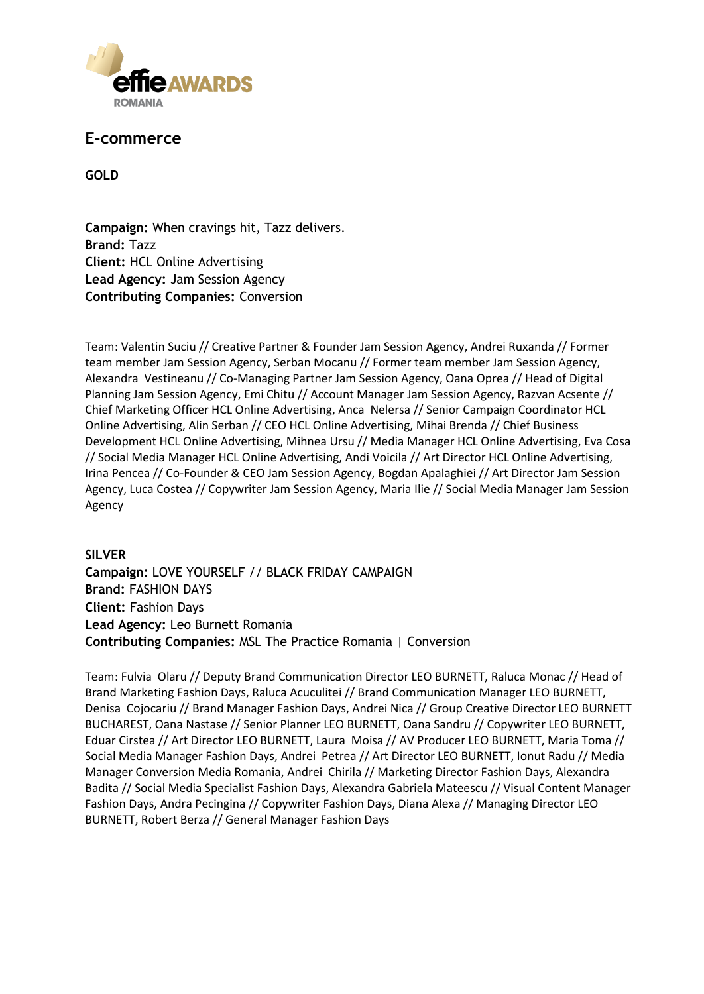

#### **E-commerce**

**GOLD**

**Campaign:** When cravings hit, Tazz delivers. **Brand:** Tazz **Client:** HCL Online Advertising **Lead Agency:** Jam Session Agency **Contributing Companies:** Conversion

Team: Valentin Suciu // Creative Partner & Founder Jam Session Agency, Andrei Ruxanda // Former team member Jam Session Agency, Serban Mocanu // Former team member Jam Session Agency, Alexandra Vestineanu // Co-Managing Partner Jam Session Agency, Oana Oprea // Head of Digital Planning Jam Session Agency, Emi Chitu // Account Manager Jam Session Agency, Razvan Acsente // Chief Marketing Officer HCL Online Advertising, Anca Nelersa // Senior Campaign Coordinator HCL Online Advertising, Alin Serban // CEO HCL Online Advertising, Mihai Brenda // Chief Business Development HCL Online Advertising, Mihnea Ursu // Media Manager HCL Online Advertising, Eva Cosa // Social Media Manager HCL Online Advertising, Andi Voicila // Art Director HCL Online Advertising, Irina Pencea // Co-Founder & CEO Jam Session Agency, Bogdan Apalaghiei // Art Director Jam Session Agency, Luca Costea // Copywriter Jam Session Agency, Maria Ilie // Social Media Manager Jam Session Agency

#### **SILVER**

**Campaign:** LOVE YOURSELF // BLACK FRIDAY CAMPAIGN **Brand:** FASHION DAYS **Client:** Fashion Days **Lead Agency:** Leo Burnett Romania **Contributing Companies:** MSL The Practice Romania | Conversion

Team: Fulvia Olaru // Deputy Brand Communication Director LEO BURNETT, Raluca Monac // Head of Brand Marketing Fashion Days, Raluca Acuculitei // Brand Communication Manager LEO BURNETT, Denisa Cojocariu // Brand Manager Fashion Days, Andrei Nica // Group Creative Director LEO BURNETT BUCHAREST, Oana Nastase // Senior Planner LEO BURNETT, Oana Sandru // Copywriter LEO BURNETT, Eduar Cirstea // Art Director LEO BURNETT, Laura Moisa // AV Producer LEO BURNETT, Maria Toma // Social Media Manager Fashion Days, Andrei Petrea // Art Director LEO BURNETT, Ionut Radu // Media Manager Conversion Media Romania, Andrei Chirila // Marketing Director Fashion Days, Alexandra Badita // Social Media Specialist Fashion Days, Alexandra Gabriela Mateescu // Visual Content Manager Fashion Days, Andra Pecingina // Copywriter Fashion Days, Diana Alexa // Managing Director LEO BURNETT, Robert Berza // General Manager Fashion Days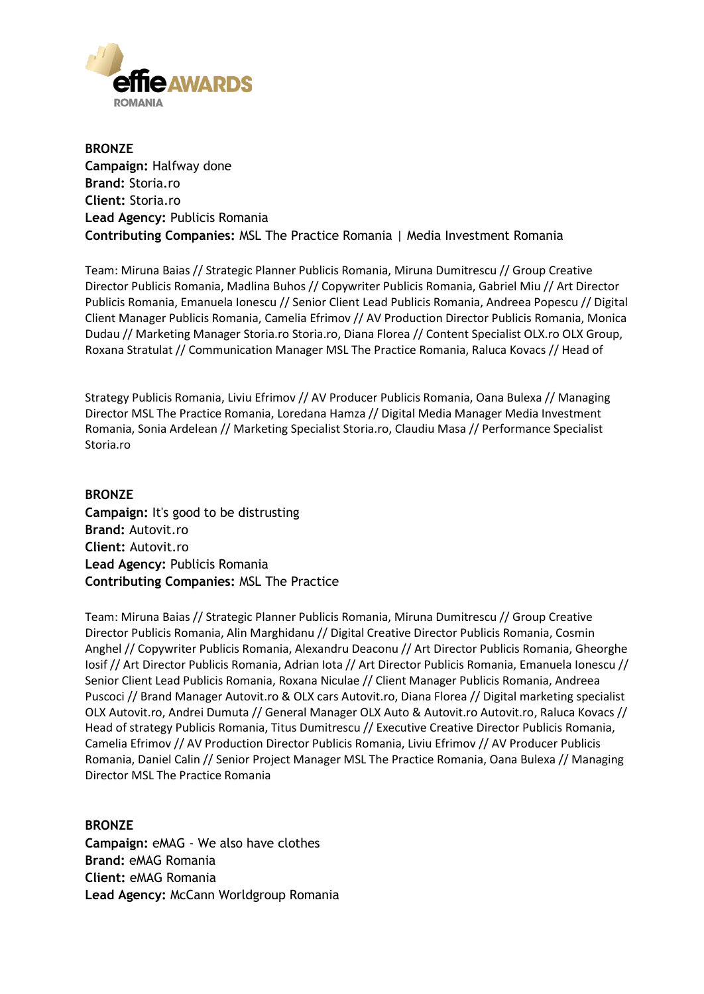

**BRONZE Campaign:** Halfway done **Brand:** Storia.ro **Client:** Storia.ro **Lead Agency:** Publicis Romania **Contributing Companies:** MSL The Practice Romania | Media Investment Romania

Team: Miruna Baias // Strategic Planner Publicis Romania, Miruna Dumitrescu // Group Creative Director Publicis Romania, Madlina Buhos // Copywriter Publicis Romania, Gabriel Miu // Art Director Publicis Romania, Emanuela Ionescu // Senior Client Lead Publicis Romania, Andreea Popescu // Digital Client Manager Publicis Romania, Camelia Efrimov // AV Production Director Publicis Romania, Monica Dudau // Marketing Manager Storia.ro Storia.ro, Diana Florea // Content Specialist OLX.ro OLX Group, Roxana Stratulat // Communication Manager MSL The Practice Romania, Raluca Kovacs // Head of

Strategy Publicis Romania, Liviu Efrimov // AV Producer Publicis Romania, Oana Bulexa // Managing Director MSL The Practice Romania, Loredana Hamza // Digital Media Manager Media Investment Romania, Sonia Ardelean // Marketing Specialist Storia.ro, Claudiu Masa // Performance Specialist Storia.ro

#### **BRONZE**

**Campaign:** It's good to be distrusting **Brand:** Autovit.ro **Client:** Autovit.ro **Lead Agency:** Publicis Romania **Contributing Companies:** MSL The Practice

Team: Miruna Baias // Strategic Planner Publicis Romania, Miruna Dumitrescu // Group Creative Director Publicis Romania, Alin Marghidanu // Digital Creative Director Publicis Romania, Cosmin Anghel // Copywriter Publicis Romania, Alexandru Deaconu // Art Director Publicis Romania, Gheorghe Iosif // Art Director Publicis Romania, Adrian Iota // Art Director Publicis Romania, Emanuela Ionescu // Senior Client Lead Publicis Romania, Roxana Niculae // Client Manager Publicis Romania, Andreea Puscoci // Brand Manager Autovit.ro & OLX cars Autovit.ro, Diana Florea // Digital marketing specialist OLX Autovit.ro, Andrei Dumuta // General Manager OLX Auto & Autovit.ro Autovit.ro, Raluca Kovacs // Head of strategy Publicis Romania, Titus Dumitrescu // Executive Creative Director Publicis Romania, Camelia Efrimov // AV Production Director Publicis Romania, Liviu Efrimov // AV Producer Publicis Romania, Daniel Calin // Senior Project Manager MSL The Practice Romania, Oana Bulexa // Managing Director MSL The Practice Romania

#### **BRONZE**

**Campaign:** eMAG - We also have clothes **Brand:** eMAG Romania **Client:** eMAG Romania **Lead Agency:** McCann Worldgroup Romania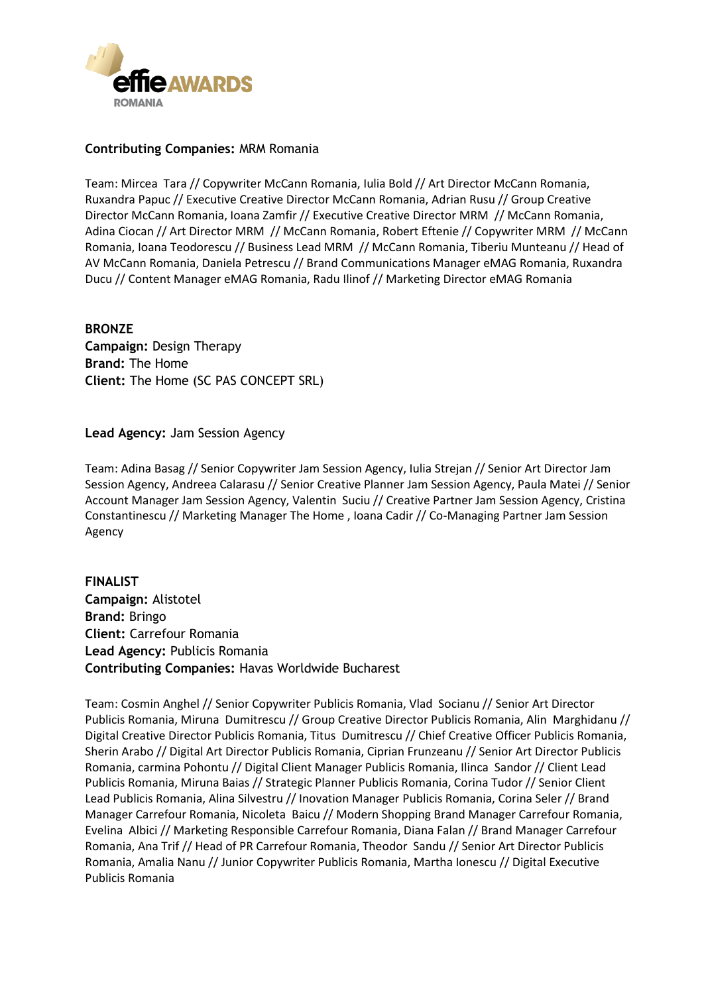

#### **Contributing Companies:** MRM Romania

Team: Mircea Tara // Copywriter McCann Romania, Iulia Bold // Art Director McCann Romania, Ruxandra Papuc // Executive Creative Director McCann Romania, Adrian Rusu // Group Creative Director McCann Romania, Ioana Zamfir // Executive Creative Director MRM // McCann Romania, Adina Ciocan // Art Director MRM // McCann Romania, Robert Eftenie // Copywriter MRM // McCann Romania, Ioana Teodorescu // Business Lead MRM // McCann Romania, Tiberiu Munteanu // Head of AV McCann Romania, Daniela Petrescu // Brand Communications Manager eMAG Romania, Ruxandra Ducu // Content Manager eMAG Romania, Radu Ilinof // Marketing Director eMAG Romania

#### **BRONZE Campaign:** Design Therapy **Brand:** The Home **Client:** The Home (SC PAS CONCEPT SRL)

#### **Lead Agency:** Jam Session Agency

Team: Adina Basag // Senior Copywriter Jam Session Agency, Iulia Strejan // Senior Art Director Jam Session Agency, Andreea Calarasu // Senior Creative Planner Jam Session Agency, Paula Matei // Senior Account Manager Jam Session Agency, Valentin Suciu // Creative Partner Jam Session Agency, Cristina Constantinescu // Marketing Manager The Home , Ioana Cadir // Co-Managing Partner Jam Session Agency

#### **FINALIST Campaign:** Alistotel **Brand:** Bringo **Client:** Carrefour Romania **Lead Agency:** Publicis Romania **Contributing Companies:** Havas Worldwide Bucharest

Team: Cosmin Anghel // Senior Copywriter Publicis Romania, Vlad Socianu // Senior Art Director Publicis Romania, Miruna Dumitrescu // Group Creative Director Publicis Romania, Alin Marghidanu // Digital Creative Director Publicis Romania, Titus Dumitrescu // Chief Creative Officer Publicis Romania, Sherin Arabo // Digital Art Director Publicis Romania, Ciprian Frunzeanu // Senior Art Director Publicis Romania, carmina Pohontu // Digital Client Manager Publicis Romania, Ilinca Sandor // Client Lead Publicis Romania, Miruna Baias // Strategic Planner Publicis Romania, Corina Tudor // Senior Client Lead Publicis Romania, Alina Silvestru // Inovation Manager Publicis Romania, Corina Seler // Brand Manager Carrefour Romania, Nicoleta Baicu // Modern Shopping Brand Manager Carrefour Romania, Evelina Albici // Marketing Responsible Carrefour Romania, Diana Falan // Brand Manager Carrefour Romania, Ana Trif // Head of PR Carrefour Romania, Theodor Sandu // Senior Art Director Publicis Romania, Amalia Nanu // Junior Copywriter Publicis Romania, Martha Ionescu // Digital Executive Publicis Romania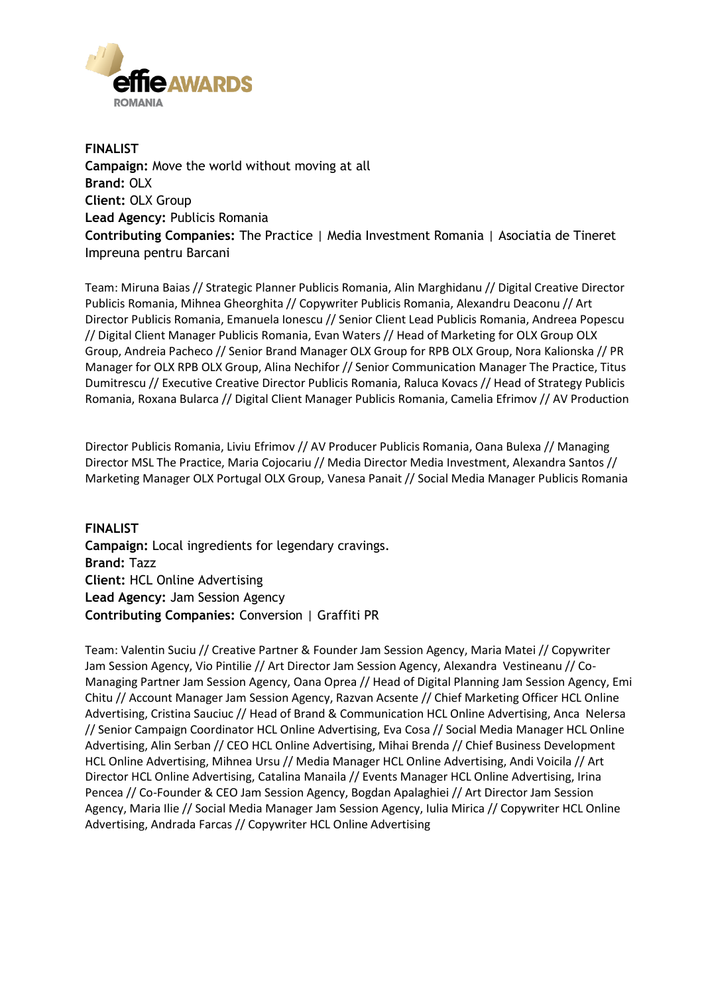

**FINALIST Campaign:** Move the world without moving at all **Brand:** OLX **Client:** OLX Group **Lead Agency:** Publicis Romania **Contributing Companies:** The Practice | Media Investment Romania | Asociatia de Tineret Impreuna pentru Barcani

Team: Miruna Baias // Strategic Planner Publicis Romania, Alin Marghidanu // Digital Creative Director Publicis Romania, Mihnea Gheorghita // Copywriter Publicis Romania, Alexandru Deaconu // Art Director Publicis Romania, Emanuela Ionescu // Senior Client Lead Publicis Romania, Andreea Popescu // Digital Client Manager Publicis Romania, Evan Waters // Head of Marketing for OLX Group OLX Group, Andreia Pacheco // Senior Brand Manager OLX Group for RPB OLX Group, Nora Kalionska // PR Manager for OLX RPB OLX Group, Alina Nechifor // Senior Communication Manager The Practice, Titus Dumitrescu // Executive Creative Director Publicis Romania, Raluca Kovacs // Head of Strategy Publicis Romania, Roxana Bularca // Digital Client Manager Publicis Romania, Camelia Efrimov // AV Production

Director Publicis Romania, Liviu Efrimov // AV Producer Publicis Romania, Oana Bulexa // Managing Director MSL The Practice, Maria Cojocariu // Media Director Media Investment, Alexandra Santos // Marketing Manager OLX Portugal OLX Group, Vanesa Panait // Social Media Manager Publicis Romania

**FINALIST Campaign:** Local ingredients for legendary cravings. **Brand:** Tazz **Client:** HCL Online Advertising **Lead Agency:** Jam Session Agency **Contributing Companies:** Conversion | Graffiti PR

Team: Valentin Suciu // Creative Partner & Founder Jam Session Agency, Maria Matei // Copywriter Jam Session Agency, Vio Pintilie // Art Director Jam Session Agency, Alexandra Vestineanu // Co-Managing Partner Jam Session Agency, Oana Oprea // Head of Digital Planning Jam Session Agency, Emi Chitu // Account Manager Jam Session Agency, Razvan Acsente // Chief Marketing Officer HCL Online Advertising, Cristina Sauciuc // Head of Brand & Communication HCL Online Advertising, Anca Nelersa // Senior Campaign Coordinator HCL Online Advertising, Eva Cosa // Social Media Manager HCL Online Advertising, Alin Serban // CEO HCL Online Advertising, Mihai Brenda // Chief Business Development HCL Online Advertising, Mihnea Ursu // Media Manager HCL Online Advertising, Andi Voicila // Art Director HCL Online Advertising, Catalina Manaila // Events Manager HCL Online Advertising, Irina Pencea // Co-Founder & CEO Jam Session Agency, Bogdan Apalaghiei // Art Director Jam Session Agency, Maria Ilie // Social Media Manager Jam Session Agency, Iulia Mirica // Copywriter HCL Online Advertising, Andrada Farcas // Copywriter HCL Online Advertising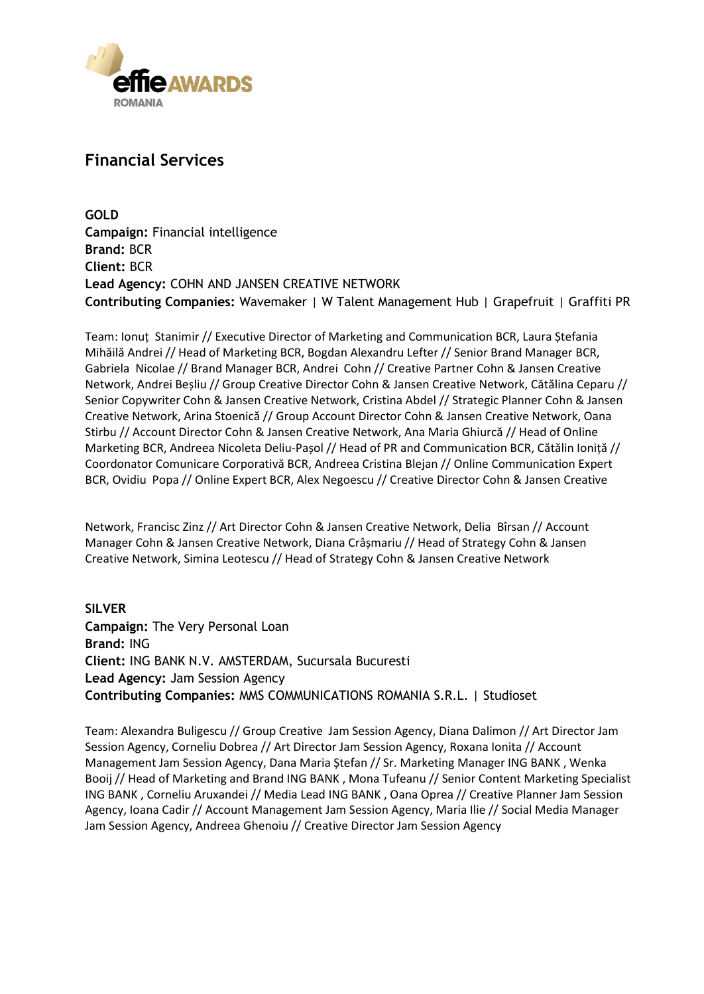

### **Financial Services**

**GOLD Campaign:** Financial intelligence **Brand:** BCR **Client:** BCR **Lead Agency:** COHN AND JANSEN CREATIVE NETWORK **Contributing Companies:** Wavemaker | W Talent Management Hub | Grapefruit | Graffiti PR

Team: Ionuț Stanimir // Executive Director of Marketing and Communication BCR, Laura Ștefania Mihăilă Andrei // Head of Marketing BCR, Bogdan Alexandru Lefter // Senior Brand Manager BCR, Gabriela Nicolae // Brand Manager BCR, Andrei Cohn // Creative Partner Cohn & Jansen Creative Network, Andrei Beșliu // Group Creative Director Cohn & Jansen Creative Network, Cătălina Ceparu // Senior Copywriter Cohn & Jansen Creative Network, Cristina Abdel // Strategic Planner Cohn & Jansen Creative Network, Arina Stoenică // Group Account Director Cohn & Jansen Creative Network, Oana Stirbu // Account Director Cohn & Jansen Creative Network, Ana Maria Ghiurcă // Head of Online Marketing BCR, Andreea Nicoleta Deliu-Pașol // Head of PR and Communication BCR, Cătălin Ioniță // Coordonator Comunicare Corporativă BCR, Andreea Cristina Blejan // Online Communication Expert BCR, Ovidiu Popa // Online Expert BCR, Alex Negoescu // Creative Director Cohn & Jansen Creative

Network, Francisc Zinz // Art Director Cohn & Jansen Creative Network, Delia Bîrsan // Account Manager Cohn & Jansen Creative Network, Diana Crâșmariu // Head of Strategy Cohn & Jansen Creative Network, Simina Leotescu // Head of Strategy Cohn & Jansen Creative Network

**SILVER Campaign:** The Very Personal Loan **Brand:** ING **Client:** ING BANK N.V. AMSTERDAM, Sucursala Bucuresti **Lead Agency:** Jam Session Agency **Contributing Companies:** MMS COMMUNICATIONS ROMANIA S.R.L. | Studioset

Team: Alexandra Buligescu // Group Creative Jam Session Agency, Diana Dalimon // Art Director Jam Session Agency, Corneliu Dobrea // Art Director Jam Session Agency, Roxana Ionita // Account Management Jam Session Agency, Dana Maria Ștefan // Sr. Marketing Manager ING BANK , Wenka Booij // Head of Marketing and Brand ING BANK , Mona Tufeanu // Senior Content Marketing Specialist ING BANK , Corneliu Aruxandei // Media Lead ING BANK , Oana Oprea // Creative Planner Jam Session Agency, Ioana Cadir // Account Management Jam Session Agency, Maria Ilie // Social Media Manager Jam Session Agency, Andreea Ghenoiu // Creative Director Jam Session Agency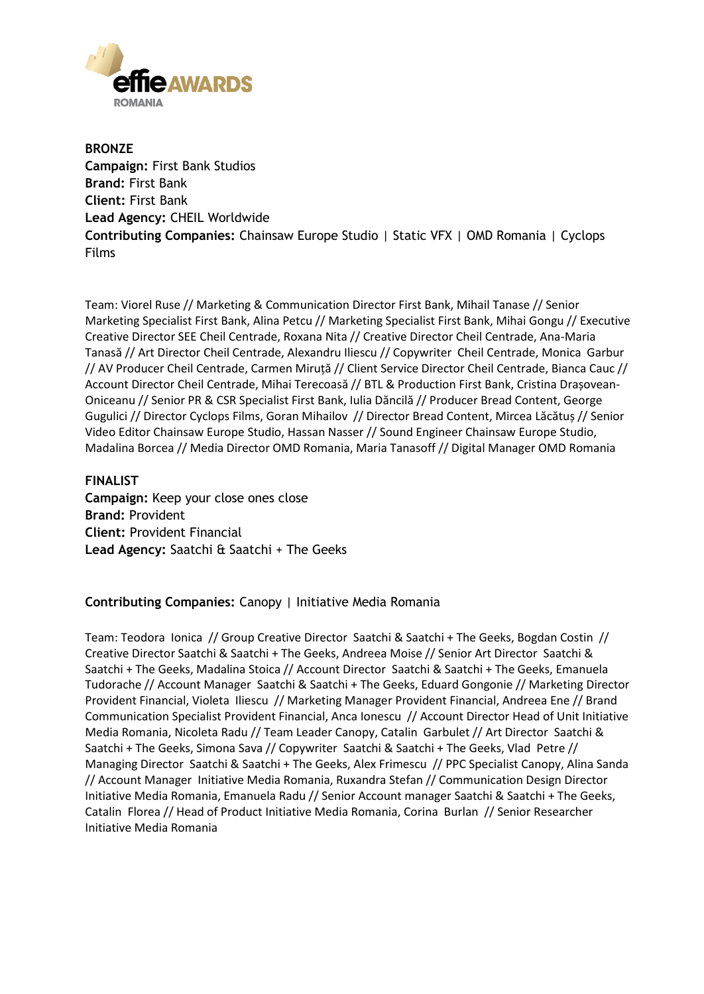

**BRONZE Campaign:** First Bank Studios **Brand:** First Bank **Client:** First Bank **Lead Agency:** CHEIL Worldwide **Contributing Companies:** Chainsaw Europe Studio | Static VFX | OMD Romania | Cyclops Films

Team: Viorel Ruse // Marketing & Communication Director First Bank, Mihail Tanase // Senior Marketing Specialist First Bank, Alina Petcu // Marketing Specialist First Bank, Mihai Gongu // Executive Creative Director SEE Cheil Centrade, Roxana Nita // Creative Director Cheil Centrade, Ana-Maria Tanasă // Art Director Cheil Centrade, Alexandru Iliescu // Copywriter Cheil Centrade, Monica Garbur // AV Producer Cheil Centrade, Carmen Miruță // Client Service Director Cheil Centrade, Bianca Cauc // Account Director Cheil Centrade, Mihai Terecoasă // BTL & Production First Bank, Cristina Drașovean-Oniceanu // Senior PR & CSR Specialist First Bank, Iulia Dăncilă // Producer Bread Content, George Gugulici // Director Cyclops Films, Goran Mihailov // Director Bread Content, Mircea Lăcătuș // Senior Video Editor Chainsaw Europe Studio, Hassan Nasser // Sound Engineer Chainsaw Europe Studio, Madalina Borcea // Media Director OMD Romania, Maria Tanasoff // Digital Manager OMD Romania

#### **FINALIST**

**Campaign:** Keep your close ones close **Brand:** Provident **Client:** Provident Financial **Lead Agency:** Saatchi & Saatchi + The Geeks

**Contributing Companies:** Canopy | Initiative Media Romania

Team: Teodora Ionica // Group Creative Director Saatchi & Saatchi + The Geeks, Bogdan Costin // Creative Director Saatchi & Saatchi + The Geeks, Andreea Moise // Senior Art Director Saatchi & Saatchi + The Geeks, Madalina Stoica // Account Director Saatchi & Saatchi + The Geeks, Emanuela Tudorache // Account Manager Saatchi & Saatchi + The Geeks, Eduard Gongonie // Marketing Director Provident Financial, Violeta Iliescu // Marketing Manager Provident Financial, Andreea Ene // Brand Communication Specialist Provident Financial, Anca Ionescu // Account Director Head of Unit Initiative Media Romania, Nicoleta Radu // Team Leader Canopy, Catalin Garbulet // Art Director Saatchi & Saatchi + The Geeks, Simona Sava // Copywriter Saatchi & Saatchi + The Geeks, Vlad Petre // Managing Director Saatchi & Saatchi + The Geeks, Alex Frimescu // PPC Specialist Canopy, Alina Sanda // Account Manager Initiative Media Romania, Ruxandra Stefan // Communication Design Director Initiative Media Romania, Emanuela Radu // Senior Account manager Saatchi & Saatchi + The Geeks, Catalin Florea // Head of Product Initiative Media Romania, Corina Burlan // Senior Researcher Initiative Media Romania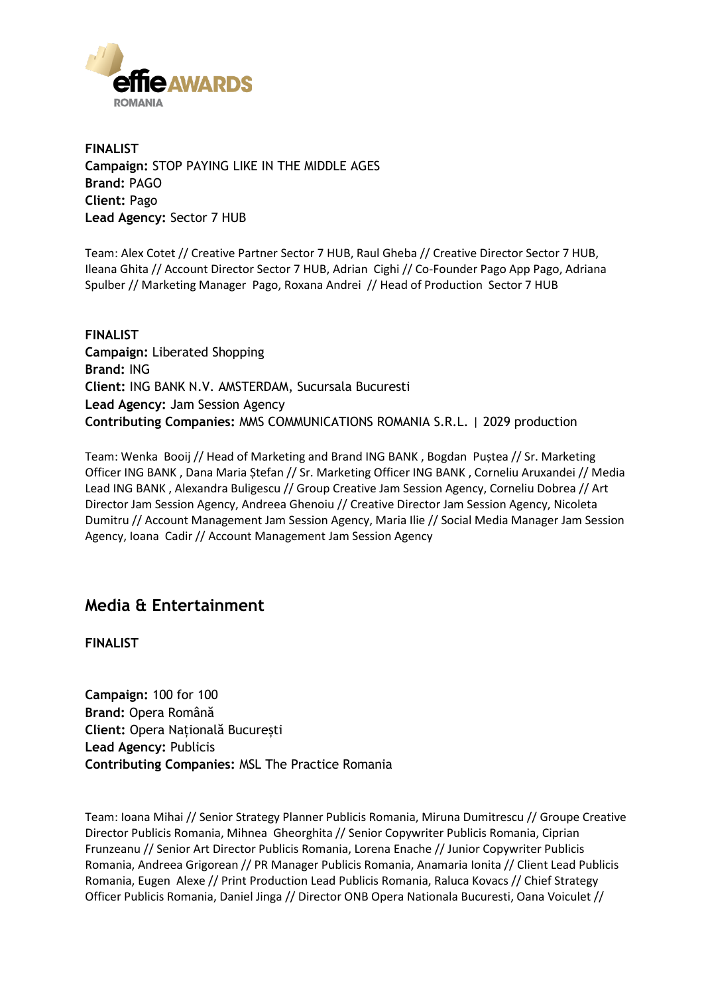

**FINALIST Campaign:** STOP PAYING LIKE IN THE MIDDLE AGES **Brand:** PAGO **Client:** Pago **Lead Agency:** Sector 7 HUB

Team: Alex Cotet // Creative Partner Sector 7 HUB, Raul Gheba // Creative Director Sector 7 HUB, Ileana Ghita // Account Director Sector 7 HUB, Adrian Cighi // Co-Founder Pago App Pago, Adriana Spulber // Marketing Manager Pago, Roxana Andrei // Head of Production Sector 7 HUB

**FINALIST Campaign:** Liberated Shopping **Brand:** ING **Client:** ING BANK N.V. AMSTERDAM, Sucursala Bucuresti **Lead Agency:** Jam Session Agency **Contributing Companies:** MMS COMMUNICATIONS ROMANIA S.R.L. | 2029 production

Team: Wenka Booij // Head of Marketing and Brand ING BANK , Bogdan Puștea // Sr. Marketing Officer ING BANK , Dana Maria Ștefan // Sr. Marketing Officer ING BANK , Corneliu Aruxandei // Media Lead ING BANK , Alexandra Buligescu // Group Creative Jam Session Agency, Corneliu Dobrea // Art Director Jam Session Agency, Andreea Ghenoiu // Creative Director Jam Session Agency, Nicoleta Dumitru // Account Management Jam Session Agency, Maria Ilie // Social Media Manager Jam Session Agency, Ioana Cadir // Account Management Jam Session Agency

### **Media & Entertainment**

**FINALIST**

**Campaign:** 100 for 100 **Brand:** Opera Română **Client:** Opera Națională București **Lead Agency:** Publicis **Contributing Companies:** MSL The Practice Romania

Team: Ioana Mihai // Senior Strategy Planner Publicis Romania, Miruna Dumitrescu // Groupe Creative Director Publicis Romania, Mihnea Gheorghita // Senior Copywriter Publicis Romania, Ciprian Frunzeanu // Senior Art Director Publicis Romania, Lorena Enache // Junior Copywriter Publicis Romania, Andreea Grigorean // PR Manager Publicis Romania, Anamaria Ionita // Client Lead Publicis Romania, Eugen Alexe // Print Production Lead Publicis Romania, Raluca Kovacs // Chief Strategy Officer Publicis Romania, Daniel Jinga // Director ONB Opera Nationala Bucuresti, Oana Voiculet //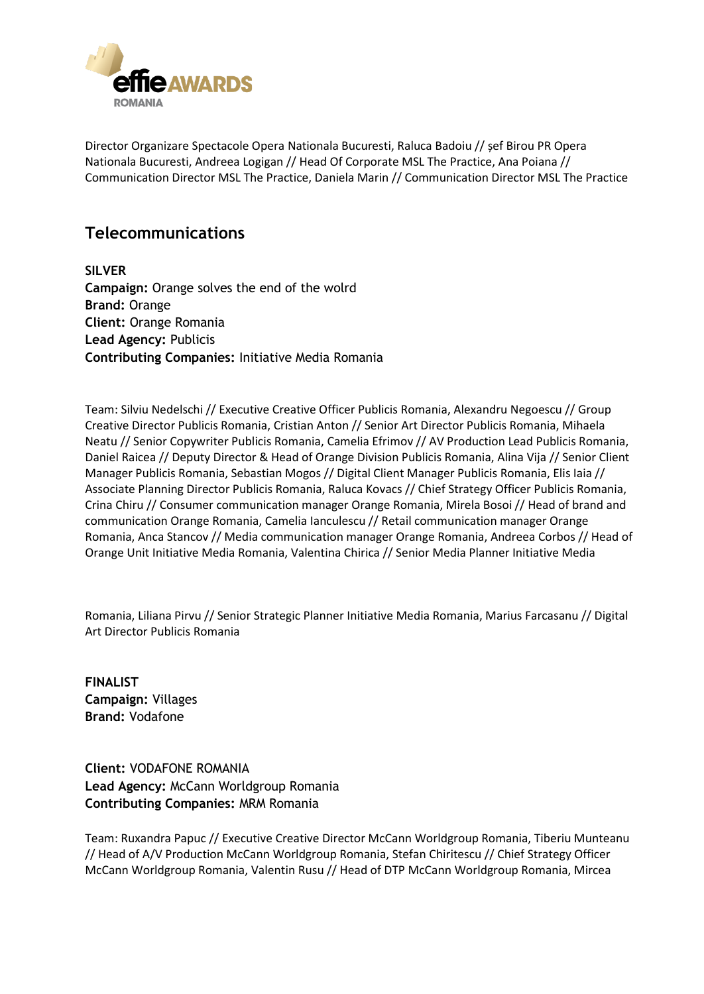

Director Organizare Spectacole Opera Nationala Bucuresti, Raluca Badoiu // șef Birou PR Opera Nationala Bucuresti, Andreea Logigan // Head Of Corporate MSL The Practice, Ana Poiana // Communication Director MSL The Practice, Daniela Marin // Communication Director MSL The Practice

### **Telecommunications**

**SILVER Campaign:** Orange solves the end of the wolrd **Brand:** Orange **Client:** Orange Romania **Lead Agency:** Publicis **Contributing Companies:** Initiative Media Romania

Team: Silviu Nedelschi // Executive Creative Officer Publicis Romania, Alexandru Negoescu // Group Creative Director Publicis Romania, Cristian Anton // Senior Art Director Publicis Romania, Mihaela Neatu // Senior Copywriter Publicis Romania, Camelia Efrimov // AV Production Lead Publicis Romania, Daniel Raicea // Deputy Director & Head of Orange Division Publicis Romania, Alina Vija // Senior Client Manager Publicis Romania, Sebastian Mogos // Digital Client Manager Publicis Romania, Elis Iaia // Associate Planning Director Publicis Romania, Raluca Kovacs // Chief Strategy Officer Publicis Romania, Crina Chiru // Consumer communication manager Orange Romania, Mirela Bosoi // Head of brand and communication Orange Romania, Camelia Ianculescu // Retail communication manager Orange Romania, Anca Stancov // Media communication manager Orange Romania, Andreea Corbos // Head of Orange Unit Initiative Media Romania, Valentina Chirica // Senior Media Planner Initiative Media

Romania, Liliana Pirvu // Senior Strategic Planner Initiative Media Romania, Marius Farcasanu // Digital Art Director Publicis Romania

**FINALIST Campaign:** Villages **Brand:** Vodafone

**Client:** VODAFONE ROMANIA **Lead Agency:** McCann Worldgroup Romania **Contributing Companies:** MRM Romania

Team: Ruxandra Papuc // Executive Creative Director McCann Worldgroup Romania, Tiberiu Munteanu // Head of A/V Production McCann Worldgroup Romania, Stefan Chiritescu // Chief Strategy Officer McCann Worldgroup Romania, Valentin Rusu // Head of DTP McCann Worldgroup Romania, Mircea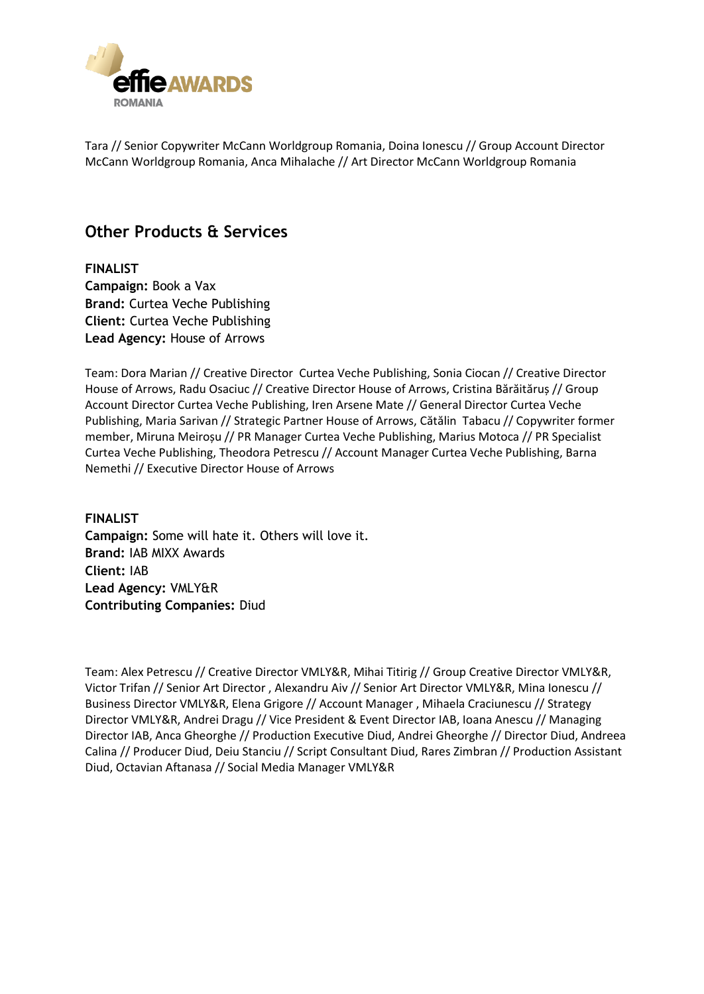

Tara // Senior Copywriter McCann Worldgroup Romania, Doina Ionescu // Group Account Director McCann Worldgroup Romania, Anca Mihalache // Art Director McCann Worldgroup Romania

### **Other Products & Services**

**FINALIST Campaign:** Book a Vax **Brand:** Curtea Veche Publishing **Client:** Curtea Veche Publishing **Lead Agency:** House of Arrows

Team: Dora Marian // Creative Director Curtea Veche Publishing, Sonia Ciocan // Creative Director House of Arrows, Radu Osaciuc // Creative Director House of Arrows, Cristina Bărăităruș // Group Account Director Curtea Veche Publishing, Iren Arsene Mate // General Director Curtea Veche Publishing, Maria Sarivan // Strategic Partner House of Arrows, Cătălin Tabacu // Copywriter former member, Miruna Meiroșu // PR Manager Curtea Veche Publishing, Marius Motoca // PR Specialist Curtea Veche Publishing, Theodora Petrescu // Account Manager Curtea Veche Publishing, Barna Nemethi // Executive Director House of Arrows

#### **FINALIST**

**Campaign:** Some will hate it. Others will love it. **Brand:** IAB MIXX Awards **Client:** IAB **Lead Agency:** VMLY&R **Contributing Companies:** Diud

Team: Alex Petrescu // Creative Director VMLY&R, Mihai Titirig // Group Creative Director VMLY&R, Victor Trifan // Senior Art Director , Alexandru Aiv // Senior Art Director VMLY&R, Mina Ionescu // Business Director VMLY&R, Elena Grigore // Account Manager , Mihaela Craciunescu // Strategy Director VMLY&R, Andrei Dragu // Vice President & Event Director IAB, Ioana Anescu // Managing Director IAB, Anca Gheorghe // Production Executive Diud, Andrei Gheorghe // Director Diud, Andreea Calina // Producer Diud, Deiu Stanciu // Script Consultant Diud, Rares Zimbran // Production Assistant Diud, Octavian Aftanasa // Social Media Manager VMLY&R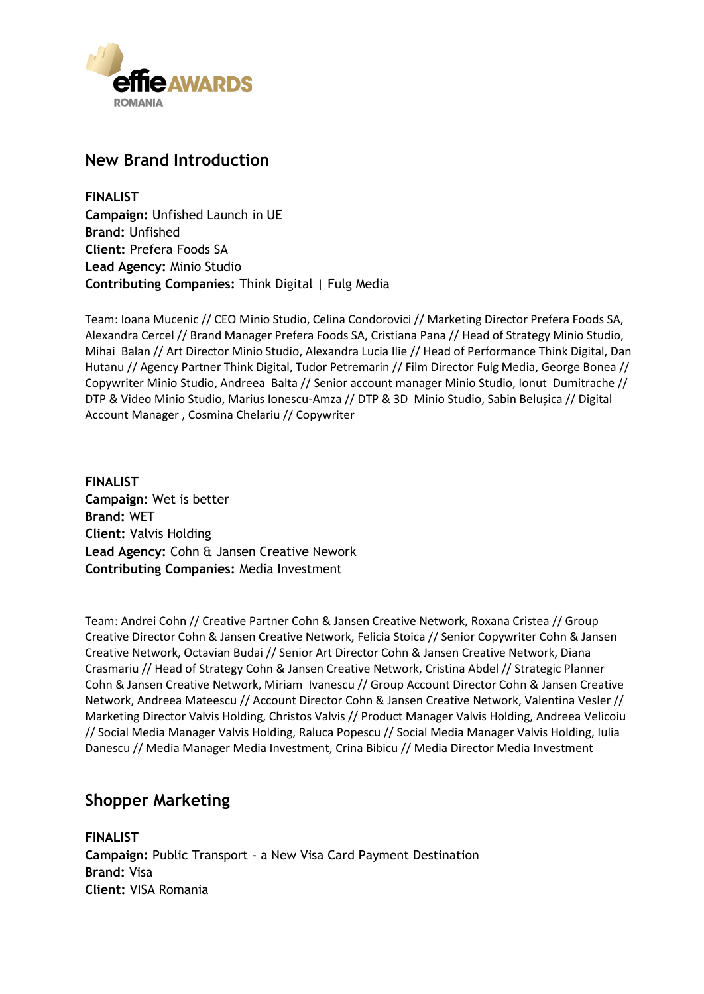

### **New Brand Introduction**

**FINALIST Campaign:** Unfished Launch in UE **Brand:** Unfished **Client:** Prefera Foods SA **Lead Agency:** Minio Studio **Contributing Companies:** Think Digital | Fulg Media

Team: Ioana Mucenic // CEO Minio Studio, Celina Condorovici // Marketing Director Prefera Foods SA, Alexandra Cercel // Brand Manager Prefera Foods SA, Cristiana Pana // Head of Strategy Minio Studio, Mihai Balan // Art Director Minio Studio, Alexandra Lucia Ilie // Head of Performance Think Digital, Dan Hutanu // Agency Partner Think Digital, Tudor Petremarin // Film Director Fulg Media, George Bonea // Copywriter Minio Studio, Andreea Balta // Senior account manager Minio Studio, Ionut Dumitrache // DTP & Video Minio Studio, Marius Ionescu-Amza // DTP & 3D Minio Studio, Sabin Belușica // Digital Account Manager , Cosmina Chelariu // Copywriter

**FINALIST Campaign:** Wet is better **Brand:** WET **Client:** Valvis Holding **Lead Agency:** Cohn & Jansen Creative Nework **Contributing Companies:** Media Investment

Team: Andrei Cohn // Creative Partner Cohn & Jansen Creative Network, Roxana Cristea // Group Creative Director Cohn & Jansen Creative Network, Felicia Stoica // Senior Copywriter Cohn & Jansen Creative Network, Octavian Budai // Senior Art Director Cohn & Jansen Creative Network, Diana Crasmariu // Head of Strategy Cohn & Jansen Creative Network, Cristina Abdel // Strategic Planner Cohn & Jansen Creative Network, Miriam Ivanescu // Group Account Director Cohn & Jansen Creative Network, Andreea Mateescu // Account Director Cohn & Jansen Creative Network, Valentina Vesler // Marketing Director Valvis Holding, Christos Valvis // Product Manager Valvis Holding, Andreea Velicoiu // Social Media Manager Valvis Holding, Raluca Popescu // Social Media Manager Valvis Holding, Iulia Danescu // Media Manager Media Investment, Crina Bibicu // Media Director Media Investment

### **Shopper Marketing**

**FINALIST Campaign:** Public Transport - a New Visa Card Payment Destination **Brand:** Visa **Client:** VISA Romania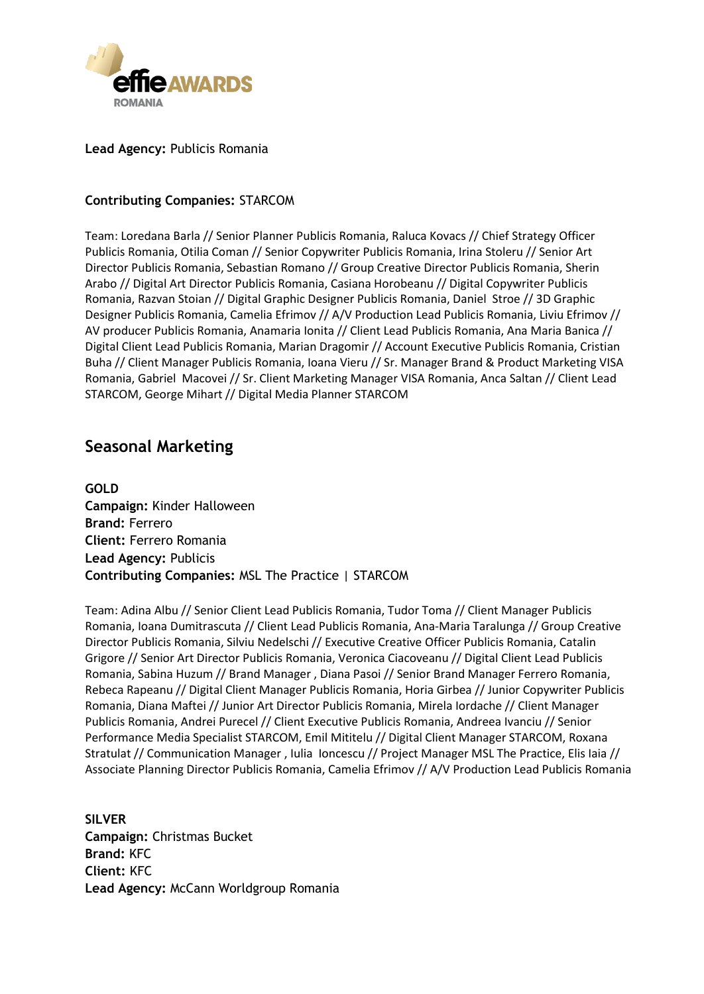

**Lead Agency:** Publicis Romania

#### **Contributing Companies:** STARCOM

Team: Loredana Barla // Senior Planner Publicis Romania, Raluca Kovacs // Chief Strategy Officer Publicis Romania, Otilia Coman // Senior Copywriter Publicis Romania, Irina Stoleru // Senior Art Director Publicis Romania, Sebastian Romano // Group Creative Director Publicis Romania, Sherin Arabo // Digital Art Director Publicis Romania, Casiana Horobeanu // Digital Copywriter Publicis Romania, Razvan Stoian // Digital Graphic Designer Publicis Romania, Daniel Stroe // 3D Graphic Designer Publicis Romania, Camelia Efrimov // A/V Production Lead Publicis Romania, Liviu Efrimov // AV producer Publicis Romania, Anamaria Ionita // Client Lead Publicis Romania, Ana Maria Banica // Digital Client Lead Publicis Romania, Marian Dragomir // Account Executive Publicis Romania, Cristian Buha // Client Manager Publicis Romania, Ioana Vieru // Sr. Manager Brand & Product Marketing VISA Romania, Gabriel Macovei // Sr. Client Marketing Manager VISA Romania, Anca Saltan // Client Lead STARCOM, George Mihart // Digital Media Planner STARCOM

### **Seasonal Marketing**

**GOLD Campaign:** Kinder Halloween **Brand:** Ferrero **Client:** Ferrero Romania **Lead Agency:** Publicis **Contributing Companies:** MSL The Practice | STARCOM

Team: Adina Albu // Senior Client Lead Publicis Romania, Tudor Toma // Client Manager Publicis Romania, Ioana Dumitrascuta // Client Lead Publicis Romania, Ana-Maria Taralunga // Group Creative Director Publicis Romania, Silviu Nedelschi // Executive Creative Officer Publicis Romania, Catalin Grigore // Senior Art Director Publicis Romania, Veronica Ciacoveanu // Digital Client Lead Publicis Romania, Sabina Huzum // Brand Manager , Diana Pasoi // Senior Brand Manager Ferrero Romania, Rebeca Rapeanu // Digital Client Manager Publicis Romania, Horia Girbea // Junior Copywriter Publicis Romania, Diana Maftei // Junior Art Director Publicis Romania, Mirela Iordache // Client Manager Publicis Romania, Andrei Purecel // Client Executive Publicis Romania, Andreea Ivanciu // Senior Performance Media Specialist STARCOM, Emil Mititelu // Digital Client Manager STARCOM, Roxana Stratulat // Communication Manager , Iulia Ioncescu // Project Manager MSL The Practice, Elis Iaia // Associate Planning Director Publicis Romania, Camelia Efrimov // A/V Production Lead Publicis Romania

**SILVER Campaign:** Christmas Bucket **Brand:** KFC **Client:** KFC **Lead Agency:** McCann Worldgroup Romania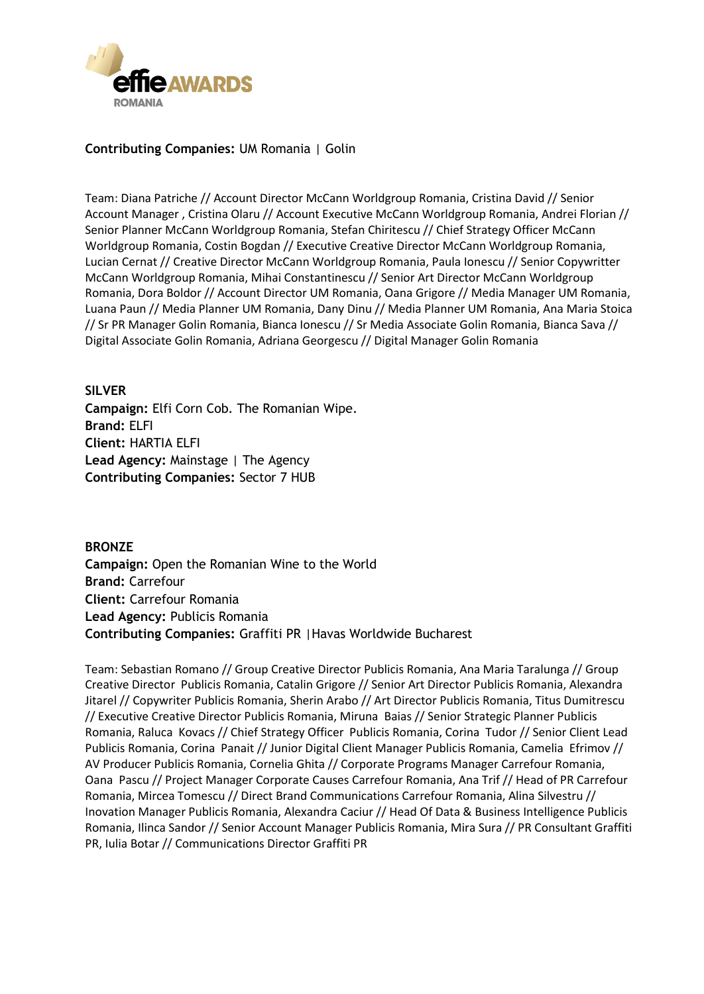

#### **Contributing Companies:** UM Romania | Golin

Team: Diana Patriche // Account Director McCann Worldgroup Romania, Cristina David // Senior Account Manager , Cristina Olaru // Account Executive McCann Worldgroup Romania, Andrei Florian // Senior Planner McCann Worldgroup Romania, Stefan Chiritescu // Chief Strategy Officer McCann Worldgroup Romania, Costin Bogdan // Executive Creative Director McCann Worldgroup Romania, Lucian Cernat // Creative Director McCann Worldgroup Romania, Paula Ionescu // Senior Copywritter McCann Worldgroup Romania, Mihai Constantinescu // Senior Art Director McCann Worldgroup Romania, Dora Boldor // Account Director UM Romania, Oana Grigore // Media Manager UM Romania, Luana Paun // Media Planner UM Romania, Dany Dinu // Media Planner UM Romania, Ana Maria Stoica // Sr PR Manager Golin Romania, Bianca Ionescu // Sr Media Associate Golin Romania, Bianca Sava // Digital Associate Golin Romania, Adriana Georgescu // Digital Manager Golin Romania

#### **SILVER**

**Campaign:** Elfi Corn Cob. The Romanian Wipe. **Brand:** ELFI **Client:** HARTIA ELFI **Lead Agency:** Mainstage | The Agency **Contributing Companies:** Sector 7 HUB

**BRONZE Campaign:** Open the Romanian Wine to the World **Brand:** Carrefour **Client:** Carrefour Romania **Lead Agency:** Publicis Romania **Contributing Companies:** Graffiti PR |Havas Worldwide Bucharest

Team: Sebastian Romano // Group Creative Director Publicis Romania, Ana Maria Taralunga // Group Creative Director Publicis Romania, Catalin Grigore // Senior Art Director Publicis Romania, Alexandra Jitarel // Copywriter Publicis Romania, Sherin Arabo // Art Director Publicis Romania, Titus Dumitrescu // Executive Creative Director Publicis Romania, Miruna Baias // Senior Strategic Planner Publicis Romania, Raluca Kovacs // Chief Strategy Officer Publicis Romania, Corina Tudor // Senior Client Lead Publicis Romania, Corina Panait // Junior Digital Client Manager Publicis Romania, Camelia Efrimov // AV Producer Publicis Romania, Cornelia Ghita // Corporate Programs Manager Carrefour Romania, Oana Pascu // Project Manager Corporate Causes Carrefour Romania, Ana Trif // Head of PR Carrefour Romania, Mircea Tomescu // Direct Brand Communications Carrefour Romania, Alina Silvestru // Inovation Manager Publicis Romania, Alexandra Caciur // Head Of Data & Business Intelligence Publicis Romania, Ilinca Sandor // Senior Account Manager Publicis Romania, Mira Sura // PR Consultant Graffiti PR, Iulia Botar // Communications Director Graffiti PR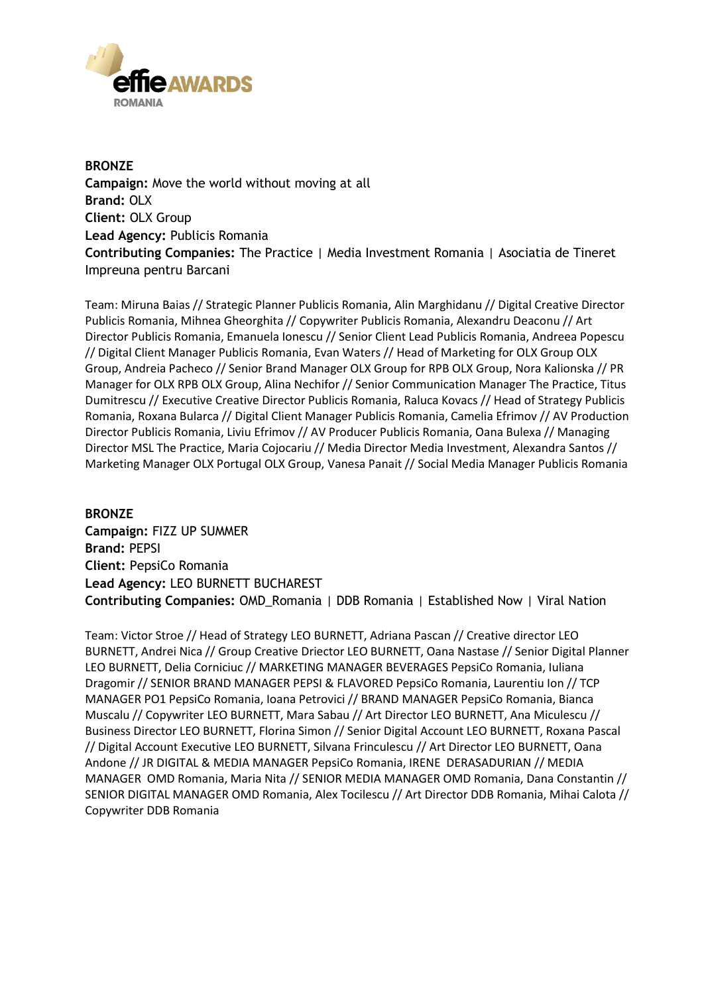

**BRONZE Campaign:** Move the world without moving at all **Brand:** OLX **Client:** OLX Group **Lead Agency:** Publicis Romania **Contributing Companies:** The Practice | Media Investment Romania | Asociatia de Tineret Impreuna pentru Barcani

Team: Miruna Baias // Strategic Planner Publicis Romania, Alin Marghidanu // Digital Creative Director Publicis Romania, Mihnea Gheorghita // Copywriter Publicis Romania, Alexandru Deaconu // Art Director Publicis Romania, Emanuela Ionescu // Senior Client Lead Publicis Romania, Andreea Popescu // Digital Client Manager Publicis Romania, Evan Waters // Head of Marketing for OLX Group OLX Group, Andreia Pacheco // Senior Brand Manager OLX Group for RPB OLX Group, Nora Kalionska // PR Manager for OLX RPB OLX Group, Alina Nechifor // Senior Communication Manager The Practice, Titus Dumitrescu // Executive Creative Director Publicis Romania, Raluca Kovacs // Head of Strategy Publicis Romania, Roxana Bularca // Digital Client Manager Publicis Romania, Camelia Efrimov // AV Production Director Publicis Romania, Liviu Efrimov // AV Producer Publicis Romania, Oana Bulexa // Managing Director MSL The Practice, Maria Cojocariu // Media Director Media Investment, Alexandra Santos // Marketing Manager OLX Portugal OLX Group, Vanesa Panait // Social Media Manager Publicis Romania

**BRONZE Campaign:** FIZZ UP SUMMER **Brand:** PEPSI **Client:** PepsiCo Romania **Lead Agency:** LEO BURNETT BUCHAREST **Contributing Companies:** OMD\_Romania | DDB Romania | Established Now | Viral Nation

Team: Victor Stroe // Head of Strategy LEO BURNETT, Adriana Pascan // Creative director LEO BURNETT, Andrei Nica // Group Creative Driector LEO BURNETT, Oana Nastase // Senior Digital Planner LEO BURNETT, Delia Corniciuc // MARKETING MANAGER BEVERAGES PepsiCo Romania, Iuliana Dragomir // SENIOR BRAND MANAGER PEPSI & FLAVORED PepsiCo Romania, Laurentiu Ion // TCP MANAGER PO1 PepsiCo Romania, Ioana Petrovici // BRAND MANAGER PepsiCo Romania, Bianca Muscalu // Copywriter LEO BURNETT, Mara Sabau // Art Director LEO BURNETT, Ana Miculescu // Business Director LEO BURNETT, Florina Simon // Senior Digital Account LEO BURNETT, Roxana Pascal // Digital Account Executive LEO BURNETT, Silvana Frinculescu // Art Director LEO BURNETT, Oana Andone // JR DIGITAL & MEDIA MANAGER PepsiCo Romania, IRENE DERASADURIAN // MEDIA MANAGER OMD Romania, Maria Nita // SENIOR MEDIA MANAGER OMD Romania, Dana Constantin // SENIOR DIGITAL MANAGER OMD Romania, Alex Tocilescu // Art Director DDB Romania, Mihai Calota // Copywriter DDB Romania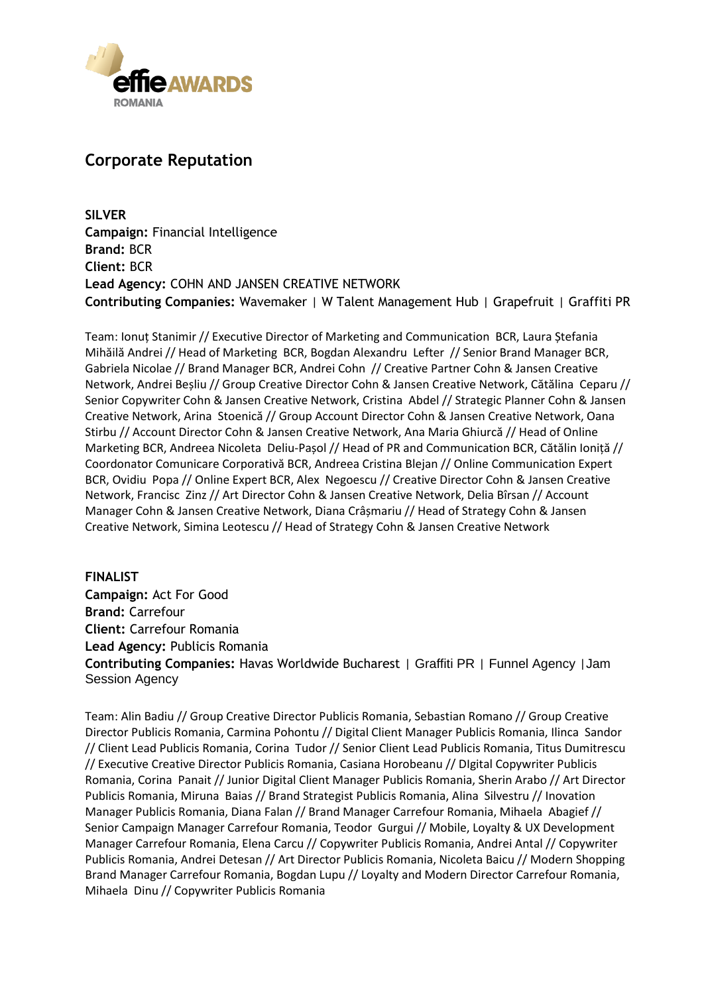

### **Corporate Reputation**

**SILVER Campaign:** Financial Intelligence **Brand:** BCR **Client:** BCR **Lead Agency:** COHN AND JANSEN CREATIVE NETWORK **Contributing Companies:** Wavemaker | W Talent Management Hub | Grapefruit | Graffiti PR

Team: Ionuț Stanimir // Executive Director of Marketing and Communication BCR, Laura Ștefania Mihăilă Andrei // Head of Marketing BCR, Bogdan Alexandru Lefter // Senior Brand Manager BCR, Gabriela Nicolae // Brand Manager BCR, Andrei Cohn // Creative Partner Cohn & Jansen Creative Network, Andrei Beșliu // Group Creative Director Cohn & Jansen Creative Network, Cătălina Ceparu // Senior Copywriter Cohn & Jansen Creative Network, Cristina Abdel // Strategic Planner Cohn & Jansen Creative Network, Arina Stoenică // Group Account Director Cohn & Jansen Creative Network, Oana Stirbu // Account Director Cohn & Jansen Creative Network, Ana Maria Ghiurcă // Head of Online Marketing BCR, Andreea Nicoleta Deliu-Pașol // Head of PR and Communication BCR, Cătălin Ioniță // Coordonator Comunicare Corporativă BCR, Andreea Cristina Blejan // Online Communication Expert BCR, Ovidiu Popa // Online Expert BCR, Alex Negoescu // Creative Director Cohn & Jansen Creative Network, Francisc Zinz // Art Director Cohn & Jansen Creative Network, Delia Bîrsan // Account Manager Cohn & Jansen Creative Network, Diana Crâșmariu // Head of Strategy Cohn & Jansen Creative Network, Simina Leotescu // Head of Strategy Cohn & Jansen Creative Network

**FINALIST Campaign:** Act For Good **Brand:** Carrefour **Client:** Carrefour Romania **Lead Agency:** Publicis Romania **Contributing Companies:** Havas Worldwide Bucharest | Graffiti PR | Funnel Agency |Jam Session Agency

Team: Alin Badiu // Group Creative Director Publicis Romania, Sebastian Romano // Group Creative Director Publicis Romania, Carmina Pohontu // Digital Client Manager Publicis Romania, Ilinca Sandor // Client Lead Publicis Romania, Corina Tudor // Senior Client Lead Publicis Romania, Titus Dumitrescu // Executive Creative Director Publicis Romania, Casiana Horobeanu // DIgital Copywriter Publicis Romania, Corina Panait // Junior Digital Client Manager Publicis Romania, Sherin Arabo // Art Director Publicis Romania, Miruna Baias // Brand Strategist Publicis Romania, Alina Silvestru // Inovation Manager Publicis Romania, Diana Falan // Brand Manager Carrefour Romania, Mihaela Abagief // Senior Campaign Manager Carrefour Romania, Teodor Gurgui // Mobile, Loyalty & UX Development Manager Carrefour Romania, Elena Carcu // Copywriter Publicis Romania, Andrei Antal // Copywriter Publicis Romania, Andrei Detesan // Art Director Publicis Romania, Nicoleta Baicu // Modern Shopping Brand Manager Carrefour Romania, Bogdan Lupu // Loyalty and Modern Director Carrefour Romania, Mihaela Dinu // Copywriter Publicis Romania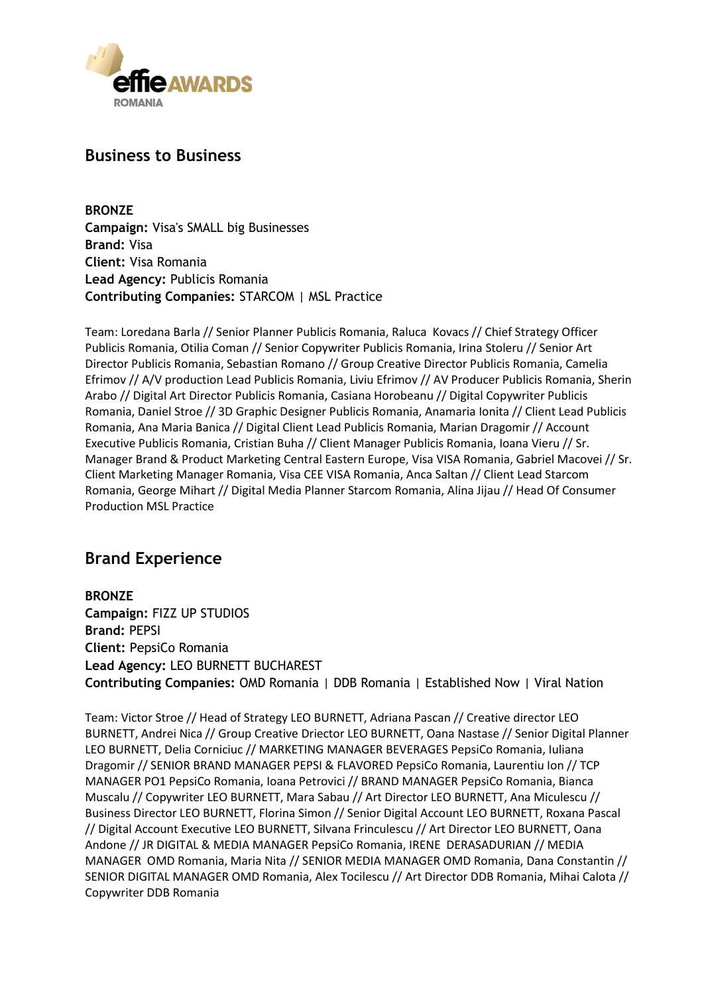

### **Business to Business**

**BRONZE Campaign:** Visa's SMALL big Businesses **Brand:** Visa **Client:** Visa Romania **Lead Agency:** Publicis Romania **Contributing Companies:** STARCOM | MSL Practice

Team: Loredana Barla // Senior Planner Publicis Romania, Raluca Kovacs // Chief Strategy Officer Publicis Romania, Otilia Coman // Senior Copywriter Publicis Romania, Irina Stoleru // Senior Art Director Publicis Romania, Sebastian Romano // Group Creative Director Publicis Romania, Camelia Efrimov // A/V production Lead Publicis Romania, Liviu Efrimov // AV Producer Publicis Romania, Sherin Arabo // Digital Art Director Publicis Romania, Casiana Horobeanu // Digital Copywriter Publicis Romania, Daniel Stroe // 3D Graphic Designer Publicis Romania, Anamaria Ionita // Client Lead Publicis Romania, Ana Maria Banica // Digital Client Lead Publicis Romania, Marian Dragomir // Account Executive Publicis Romania, Cristian Buha // Client Manager Publicis Romania, Ioana Vieru // Sr. Manager Brand & Product Marketing Central Eastern Europe, Visa VISA Romania, Gabriel Macovei // Sr. Client Marketing Manager Romania, Visa CEE VISA Romania, Anca Saltan // Client Lead Starcom Romania, George Mihart // Digital Media Planner Starcom Romania, Alina Jijau // Head Of Consumer Production MSL Practice

### **Brand Experience**

**BRONZE Campaign:** FIZZ UP STUDIOS **Brand:** PEPSI **Client:** PepsiCo Romania **Lead Agency:** LEO BURNETT BUCHAREST **Contributing Companies:** OMD Romania | DDB Romania | Established Now | Viral Nation

Team: Victor Stroe // Head of Strategy LEO BURNETT, Adriana Pascan // Creative director LEO BURNETT, Andrei Nica // Group Creative Driector LEO BURNETT, Oana Nastase // Senior Digital Planner LEO BURNETT, Delia Corniciuc // MARKETING MANAGER BEVERAGES PepsiCo Romania, Iuliana Dragomir // SENIOR BRAND MANAGER PEPSI & FLAVORED PepsiCo Romania, Laurentiu Ion // TCP MANAGER PO1 PepsiCo Romania, Ioana Petrovici // BRAND MANAGER PepsiCo Romania, Bianca Muscalu // Copywriter LEO BURNETT, Mara Sabau // Art Director LEO BURNETT, Ana Miculescu // Business Director LEO BURNETT, Florina Simon // Senior Digital Account LEO BURNETT, Roxana Pascal // Digital Account Executive LEO BURNETT, Silvana Frinculescu // Art Director LEO BURNETT, Oana Andone // JR DIGITAL & MEDIA MANAGER PepsiCo Romania, IRENE DERASADURIAN // MEDIA MANAGER OMD Romania, Maria Nita // SENIOR MEDIA MANAGER OMD Romania, Dana Constantin // SENIOR DIGITAL MANAGER OMD Romania, Alex Tocilescu // Art Director DDB Romania, Mihai Calota // Copywriter DDB Romania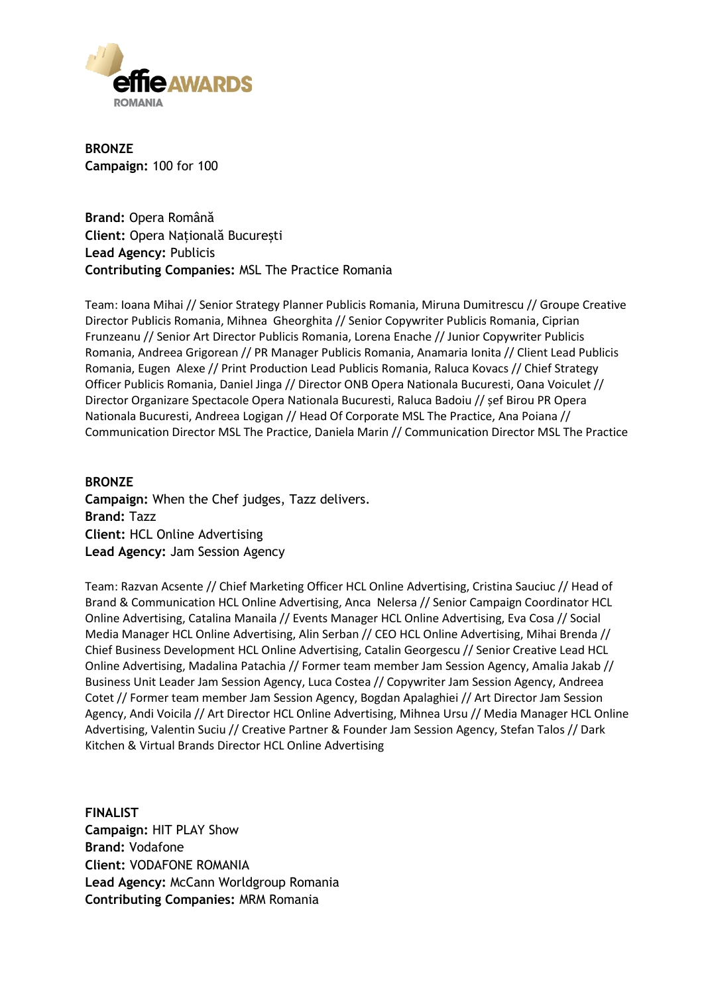

**BRONZE Campaign:** 100 for 100

**Brand:** Opera Română **Client:** Opera Națională București **Lead Agency:** Publicis **Contributing Companies:** MSL The Practice Romania

Team: Ioana Mihai // Senior Strategy Planner Publicis Romania, Miruna Dumitrescu // Groupe Creative Director Publicis Romania, Mihnea Gheorghita // Senior Copywriter Publicis Romania, Ciprian Frunzeanu // Senior Art Director Publicis Romania, Lorena Enache // Junior Copywriter Publicis Romania, Andreea Grigorean // PR Manager Publicis Romania, Anamaria Ionita // Client Lead Publicis Romania, Eugen Alexe // Print Production Lead Publicis Romania, Raluca Kovacs // Chief Strategy Officer Publicis Romania, Daniel Jinga // Director ONB Opera Nationala Bucuresti, Oana Voiculet // Director Organizare Spectacole Opera Nationala Bucuresti, Raluca Badoiu // șef Birou PR Opera Nationala Bucuresti, Andreea Logigan // Head Of Corporate MSL The Practice, Ana Poiana // Communication Director MSL The Practice, Daniela Marin // Communication Director MSL The Practice

#### **BRONZE Campaign:** When the Chef judges, Tazz delivers. **Brand:** Tazz **Client:** HCL Online Advertising **Lead Agency:** Jam Session Agency

Team: Razvan Acsente // Chief Marketing Officer HCL Online Advertising, Cristina Sauciuc // Head of Brand & Communication HCL Online Advertising, Anca Nelersa // Senior Campaign Coordinator HCL Online Advertising, Catalina Manaila // Events Manager HCL Online Advertising, Eva Cosa // Social Media Manager HCL Online Advertising, Alin Serban // CEO HCL Online Advertising, Mihai Brenda // Chief Business Development HCL Online Advertising, Catalin Georgescu // Senior Creative Lead HCL Online Advertising, Madalina Patachia // Former team member Jam Session Agency, Amalia Jakab // Business Unit Leader Jam Session Agency, Luca Costea // Copywriter Jam Session Agency, Andreea Cotet // Former team member Jam Session Agency, Bogdan Apalaghiei // Art Director Jam Session Agency, Andi Voicila // Art Director HCL Online Advertising, Mihnea Ursu // Media Manager HCL Online Advertising, Valentin Suciu // Creative Partner & Founder Jam Session Agency, Stefan Talos // Dark Kitchen & Virtual Brands Director HCL Online Advertising

**FINALIST Campaign:** HIT PLAY Show **Brand:** Vodafone **Client:** VODAFONE ROMANIA **Lead Agency:** McCann Worldgroup Romania **Contributing Companies:** MRM Romania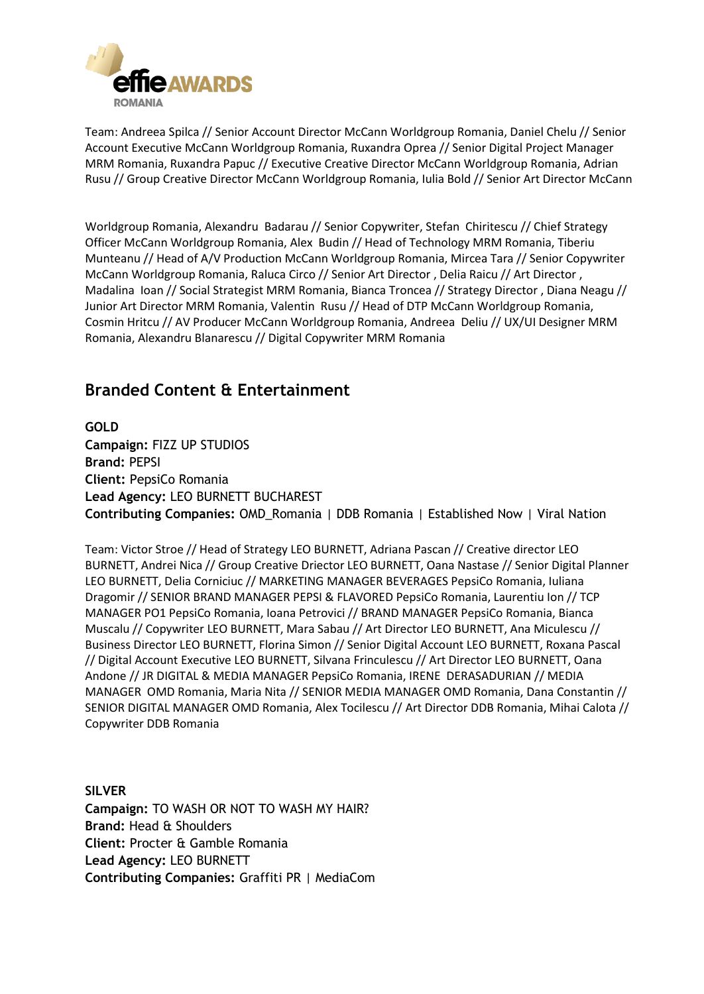

Team: Andreea Spilca // Senior Account Director McCann Worldgroup Romania, Daniel Chelu // Senior Account Executive McCann Worldgroup Romania, Ruxandra Oprea // Senior Digital Project Manager MRM Romania, Ruxandra Papuc // Executive Creative Director McCann Worldgroup Romania, Adrian Rusu // Group Creative Director McCann Worldgroup Romania, Iulia Bold // Senior Art Director McCann

Worldgroup Romania, Alexandru Badarau // Senior Copywriter, Stefan Chiritescu // Chief Strategy Officer McCann Worldgroup Romania, Alex Budin // Head of Technology MRM Romania, Tiberiu Munteanu // Head of A/V Production McCann Worldgroup Romania, Mircea Tara // Senior Copywriter McCann Worldgroup Romania, Raluca Circo // Senior Art Director , Delia Raicu // Art Director , Madalina Ioan // Social Strategist MRM Romania, Bianca Troncea // Strategy Director , Diana Neagu // Junior Art Director MRM Romania, Valentin Rusu // Head of DTP McCann Worldgroup Romania, Cosmin Hritcu // AV Producer McCann Worldgroup Romania, Andreea Deliu // UX/UI Designer MRM Romania, Alexandru Blanarescu // Digital Copywriter MRM Romania

### **Branded Content & Entertainment**

**GOLD Campaign:** FIZZ UP STUDIOS **Brand:** PEPSI **Client:** PepsiCo Romania **Lead Agency:** LEO BURNETT BUCHAREST **Contributing Companies:** OMD\_Romania | DDB Romania | Established Now | Viral Nation

Team: Victor Stroe // Head of Strategy LEO BURNETT, Adriana Pascan // Creative director LEO BURNETT, Andrei Nica // Group Creative Driector LEO BURNETT, Oana Nastase // Senior Digital Planner LEO BURNETT, Delia Corniciuc // MARKETING MANAGER BEVERAGES PepsiCo Romania, Iuliana Dragomir // SENIOR BRAND MANAGER PEPSI & FLAVORED PepsiCo Romania, Laurentiu Ion // TCP MANAGER PO1 PepsiCo Romania, Ioana Petrovici // BRAND MANAGER PepsiCo Romania, Bianca Muscalu // Copywriter LEO BURNETT, Mara Sabau // Art Director LEO BURNETT, Ana Miculescu // Business Director LEO BURNETT, Florina Simon // Senior Digital Account LEO BURNETT, Roxana Pascal // Digital Account Executive LEO BURNETT, Silvana Frinculescu // Art Director LEO BURNETT, Oana Andone // JR DIGITAL & MEDIA MANAGER PepsiCo Romania, IRENE DERASADURIAN // MEDIA MANAGER OMD Romania, Maria Nita // SENIOR MEDIA MANAGER OMD Romania, Dana Constantin // SENIOR DIGITAL MANAGER OMD Romania, Alex Tocilescu // Art Director DDB Romania, Mihai Calota // Copywriter DDB Romania

**SILVER Campaign:** TO WASH OR NOT TO WASH MY HAIR? **Brand:** Head & Shoulders **Client:** Procter & Gamble Romania **Lead Agency:** LEO BURNETT **Contributing Companies:** Graffiti PR | MediaCom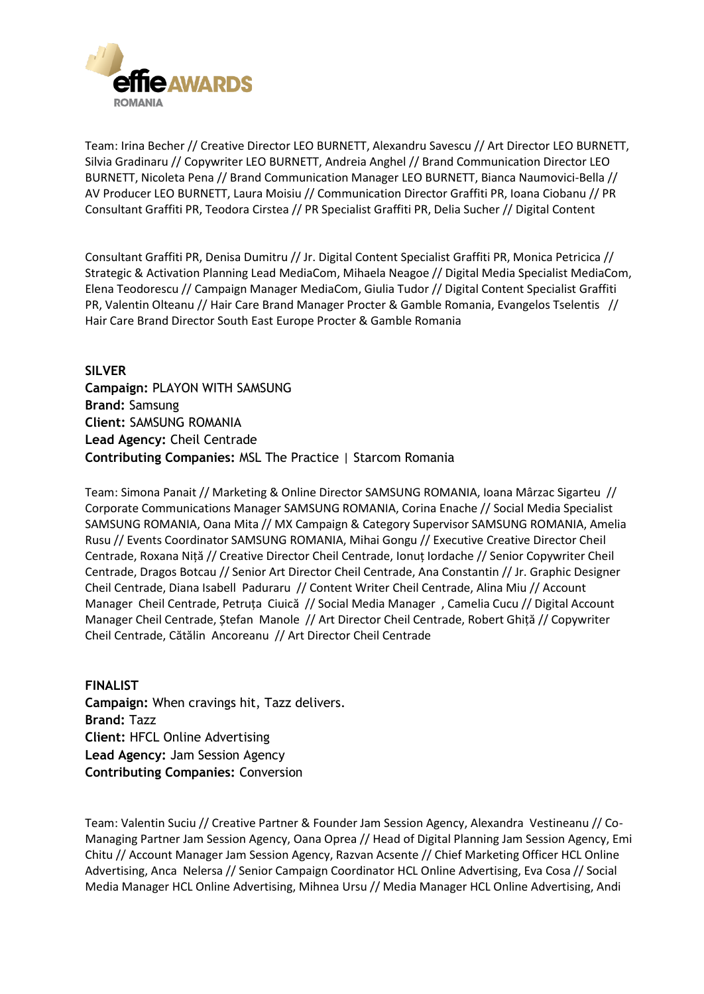

Team: Irina Becher // Creative Director LEO BURNETT, Alexandru Savescu // Art Director LEO BURNETT, Silvia Gradinaru // Copywriter LEO BURNETT, Andreia Anghel // Brand Communication Director LEO BURNETT, Nicoleta Pena // Brand Communication Manager LEO BURNETT, Bianca Naumovici-Bella // AV Producer LEO BURNETT, Laura Moisiu // Communication Director Graffiti PR, Ioana Ciobanu // PR Consultant Graffiti PR, Teodora Cirstea // PR Specialist Graffiti PR, Delia Sucher // Digital Content

Consultant Graffiti PR, Denisa Dumitru // Jr. Digital Content Specialist Graffiti PR, Monica Petricica // Strategic & Activation Planning Lead MediaCom, Mihaela Neagoe // Digital Media Specialist MediaCom, Elena Teodorescu // Campaign Manager MediaCom, Giulia Tudor // Digital Content Specialist Graffiti PR, Valentin Olteanu // Hair Care Brand Manager Procter & Gamble Romania, Evangelos Tselentis // Hair Care Brand Director South East Europe Procter & Gamble Romania

**SILVER Campaign:** PLAYON WITH SAMSUNG **Brand:** Samsung **Client:** SAMSUNG ROMANIA **Lead Agency:** Cheil Centrade **Contributing Companies:** MSL The Practice | Starcom Romania

Team: Simona Panait // Marketing & Online Director SAMSUNG ROMANIA, Ioana Mârzac Sigarteu // Corporate Communications Manager SAMSUNG ROMANIA, Corina Enache // Social Media Specialist SAMSUNG ROMANIA, Oana Mita // MX Campaign & Category Supervisor SAMSUNG ROMANIA, Amelia Rusu // Events Coordinator SAMSUNG ROMANIA, Mihai Gongu // Executive Creative Director Cheil Centrade, Roxana Niță // Creative Director Cheil Centrade, Ionuț Iordache // Senior Copywriter Cheil Centrade, Dragos Botcau // Senior Art Director Cheil Centrade, Ana Constantin // Jr. Graphic Designer Cheil Centrade, Diana Isabell Paduraru // Content Writer Cheil Centrade, Alina Miu // Account Manager Cheil Centrade, Petruța Ciuică // Social Media Manager , Camelia Cucu // Digital Account Manager Cheil Centrade, Ștefan Manole // Art Director Cheil Centrade, Robert Ghiță // Copywriter Cheil Centrade, Cătălin Ancoreanu // Art Director Cheil Centrade

**FINALIST Campaign:** When cravings hit, Tazz delivers. **Brand:** Tazz **Client:** HFCL Online Advertising **Lead Agency:** Jam Session Agency **Contributing Companies:** Conversion

Team: Valentin Suciu // Creative Partner & Founder Jam Session Agency, Alexandra Vestineanu // Co-Managing Partner Jam Session Agency, Oana Oprea // Head of Digital Planning Jam Session Agency, Emi Chitu // Account Manager Jam Session Agency, Razvan Acsente // Chief Marketing Officer HCL Online Advertising, Anca Nelersa // Senior Campaign Coordinator HCL Online Advertising, Eva Cosa // Social Media Manager HCL Online Advertising, Mihnea Ursu // Media Manager HCL Online Advertising, Andi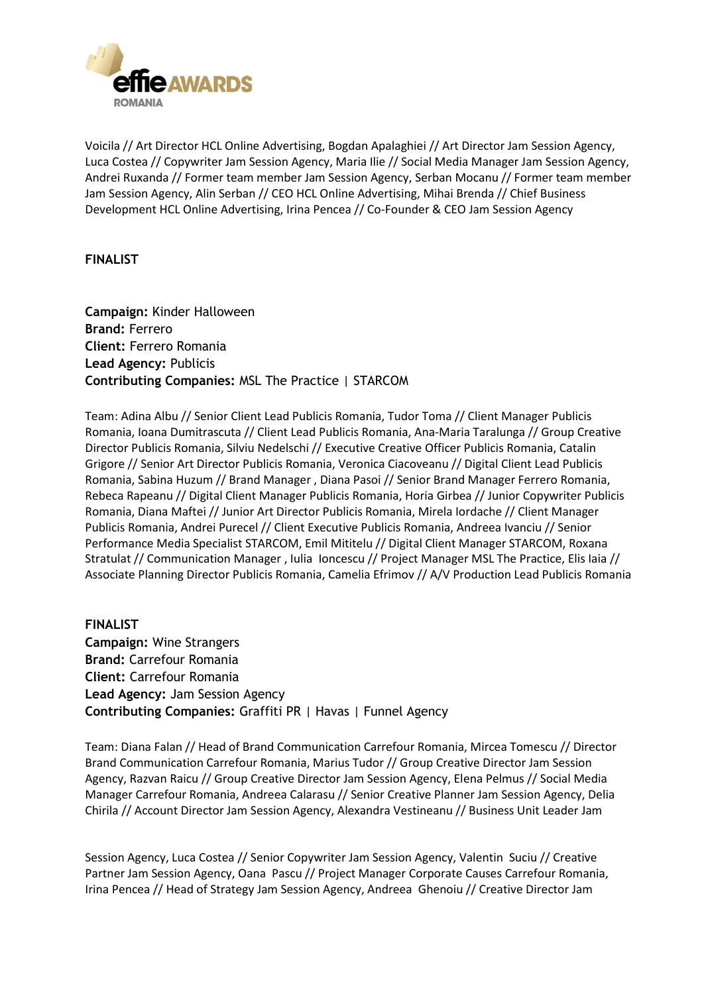

Voicila // Art Director HCL Online Advertising, Bogdan Apalaghiei // Art Director Jam Session Agency, Luca Costea // Copywriter Jam Session Agency, Maria Ilie // Social Media Manager Jam Session Agency, Andrei Ruxanda // Former team member Jam Session Agency, Serban Mocanu // Former team member Jam Session Agency, Alin Serban // CEO HCL Online Advertising, Mihai Brenda // Chief Business Development HCL Online Advertising, Irina Pencea // Co-Founder & CEO Jam Session Agency

**FINALIST**

**Campaign:** Kinder Halloween **Brand:** Ferrero **Client:** Ferrero Romania **Lead Agency:** Publicis **Contributing Companies:** MSL The Practice | STARCOM

Team: Adina Albu // Senior Client Lead Publicis Romania, Tudor Toma // Client Manager Publicis Romania, Ioana Dumitrascuta // Client Lead Publicis Romania, Ana-Maria Taralunga // Group Creative Director Publicis Romania, Silviu Nedelschi // Executive Creative Officer Publicis Romania, Catalin Grigore // Senior Art Director Publicis Romania, Veronica Ciacoveanu // Digital Client Lead Publicis Romania, Sabina Huzum // Brand Manager , Diana Pasoi // Senior Brand Manager Ferrero Romania, Rebeca Rapeanu // Digital Client Manager Publicis Romania, Horia Girbea // Junior Copywriter Publicis Romania, Diana Maftei // Junior Art Director Publicis Romania, Mirela Iordache // Client Manager Publicis Romania, Andrei Purecel // Client Executive Publicis Romania, Andreea Ivanciu // Senior Performance Media Specialist STARCOM, Emil Mititelu // Digital Client Manager STARCOM, Roxana Stratulat // Communication Manager , Iulia Ioncescu // Project Manager MSL The Practice, Elis Iaia // Associate Planning Director Publicis Romania, Camelia Efrimov // A/V Production Lead Publicis Romania

**FINALIST Campaign:** Wine Strangers **Brand:** Carrefour Romania **Client:** Carrefour Romania **Lead Agency:** Jam Session Agency **Contributing Companies:** Graffiti PR | Havas | Funnel Agency

Team: Diana Falan // Head of Brand Communication Carrefour Romania, Mircea Tomescu // Director Brand Communication Carrefour Romania, Marius Tudor // Group Creative Director Jam Session Agency, Razvan Raicu // Group Creative Director Jam Session Agency, Elena Pelmus // Social Media Manager Carrefour Romania, Andreea Calarasu // Senior Creative Planner Jam Session Agency, Delia Chirila // Account Director Jam Session Agency, Alexandra Vestineanu // Business Unit Leader Jam

Session Agency, Luca Costea // Senior Copywriter Jam Session Agency, Valentin Suciu // Creative Partner Jam Session Agency, Oana Pascu // Project Manager Corporate Causes Carrefour Romania, Irina Pencea // Head of Strategy Jam Session Agency, Andreea Ghenoiu // Creative Director Jam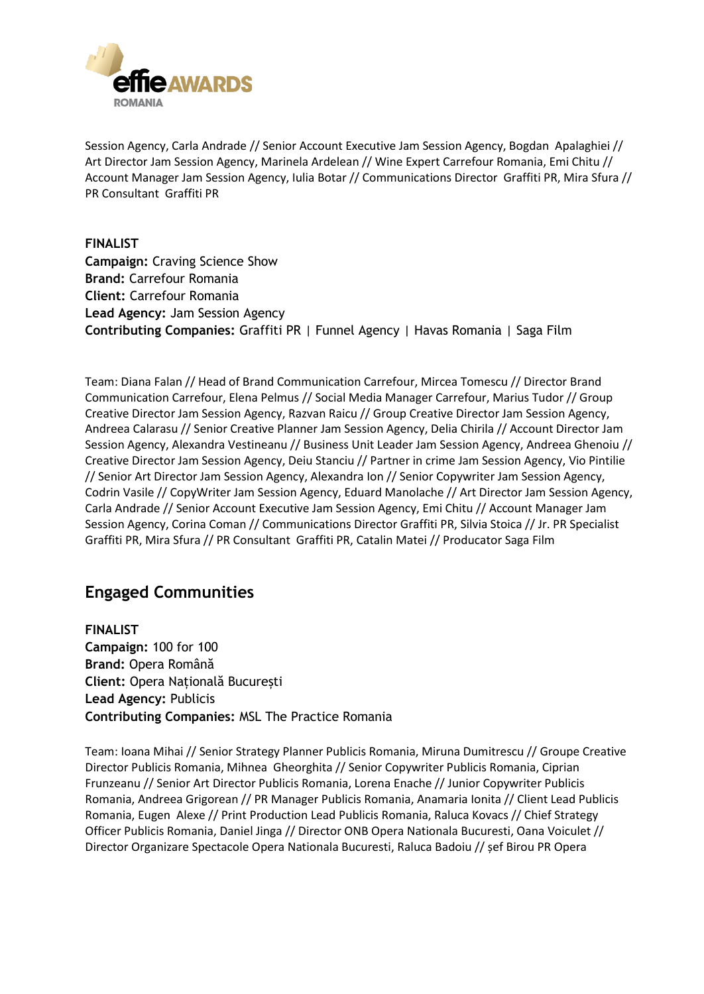

Session Agency, Carla Andrade // Senior Account Executive Jam Session Agency, Bogdan Apalaghiei // Art Director Jam Session Agency, Marinela Ardelean // Wine Expert Carrefour Romania, Emi Chitu // Account Manager Jam Session Agency, Iulia Botar // Communications Director Graffiti PR, Mira Sfura // PR Consultant Graffiti PR

**FINALIST Campaign:** Craving Science Show **Brand:** Carrefour Romania **Client:** Carrefour Romania **Lead Agency:** Jam Session Agency **Contributing Companies:** Graffiti PR | Funnel Agency | Havas Romania | Saga Film

Team: Diana Falan // Head of Brand Communication Carrefour, Mircea Tomescu // Director Brand Communication Carrefour, Elena Pelmus // Social Media Manager Carrefour, Marius Tudor // Group Creative Director Jam Session Agency, Razvan Raicu // Group Creative Director Jam Session Agency, Andreea Calarasu // Senior Creative Planner Jam Session Agency, Delia Chirila // Account Director Jam Session Agency, Alexandra Vestineanu // Business Unit Leader Jam Session Agency, Andreea Ghenoiu // Creative Director Jam Session Agency, Deiu Stanciu // Partner in crime Jam Session Agency, Vio Pintilie // Senior Art Director Jam Session Agency, Alexandra Ion // Senior Copywriter Jam Session Agency, Codrin Vasile // CopyWriter Jam Session Agency, Eduard Manolache // Art Director Jam Session Agency, Carla Andrade // Senior Account Executive Jam Session Agency, Emi Chitu // Account Manager Jam Session Agency, Corina Coman // Communications Director Graffiti PR, Silvia Stoica // Jr. PR Specialist Graffiti PR, Mira Sfura // PR Consultant Graffiti PR, Catalin Matei // Producator Saga Film

### **Engaged Communities**

**FINALIST Campaign:** 100 for 100 **Brand:** Opera Română **Client:** Opera Națională București **Lead Agency:** Publicis **Contributing Companies:** MSL The Practice Romania

Team: Ioana Mihai // Senior Strategy Planner Publicis Romania, Miruna Dumitrescu // Groupe Creative Director Publicis Romania, Mihnea Gheorghita // Senior Copywriter Publicis Romania, Ciprian Frunzeanu // Senior Art Director Publicis Romania, Lorena Enache // Junior Copywriter Publicis Romania, Andreea Grigorean // PR Manager Publicis Romania, Anamaria Ionita // Client Lead Publicis Romania, Eugen Alexe // Print Production Lead Publicis Romania, Raluca Kovacs // Chief Strategy Officer Publicis Romania, Daniel Jinga // Director ONB Opera Nationala Bucuresti, Oana Voiculet // Director Organizare Spectacole Opera Nationala Bucuresti, Raluca Badoiu // șef Birou PR Opera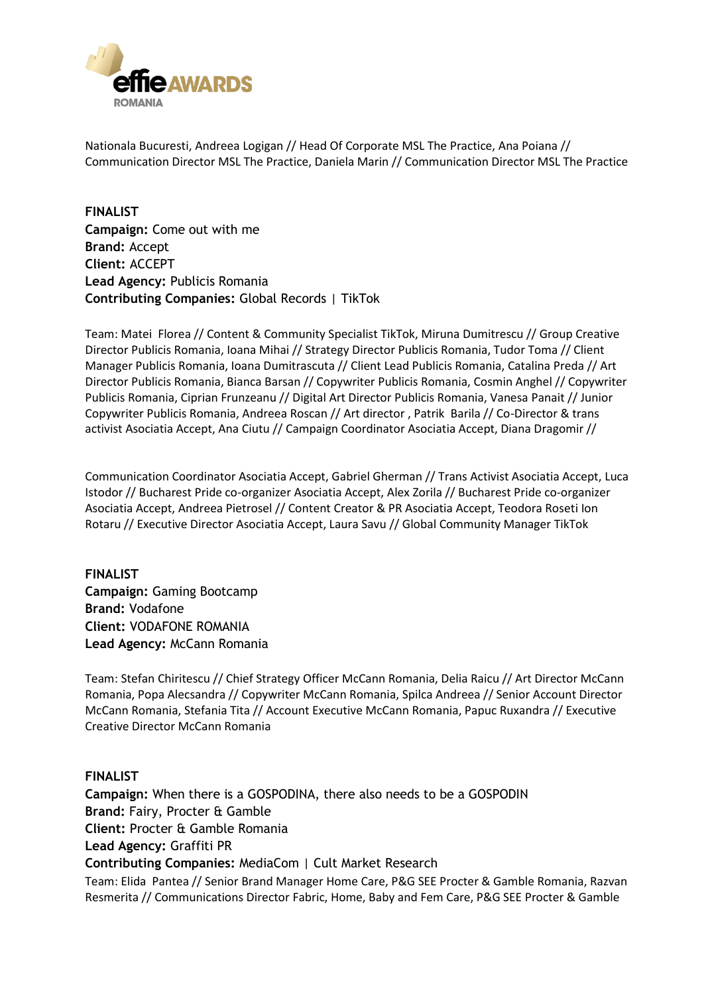

Nationala Bucuresti, Andreea Logigan // Head Of Corporate MSL The Practice, Ana Poiana // Communication Director MSL The Practice, Daniela Marin // Communication Director MSL The Practice

**FINALIST Campaign:** Come out with me **Brand:** Accept **Client:** ACCEPT **Lead Agency:** Publicis Romania **Contributing Companies:** Global Records | TikTok

Team: Matei Florea // Content & Community Specialist TikTok, Miruna Dumitrescu // Group Creative Director Publicis Romania, Ioana Mihai // Strategy Director Publicis Romania, Tudor Toma // Client Manager Publicis Romania, Ioana Dumitrascuta // Client Lead Publicis Romania, Catalina Preda // Art Director Publicis Romania, Bianca Barsan // Copywriter Publicis Romania, Cosmin Anghel // Copywriter Publicis Romania, Ciprian Frunzeanu // Digital Art Director Publicis Romania, Vanesa Panait // Junior Copywriter Publicis Romania, Andreea Roscan // Art director , Patrik Barila // Co-Director & trans activist Asociatia Accept, Ana Ciutu // Campaign Coordinator Asociatia Accept, Diana Dragomir //

Communication Coordinator Asociatia Accept, Gabriel Gherman // Trans Activist Asociatia Accept, Luca Istodor // Bucharest Pride co-organizer Asociatia Accept, Alex Zorila // Bucharest Pride co-organizer Asociatia Accept, Andreea Pietrosel // Content Creator & PR Asociatia Accept, Teodora Roseti Ion Rotaru // Executive Director Asociatia Accept, Laura Savu // Global Community Manager TikTok

**FINALIST Campaign:** Gaming Bootcamp **Brand:** Vodafone **Client:** VODAFONE ROMANIA **Lead Agency:** McCann Romania

Team: Stefan Chiritescu // Chief Strategy Officer McCann Romania, Delia Raicu // Art Director McCann Romania, Popa Alecsandra // Copywriter McCann Romania, Spilca Andreea // Senior Account Director McCann Romania, Stefania Tita // Account Executive McCann Romania, Papuc Ruxandra // Executive Creative Director McCann Romania

#### **FINALIST**

**Campaign:** When there is a GOSPODINA, there also needs to be a GOSPODIN **Brand:** Fairy, Procter & Gamble **Client:** Procter & Gamble Romania **Lead Agency:** Graffiti PR **Contributing Companies:** MediaCom | Cult Market Research Team: Elida Pantea // Senior Brand Manager Home Care, P&G SEE Procter & Gamble Romania, Razvan Resmerita // Communications Director Fabric, Home, Baby and Fem Care, P&G SEE Procter & Gamble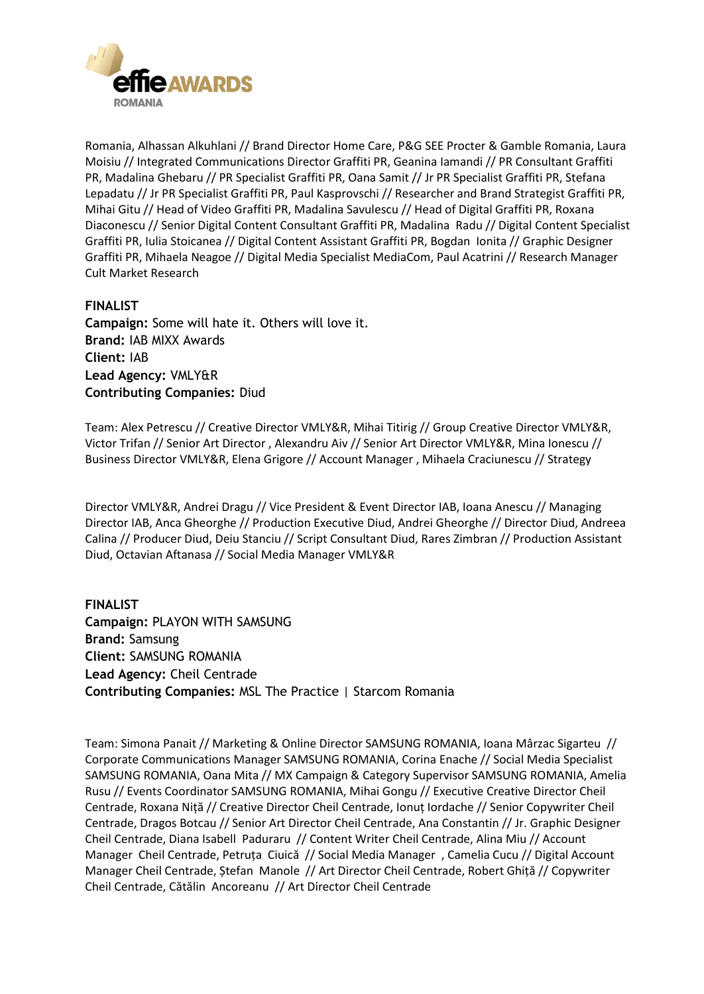

Romania, Alhassan Alkuhlani // Brand Director Home Care, P&G SEE Procter & Gamble Romania, Laura Moisiu // Integrated Communications Director Graffiti PR, Geanina Iamandi // PR Consultant Graffiti PR, Madalina Ghebaru // PR Specialist Graffiti PR, Oana Samit // Jr PR Specialist Graffiti PR, Stefana Lepadatu // Jr PR Specialist Graffiti PR, Paul Kasprovschi // Researcher and Brand Strategist Graffiti PR, Mihai Gitu // Head of Video Graffiti PR, Madalina Savulescu // Head of Digital Graffiti PR, Roxana Diaconescu // Senior Digital Content Consultant Graffiti PR, Madalina Radu // Digital Content Specialist Graffiti PR, Iulia Stoicanea // Digital Content Assistant Graffiti PR, Bogdan Ionita // Graphic Designer Graffiti PR, Mihaela Neagoe // Digital Media Specialist MediaCom, Paul Acatrini // Research Manager Cult Market Research

#### **FINALIST**

**Campaign:** Some will hate it. Others will love it. **Brand:** IAB MIXX Awards **Client:** IAB **Lead Agency:** VMLY&R **Contributing Companies:** Diud

Team: Alex Petrescu // Creative Director VMLY&R, Mihai Titirig // Group Creative Director VMLY&R, Victor Trifan // Senior Art Director , Alexandru Aiv // Senior Art Director VMLY&R, Mina Ionescu // Business Director VMLY&R, Elena Grigore // Account Manager , Mihaela Craciunescu // Strategy

Director VMLY&R, Andrei Dragu // Vice President & Event Director IAB, Ioana Anescu // Managing Director IAB, Anca Gheorghe // Production Executive Diud, Andrei Gheorghe // Director Diud, Andreea Calina // Producer Diud, Deiu Stanciu // Script Consultant Diud, Rares Zimbran // Production Assistant Diud, Octavian Aftanasa // Social Media Manager VMLY&R

**FINALIST Campaign:** PLAYON WITH SAMSUNG **Brand:** Samsung **Client:** SAMSUNG ROMANIA **Lead Agency:** Cheil Centrade **Contributing Companies:** MSL The Practice | Starcom Romania

Team: Simona Panait // Marketing & Online Director SAMSUNG ROMANIA, Ioana Mârzac Sigarteu // Corporate Communications Manager SAMSUNG ROMANIA, Corina Enache // Social Media Specialist SAMSUNG ROMANIA, Oana Mita // MX Campaign & Category Supervisor SAMSUNG ROMANIA, Amelia Rusu // Events Coordinator SAMSUNG ROMANIA, Mihai Gongu // Executive Creative Director Cheil Centrade, Roxana Niță // Creative Director Cheil Centrade, Ionuț Iordache // Senior Copywriter Cheil Centrade, Dragos Botcau // Senior Art Director Cheil Centrade, Ana Constantin // Jr. Graphic Designer Cheil Centrade, Diana Isabell Paduraru // Content Writer Cheil Centrade, Alina Miu // Account Manager Cheil Centrade, Petruța Ciuică // Social Media Manager , Camelia Cucu // Digital Account Manager Cheil Centrade, Ștefan Manole // Art Director Cheil Centrade, Robert Ghiță // Copywriter Cheil Centrade, Cătălin Ancoreanu // Art Director Cheil Centrade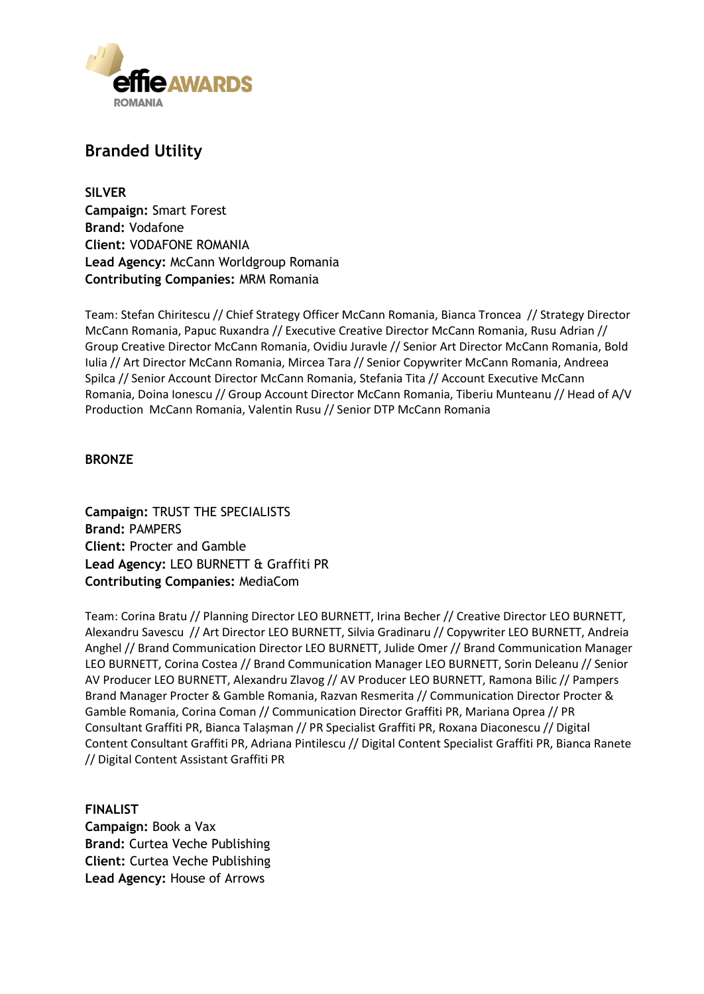

### **Branded Utility**

**SILVER Campaign:** Smart Forest **Brand:** Vodafone **Client:** VODAFONE ROMANIA **Lead Agency:** McCann Worldgroup Romania **Contributing Companies:** MRM Romania

Team: Stefan Chiritescu // Chief Strategy Officer McCann Romania, Bianca Troncea // Strategy Director McCann Romania, Papuc Ruxandra // Executive Creative Director McCann Romania, Rusu Adrian // Group Creative Director McCann Romania, Ovidiu Juravle // Senior Art Director McCann Romania, Bold Iulia // Art Director McCann Romania, Mircea Tara // Senior Copywriter McCann Romania, Andreea Spilca // Senior Account Director McCann Romania, Stefania Tita // Account Executive McCann Romania, Doina Ionescu // Group Account Director McCann Romania, Tiberiu Munteanu // Head of A/V Production McCann Romania, Valentin Rusu // Senior DTP McCann Romania

#### **BRONZE**

**Campaign:** TRUST THE SPECIALISTS **Brand:** PAMPERS **Client:** Procter and Gamble **Lead Agency:** LEO BURNETT & Graffiti PR **Contributing Companies:** MediaCom

Team: Corina Bratu // Planning Director LEO BURNETT, Irina Becher // Creative Director LEO BURNETT, Alexandru Savescu // Art Director LEO BURNETT, Silvia Gradinaru // Copywriter LEO BURNETT, Andreia Anghel // Brand Communication Director LEO BURNETT, Julide Omer // Brand Communication Manager LEO BURNETT, Corina Costea // Brand Communication Manager LEO BURNETT, Sorin Deleanu // Senior AV Producer LEO BURNETT, Alexandru Zlavog // AV Producer LEO BURNETT, Ramona Bilic // Pampers Brand Manager Procter & Gamble Romania, Razvan Resmerita // Communication Director Procter & Gamble Romania, Corina Coman // Communication Director Graffiti PR, Mariana Oprea // PR Consultant Graffiti PR, Bianca Talașman // PR Specialist Graffiti PR, Roxana Diaconescu // Digital Content Consultant Graffiti PR, Adriana Pintilescu // Digital Content Specialist Graffiti PR, Bianca Ranete // Digital Content Assistant Graffiti PR

**FINALIST Campaign:** Book a Vax **Brand:** Curtea Veche Publishing **Client:** Curtea Veche Publishing **Lead Agency:** House of Arrows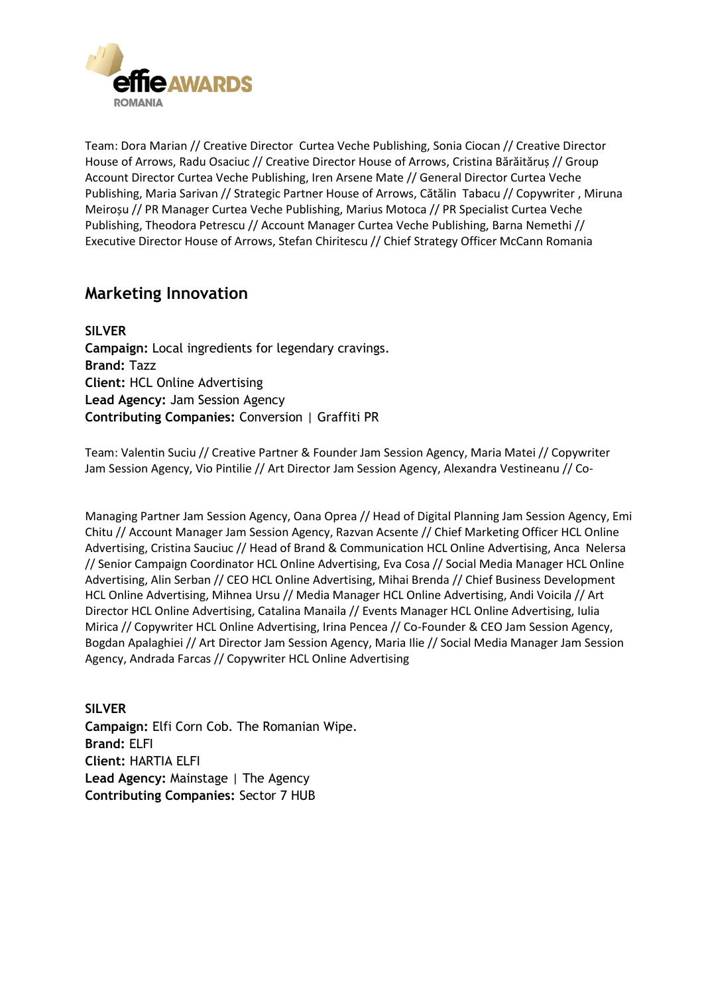

Team: Dora Marian // Creative Director Curtea Veche Publishing, Sonia Ciocan // Creative Director House of Arrows, Radu Osaciuc // Creative Director House of Arrows, Cristina Bărăităruș // Group Account Director Curtea Veche Publishing, Iren Arsene Mate // General Director Curtea Veche Publishing, Maria Sarivan // Strategic Partner House of Arrows, Cătălin Tabacu // Copywriter , Miruna Meiroșu // PR Manager Curtea Veche Publishing, Marius Motoca // PR Specialist Curtea Veche Publishing, Theodora Petrescu // Account Manager Curtea Veche Publishing, Barna Nemethi // Executive Director House of Arrows, Stefan Chiritescu // Chief Strategy Officer McCann Romania

### **Marketing Innovation**

**SILVER Campaign:** Local ingredients for legendary cravings. **Brand:** Tazz **Client:** HCL Online Advertising **Lead Agency:** Jam Session Agency **Contributing Companies:** Conversion | Graffiti PR

Team: Valentin Suciu // Creative Partner & Founder Jam Session Agency, Maria Matei // Copywriter Jam Session Agency, Vio Pintilie // Art Director Jam Session Agency, Alexandra Vestineanu // Co-

Managing Partner Jam Session Agency, Oana Oprea // Head of Digital Planning Jam Session Agency, Emi Chitu // Account Manager Jam Session Agency, Razvan Acsente // Chief Marketing Officer HCL Online Advertising, Cristina Sauciuc // Head of Brand & Communication HCL Online Advertising, Anca Nelersa // Senior Campaign Coordinator HCL Online Advertising, Eva Cosa // Social Media Manager HCL Online Advertising, Alin Serban // CEO HCL Online Advertising, Mihai Brenda // Chief Business Development HCL Online Advertising, Mihnea Ursu // Media Manager HCL Online Advertising, Andi Voicila // Art Director HCL Online Advertising, Catalina Manaila // Events Manager HCL Online Advertising, Iulia Mirica // Copywriter HCL Online Advertising, Irina Pencea // Co-Founder & CEO Jam Session Agency, Bogdan Apalaghiei // Art Director Jam Session Agency, Maria Ilie // Social Media Manager Jam Session Agency, Andrada Farcas // Copywriter HCL Online Advertising

**SILVER Campaign:** Elfi Corn Cob. The Romanian Wipe. **Brand:** ELFI **Client:** HARTIA ELFI **Lead Agency:** Mainstage | The Agency **Contributing Companies:** Sector 7 HUB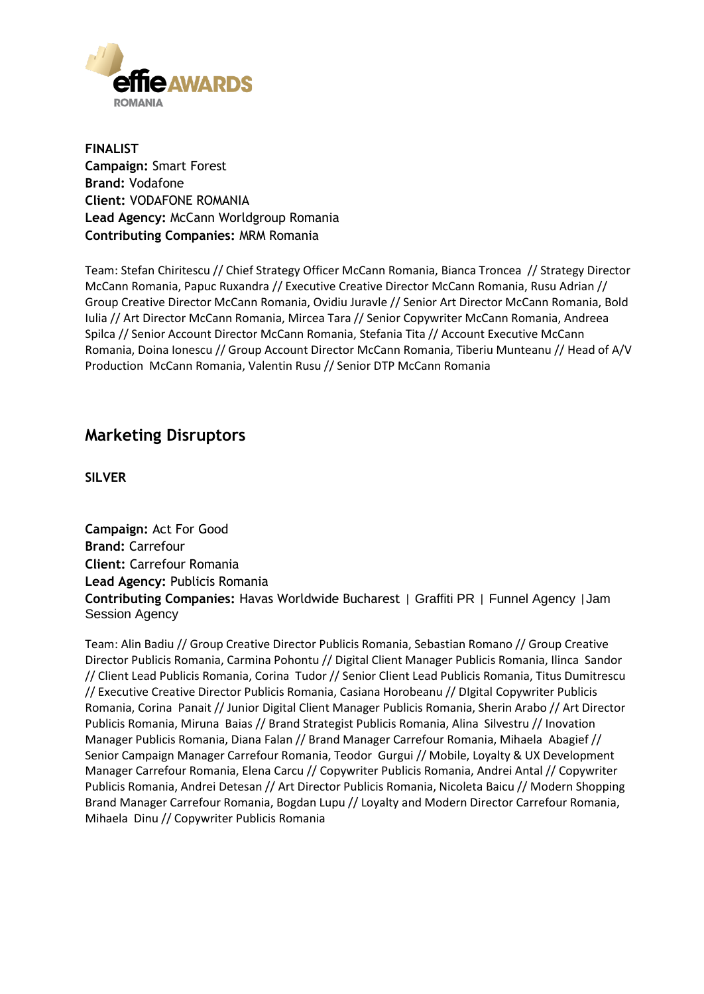

**FINALIST Campaign:** Smart Forest **Brand:** Vodafone **Client:** VODAFONE ROMANIA **Lead Agency:** McCann Worldgroup Romania **Contributing Companies:** MRM Romania

Team: Stefan Chiritescu // Chief Strategy Officer McCann Romania, Bianca Troncea // Strategy Director McCann Romania, Papuc Ruxandra // Executive Creative Director McCann Romania, Rusu Adrian // Group Creative Director McCann Romania, Ovidiu Juravle // Senior Art Director McCann Romania, Bold Iulia // Art Director McCann Romania, Mircea Tara // Senior Copywriter McCann Romania, Andreea Spilca // Senior Account Director McCann Romania, Stefania Tita // Account Executive McCann Romania, Doina Ionescu // Group Account Director McCann Romania, Tiberiu Munteanu // Head of A/V Production McCann Romania, Valentin Rusu // Senior DTP McCann Romania

### **Marketing Disruptors**

**SILVER**

**Campaign:** Act For Good **Brand:** Carrefour **Client:** Carrefour Romania **Lead Agency:** Publicis Romania **Contributing Companies:** Havas Worldwide Bucharest | Graffiti PR | Funnel Agency |Jam Session Agency

Team: Alin Badiu // Group Creative Director Publicis Romania, Sebastian Romano // Group Creative Director Publicis Romania, Carmina Pohontu // Digital Client Manager Publicis Romania, Ilinca Sandor // Client Lead Publicis Romania, Corina Tudor // Senior Client Lead Publicis Romania, Titus Dumitrescu // Executive Creative Director Publicis Romania, Casiana Horobeanu // DIgital Copywriter Publicis Romania, Corina Panait // Junior Digital Client Manager Publicis Romania, Sherin Arabo // Art Director Publicis Romania, Miruna Baias // Brand Strategist Publicis Romania, Alina Silvestru // Inovation Manager Publicis Romania, Diana Falan // Brand Manager Carrefour Romania, Mihaela Abagief // Senior Campaign Manager Carrefour Romania, Teodor Gurgui // Mobile, Loyalty & UX Development Manager Carrefour Romania, Elena Carcu // Copywriter Publicis Romania, Andrei Antal // Copywriter Publicis Romania, Andrei Detesan // Art Director Publicis Romania, Nicoleta Baicu // Modern Shopping Brand Manager Carrefour Romania, Bogdan Lupu // Loyalty and Modern Director Carrefour Romania, Mihaela Dinu // Copywriter Publicis Romania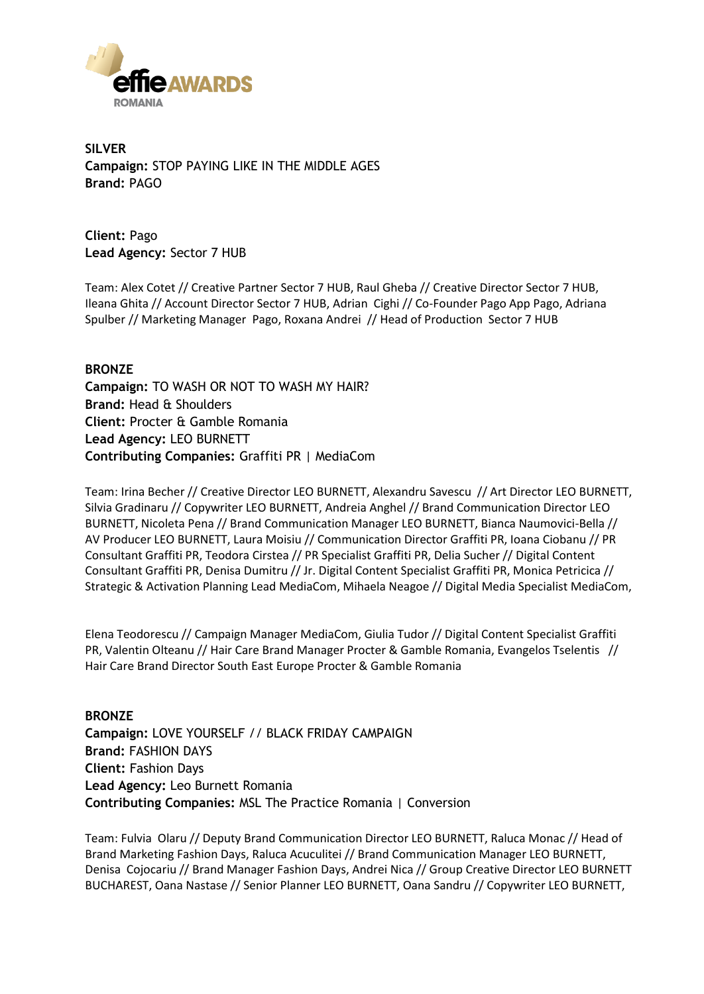

**SILVER Campaign:** STOP PAYING LIKE IN THE MIDDLE AGES **Brand:** PAGO

**Client:** Pago **Lead Agency:** Sector 7 HUB

Team: Alex Cotet // Creative Partner Sector 7 HUB, Raul Gheba // Creative Director Sector 7 HUB, Ileana Ghita // Account Director Sector 7 HUB, Adrian Cighi // Co-Founder Pago App Pago, Adriana Spulber // Marketing Manager Pago, Roxana Andrei // Head of Production Sector 7 HUB

**BRONZE Campaign:** TO WASH OR NOT TO WASH MY HAIR? **Brand:** Head & Shoulders **Client:** Procter & Gamble Romania **Lead Agency:** LEO BURNETT **Contributing Companies:** Graffiti PR | MediaCom

Team: Irina Becher // Creative Director LEO BURNETT, Alexandru Savescu // Art Director LEO BURNETT, Silvia Gradinaru // Copywriter LEO BURNETT, Andreia Anghel // Brand Communication Director LEO BURNETT, Nicoleta Pena // Brand Communication Manager LEO BURNETT, Bianca Naumovici-Bella // AV Producer LEO BURNETT, Laura Moisiu // Communication Director Graffiti PR, Ioana Ciobanu // PR Consultant Graffiti PR, Teodora Cirstea // PR Specialist Graffiti PR, Delia Sucher // Digital Content Consultant Graffiti PR, Denisa Dumitru // Jr. Digital Content Specialist Graffiti PR, Monica Petricica // Strategic & Activation Planning Lead MediaCom, Mihaela Neagoe // Digital Media Specialist MediaCom,

Elena Teodorescu // Campaign Manager MediaCom, Giulia Tudor // Digital Content Specialist Graffiti PR, Valentin Olteanu // Hair Care Brand Manager Procter & Gamble Romania, Evangelos Tselentis // Hair Care Brand Director South East Europe Procter & Gamble Romania

**BRONZE Campaign:** LOVE YOURSELF // BLACK FRIDAY CAMPAIGN **Brand:** FASHION DAYS **Client:** Fashion Days **Lead Agency:** Leo Burnett Romania **Contributing Companies:** MSL The Practice Romania | Conversion

Team: Fulvia Olaru // Deputy Brand Communication Director LEO BURNETT, Raluca Monac // Head of Brand Marketing Fashion Days, Raluca Acuculitei // Brand Communication Manager LEO BURNETT, Denisa Cojocariu // Brand Manager Fashion Days, Andrei Nica // Group Creative Director LEO BURNETT BUCHAREST, Oana Nastase // Senior Planner LEO BURNETT, Oana Sandru // Copywriter LEO BURNETT,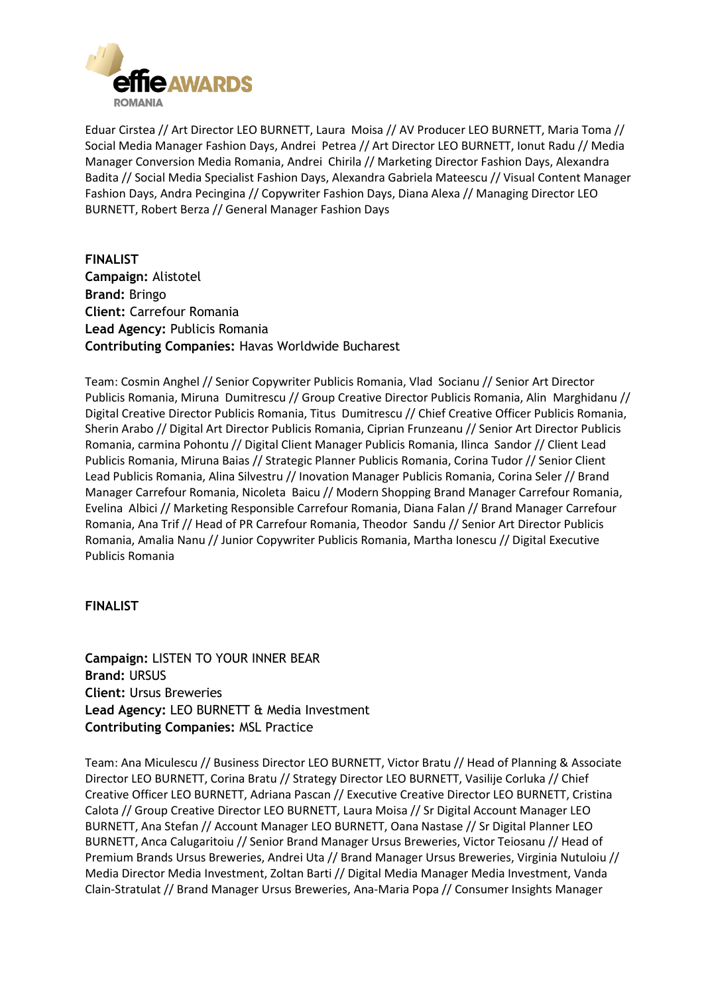

Eduar Cirstea // Art Director LEO BURNETT, Laura Moisa // AV Producer LEO BURNETT, Maria Toma // Social Media Manager Fashion Days, Andrei Petrea // Art Director LEO BURNETT, Ionut Radu // Media Manager Conversion Media Romania, Andrei Chirila // Marketing Director Fashion Days, Alexandra Badita // Social Media Specialist Fashion Days, Alexandra Gabriela Mateescu // Visual Content Manager Fashion Days, Andra Pecingina // Copywriter Fashion Days, Diana Alexa // Managing Director LEO BURNETT, Robert Berza // General Manager Fashion Days

**FINALIST Campaign:** Alistotel **Brand:** Bringo **Client:** Carrefour Romania **Lead Agency:** Publicis Romania **Contributing Companies:** Havas Worldwide Bucharest

Team: Cosmin Anghel // Senior Copywriter Publicis Romania, Vlad Socianu // Senior Art Director Publicis Romania, Miruna Dumitrescu // Group Creative Director Publicis Romania, Alin Marghidanu // Digital Creative Director Publicis Romania, Titus Dumitrescu // Chief Creative Officer Publicis Romania, Sherin Arabo // Digital Art Director Publicis Romania, Ciprian Frunzeanu // Senior Art Director Publicis Romania, carmina Pohontu // Digital Client Manager Publicis Romania, Ilinca Sandor // Client Lead Publicis Romania, Miruna Baias // Strategic Planner Publicis Romania, Corina Tudor // Senior Client Lead Publicis Romania, Alina Silvestru // Inovation Manager Publicis Romania, Corina Seler // Brand Manager Carrefour Romania, Nicoleta Baicu // Modern Shopping Brand Manager Carrefour Romania, Evelina Albici // Marketing Responsible Carrefour Romania, Diana Falan // Brand Manager Carrefour Romania, Ana Trif // Head of PR Carrefour Romania, Theodor Sandu // Senior Art Director Publicis Romania, Amalia Nanu // Junior Copywriter Publicis Romania, Martha Ionescu // Digital Executive Publicis Romania

#### **FINALIST**

**Campaign:** LISTEN TO YOUR INNER BEAR **Brand:** URSUS **Client:** Ursus Breweries **Lead Agency:** LEO BURNETT & Media Investment **Contributing Companies:** MSL Practice

Team: Ana Miculescu // Business Director LEO BURNETT, Victor Bratu // Head of Planning & Associate Director LEO BURNETT, Corina Bratu // Strategy Director LEO BURNETT, Vasilije Corluka // Chief Creative Officer LEO BURNETT, Adriana Pascan // Executive Creative Director LEO BURNETT, Cristina Calota // Group Creative Director LEO BURNETT, Laura Moisa // Sr Digital Account Manager LEO BURNETT, Ana Stefan // Account Manager LEO BURNETT, Oana Nastase // Sr Digital Planner LEO BURNETT, Anca Calugaritoiu // Senior Brand Manager Ursus Breweries, Victor Teiosanu // Head of Premium Brands Ursus Breweries, Andrei Uta // Brand Manager Ursus Breweries, Virginia Nutuloiu // Media Director Media Investment, Zoltan Barti // Digital Media Manager Media Investment, Vanda Clain-Stratulat // Brand Manager Ursus Breweries, Ana-Maria Popa // Consumer Insights Manager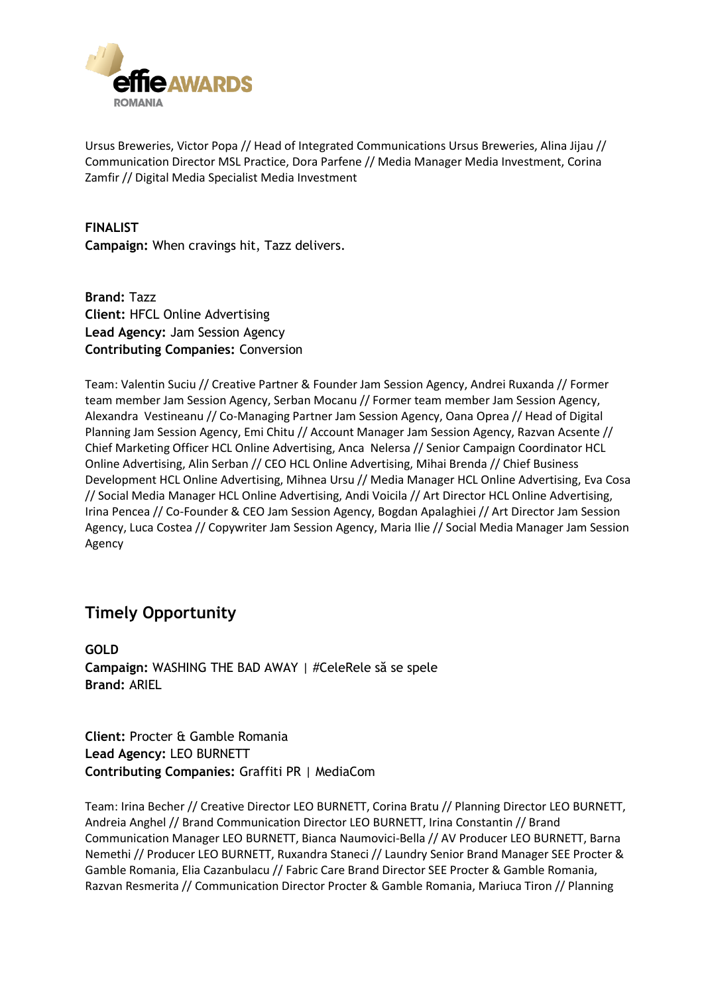

Ursus Breweries, Victor Popa // Head of Integrated Communications Ursus Breweries, Alina Jijau // Communication Director MSL Practice, Dora Parfene // Media Manager Media Investment, Corina Zamfir // Digital Media Specialist Media Investment

**FINALIST Campaign:** When cravings hit, Tazz delivers.

**Brand:** Tazz **Client:** HFCL Online Advertising **Lead Agency:** Jam Session Agency **Contributing Companies:** Conversion

Team: Valentin Suciu // Creative Partner & Founder Jam Session Agency, Andrei Ruxanda // Former team member Jam Session Agency, Serban Mocanu // Former team member Jam Session Agency, Alexandra Vestineanu // Co-Managing Partner Jam Session Agency, Oana Oprea // Head of Digital Planning Jam Session Agency, Emi Chitu // Account Manager Jam Session Agency, Razvan Acsente // Chief Marketing Officer HCL Online Advertising, Anca Nelersa // Senior Campaign Coordinator HCL Online Advertising, Alin Serban // CEO HCL Online Advertising, Mihai Brenda // Chief Business Development HCL Online Advertising, Mihnea Ursu // Media Manager HCL Online Advertising, Eva Cosa // Social Media Manager HCL Online Advertising, Andi Voicila // Art Director HCL Online Advertising, Irina Pencea // Co-Founder & CEO Jam Session Agency, Bogdan Apalaghiei // Art Director Jam Session Agency, Luca Costea // Copywriter Jam Session Agency, Maria Ilie // Social Media Manager Jam Session Agency

### **Timely Opportunity**

**GOLD Campaign:** WASHING THE BAD AWAY | #CeleRele să se spele **Brand:** ARIEL

**Client:** Procter & Gamble Romania **Lead Agency:** LEO BURNETT **Contributing Companies:** Graffiti PR | MediaCom

Team: Irina Becher // Creative Director LEO BURNETT, Corina Bratu // Planning Director LEO BURNETT, Andreia Anghel // Brand Communication Director LEO BURNETT, Irina Constantin // Brand Communication Manager LEO BURNETT, Bianca Naumovici-Bella // AV Producer LEO BURNETT, Barna Nemethi // Producer LEO BURNETT, Ruxandra Staneci // Laundry Senior Brand Manager SEE Procter & Gamble Romania, Elia Cazanbulacu // Fabric Care Brand Director SEE Procter & Gamble Romania, Razvan Resmerita // Communication Director Procter & Gamble Romania, Mariuca Tiron // Planning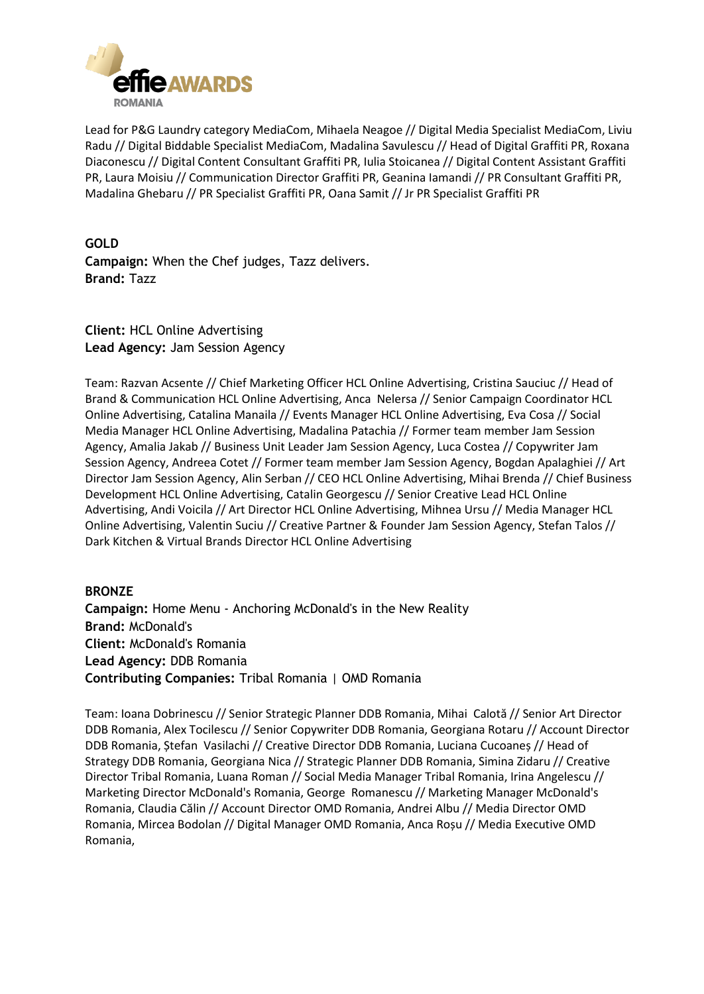

Lead for P&G Laundry category MediaCom, Mihaela Neagoe // Digital Media Specialist MediaCom, Liviu Radu // Digital Biddable Specialist MediaCom, Madalina Savulescu // Head of Digital Graffiti PR, Roxana Diaconescu // Digital Content Consultant Graffiti PR, Iulia Stoicanea // Digital Content Assistant Graffiti PR, Laura Moisiu // Communication Director Graffiti PR, Geanina Iamandi // PR Consultant Graffiti PR, Madalina Ghebaru // PR Specialist Graffiti PR, Oana Samit // Jr PR Specialist Graffiti PR

**GOLD Campaign:** When the Chef judges, Tazz delivers. **Brand:** Tazz

**Client:** HCL Online Advertising **Lead Agency:** Jam Session Agency

Team: Razvan Acsente // Chief Marketing Officer HCL Online Advertising, Cristina Sauciuc // Head of Brand & Communication HCL Online Advertising, Anca Nelersa // Senior Campaign Coordinator HCL Online Advertising, Catalina Manaila // Events Manager HCL Online Advertising, Eva Cosa // Social Media Manager HCL Online Advertising, Madalina Patachia // Former team member Jam Session Agency, Amalia Jakab // Business Unit Leader Jam Session Agency, Luca Costea // Copywriter Jam Session Agency, Andreea Cotet // Former team member Jam Session Agency, Bogdan Apalaghiei // Art Director Jam Session Agency, Alin Serban // CEO HCL Online Advertising, Mihai Brenda // Chief Business Development HCL Online Advertising, Catalin Georgescu // Senior Creative Lead HCL Online Advertising, Andi Voicila // Art Director HCL Online Advertising, Mihnea Ursu // Media Manager HCL Online Advertising, Valentin Suciu // Creative Partner & Founder Jam Session Agency, Stefan Talos // Dark Kitchen & Virtual Brands Director HCL Online Advertising

#### **BRONZE**

**Campaign:** Home Menu - Anchoring McDonald's in the New Reality **Brand:** McDonald's **Client:** McDonald's Romania **Lead Agency:** DDB Romania **Contributing Companies:** Tribal Romania | OMD Romania

Team: Ioana Dobrinescu // Senior Strategic Planner DDB Romania, Mihai Calotă // Senior Art Director DDB Romania, Alex Tocilescu // Senior Copywriter DDB Romania, Georgiana Rotaru // Account Director DDB Romania, Ștefan Vasilachi // Creative Director DDB Romania, Luciana Cucoaneș // Head of Strategy DDB Romania, Georgiana Nica // Strategic Planner DDB Romania, Simina Zidaru // Creative Director Tribal Romania, Luana Roman // Social Media Manager Tribal Romania, Irina Angelescu // Marketing Director McDonald's Romania, George Romanescu // Marketing Manager McDonald's Romania, Claudia Călin // Account Director OMD Romania, Andrei Albu // Media Director OMD Romania, Mircea Bodolan // Digital Manager OMD Romania, Anca Roșu // Media Executive OMD Romania,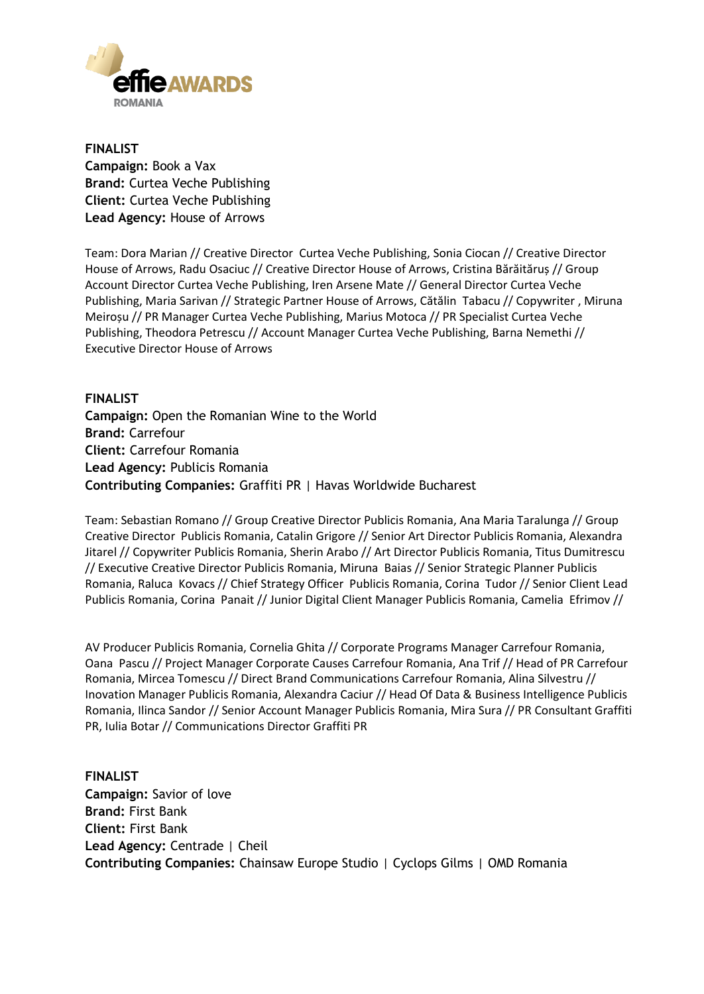

**FINALIST Campaign:** Book a Vax **Brand:** Curtea Veche Publishing **Client:** Curtea Veche Publishing **Lead Agency:** House of Arrows

Team: Dora Marian // Creative Director Curtea Veche Publishing, Sonia Ciocan // Creative Director House of Arrows, Radu Osaciuc // Creative Director House of Arrows, Cristina Bărăităruș // Group Account Director Curtea Veche Publishing, Iren Arsene Mate // General Director Curtea Veche Publishing, Maria Sarivan // Strategic Partner House of Arrows, Cătălin Tabacu // Copywriter , Miruna Meiroșu // PR Manager Curtea Veche Publishing, Marius Motoca // PR Specialist Curtea Veche Publishing, Theodora Petrescu // Account Manager Curtea Veche Publishing, Barna Nemethi // Executive Director House of Arrows

**FINALIST Campaign:** Open the Romanian Wine to the World **Brand:** Carrefour **Client:** Carrefour Romania **Lead Agency:** Publicis Romania **Contributing Companies:** Graffiti PR | Havas Worldwide Bucharest

Team: Sebastian Romano // Group Creative Director Publicis Romania, Ana Maria Taralunga // Group Creative Director Publicis Romania, Catalin Grigore // Senior Art Director Publicis Romania, Alexandra Jitarel // Copywriter Publicis Romania, Sherin Arabo // Art Director Publicis Romania, Titus Dumitrescu // Executive Creative Director Publicis Romania, Miruna Baias // Senior Strategic Planner Publicis Romania, Raluca Kovacs // Chief Strategy Officer Publicis Romania, Corina Tudor // Senior Client Lead Publicis Romania, Corina Panait // Junior Digital Client Manager Publicis Romania, Camelia Efrimov //

AV Producer Publicis Romania, Cornelia Ghita // Corporate Programs Manager Carrefour Romania, Oana Pascu // Project Manager Corporate Causes Carrefour Romania, Ana Trif // Head of PR Carrefour Romania, Mircea Tomescu // Direct Brand Communications Carrefour Romania, Alina Silvestru // Inovation Manager Publicis Romania, Alexandra Caciur // Head Of Data & Business Intelligence Publicis Romania, Ilinca Sandor // Senior Account Manager Publicis Romania, Mira Sura // PR Consultant Graffiti PR, Iulia Botar // Communications Director Graffiti PR

**FINALIST Campaign:** Savior of love **Brand:** First Bank **Client:** First Bank **Lead Agency:** Centrade | Cheil **Contributing Companies:** Chainsaw Europe Studio | Cyclops Gilms | OMD Romania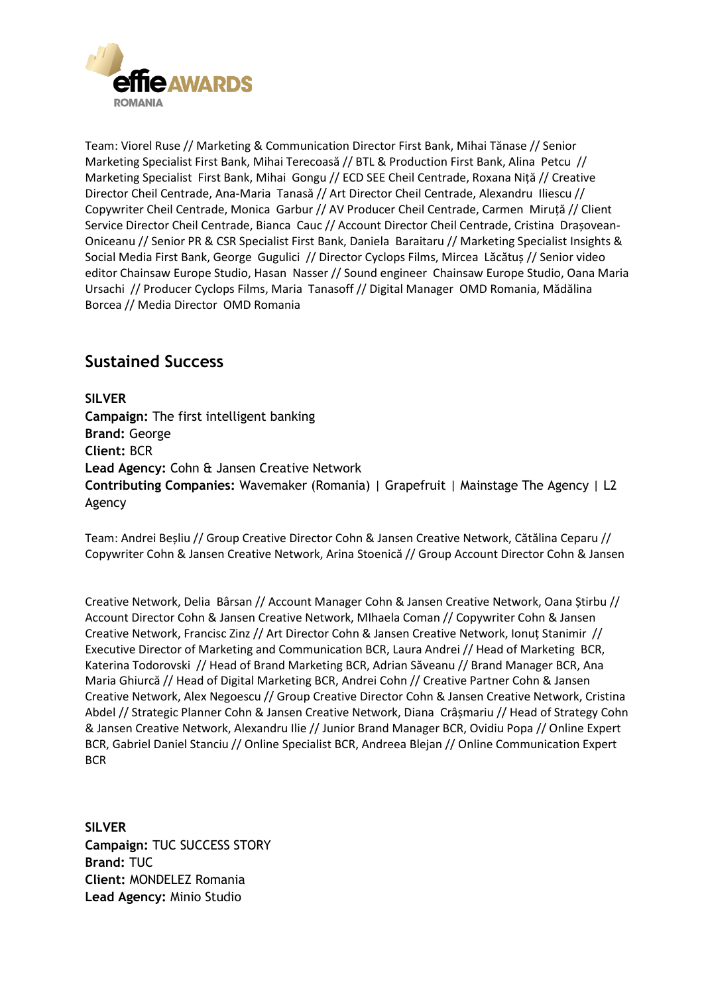

Team: Viorel Ruse // Marketing & Communication Director First Bank, Mihai Tănase // Senior Marketing Specialist First Bank, Mihai Terecoasă // BTL & Production First Bank, Alina Petcu // Marketing Specialist First Bank, Mihai Gongu // ECD SEE Cheil Centrade, Roxana Niță // Creative Director Cheil Centrade, Ana-Maria Tanasă // Art Director Cheil Centrade, Alexandru Iliescu // Copywriter Cheil Centrade, Monica Garbur // AV Producer Cheil Centrade, Carmen Miruță // Client Service Director Cheil Centrade, Bianca Cauc // Account Director Cheil Centrade, Cristina Drașovean-Oniceanu // Senior PR & CSR Specialist First Bank, Daniela Baraitaru // Marketing Specialist Insights & Social Media First Bank, George Gugulici // Director Cyclops Films, Mircea Lăcătuș // Senior video editor Chainsaw Europe Studio, Hasan Nasser // Sound engineer Chainsaw Europe Studio, Oana Maria Ursachi // Producer Cyclops Films, Maria Tanasoff // Digital Manager OMD Romania, Mădălina Borcea // Media Director OMD Romania

### **Sustained Success**

**SILVER Campaign:** The first intelligent banking **Brand:** George **Client:** BCR **Lead Agency:** Cohn & Jansen Creative Network **Contributing Companies:** Wavemaker (Romania) | Grapefruit | Mainstage The Agency | L2 Agency

Team: Andrei Beșliu // Group Creative Director Cohn & Jansen Creative Network, Cătălina Ceparu // Copywriter Cohn & Jansen Creative Network, Arina Stoenică // Group Account Director Cohn & Jansen

Creative Network, Delia Bârsan // Account Manager Cohn & Jansen Creative Network, Oana Știrbu // Account Director Cohn & Jansen Creative Network, MIhaela Coman // Copywriter Cohn & Jansen Creative Network, Francisc Zinz // Art Director Cohn & Jansen Creative Network, Ionuț Stanimir // Executive Director of Marketing and Communication BCR, Laura Andrei // Head of Marketing BCR, Katerina Todorovski // Head of Brand Marketing BCR, Adrian Săveanu // Brand Manager BCR, Ana Maria Ghiurcă // Head of Digital Marketing BCR, Andrei Cohn // Creative Partner Cohn & Jansen Creative Network, Alex Negoescu // Group Creative Director Cohn & Jansen Creative Network, Cristina Abdel // Strategic Planner Cohn & Jansen Creative Network, Diana Crâșmariu // Head of Strategy Cohn & Jansen Creative Network, Alexandru Ilie // Junior Brand Manager BCR, Ovidiu Popa // Online Expert BCR, Gabriel Daniel Stanciu // Online Specialist BCR, Andreea Blejan // Online Communication Expert BCR

**SILVER Campaign:** TUC SUCCESS STORY **Brand:** TUC **Client:** MONDELEZ Romania **Lead Agency:** Minio Studio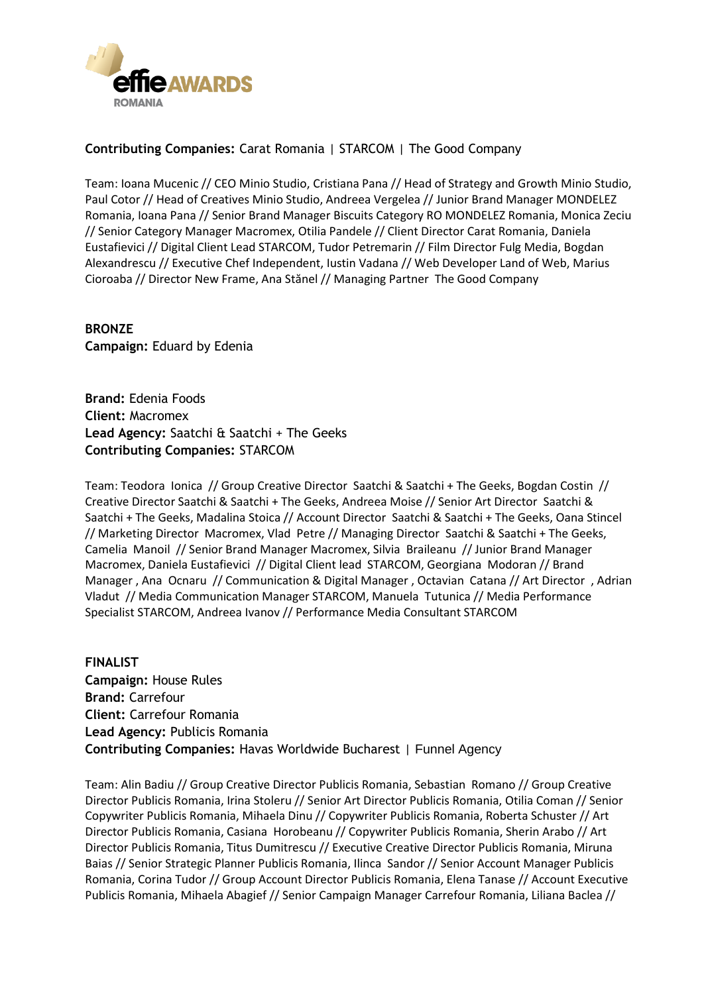

#### **Contributing Companies:** Carat Romania | STARCOM | The Good Company

Team: Ioana Mucenic // CEO Minio Studio, Cristiana Pana // Head of Strategy and Growth Minio Studio, Paul Cotor // Head of Creatives Minio Studio, Andreea Vergelea // Junior Brand Manager MONDELEZ Romania, Ioana Pana // Senior Brand Manager Biscuits Category RO MONDELEZ Romania, Monica Zeciu // Senior Category Manager Macromex, Otilia Pandele // Client Director Carat Romania, Daniela Eustafievici // Digital Client Lead STARCOM, Tudor Petremarin // Film Director Fulg Media, Bogdan Alexandrescu // Executive Chef Independent, Iustin Vadana // Web Developer Land of Web, Marius Cioroaba // Director New Frame, Ana Stănel // Managing Partner The Good Company

**BRONZE Campaign:** Eduard by Edenia

**Brand:** Edenia Foods **Client:** Macromex **Lead Agency:** Saatchi & Saatchi + The Geeks **Contributing Companies:** STARCOM

Team: Teodora Ionica // Group Creative Director Saatchi & Saatchi + The Geeks, Bogdan Costin // Creative Director Saatchi & Saatchi + The Geeks, Andreea Moise // Senior Art Director Saatchi & Saatchi + The Geeks, Madalina Stoica // Account Director Saatchi & Saatchi + The Geeks, Oana Stincel // Marketing Director Macromex, Vlad Petre // Managing Director Saatchi & Saatchi + The Geeks, Camelia Manoil // Senior Brand Manager Macromex, Silvia Braileanu // Junior Brand Manager Macromex, Daniela Eustafievici // Digital Client lead STARCOM, Georgiana Modoran // Brand Manager , Ana Ocnaru // Communication & Digital Manager , Octavian Catana // Art Director , Adrian Vladut // Media Communication Manager STARCOM, Manuela Tutunica // Media Performance Specialist STARCOM, Andreea Ivanov // Performance Media Consultant STARCOM

**FINALIST Campaign:** House Rules **Brand:** Carrefour **Client:** Carrefour Romania **Lead Agency:** Publicis Romania **Contributing Companies:** Havas Worldwide Bucharest | Funnel Agency

Team: Alin Badiu // Group Creative Director Publicis Romania, Sebastian Romano // Group Creative Director Publicis Romania, Irina Stoleru // Senior Art Director Publicis Romania, Otilia Coman // Senior Copywriter Publicis Romania, Mihaela Dinu // Copywriter Publicis Romania, Roberta Schuster // Art Director Publicis Romania, Casiana Horobeanu // Copywriter Publicis Romania, Sherin Arabo // Art Director Publicis Romania, Titus Dumitrescu // Executive Creative Director Publicis Romania, Miruna Baias // Senior Strategic Planner Publicis Romania, Ilinca Sandor // Senior Account Manager Publicis Romania, Corina Tudor // Group Account Director Publicis Romania, Elena Tanase // Account Executive Publicis Romania, Mihaela Abagief // Senior Campaign Manager Carrefour Romania, Liliana Baclea //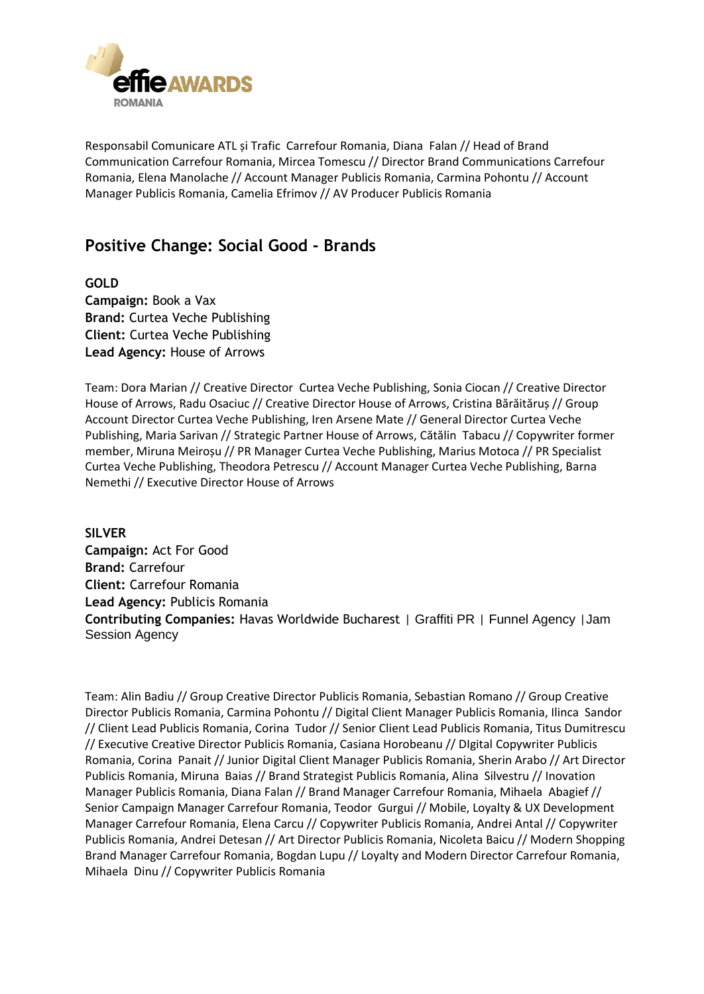

Responsabil Comunicare ATL și Trafic Carrefour Romania, Diana Falan // Head of Brand Communication Carrefour Romania, Mircea Tomescu // Director Brand Communications Carrefour Romania, Elena Manolache // Account Manager Publicis Romania, Carmina Pohontu // Account Manager Publicis Romania, Camelia Efrimov // AV Producer Publicis Romania

### **Positive Change: Social Good - Brands**

**GOLD Campaign:** Book a Vax **Brand:** Curtea Veche Publishing **Client:** Curtea Veche Publishing **Lead Agency:** House of Arrows

Team: Dora Marian // Creative Director Curtea Veche Publishing, Sonia Ciocan // Creative Director House of Arrows, Radu Osaciuc // Creative Director House of Arrows, Cristina Bărăităruș // Group Account Director Curtea Veche Publishing, Iren Arsene Mate // General Director Curtea Veche Publishing, Maria Sarivan // Strategic Partner House of Arrows, Cătălin Tabacu // Copywriter former member, Miruna Meiroșu // PR Manager Curtea Veche Publishing, Marius Motoca // PR Specialist Curtea Veche Publishing, Theodora Petrescu // Account Manager Curtea Veche Publishing, Barna Nemethi // Executive Director House of Arrows

**SILVER Campaign:** Act For Good **Brand:** Carrefour **Client:** Carrefour Romania **Lead Agency:** Publicis Romania **Contributing Companies:** Havas Worldwide Bucharest | Graffiti PR | Funnel Agency |Jam Session Agency

Team: Alin Badiu // Group Creative Director Publicis Romania, Sebastian Romano // Group Creative Director Publicis Romania, Carmina Pohontu // Digital Client Manager Publicis Romania, Ilinca Sandor // Client Lead Publicis Romania, Corina Tudor // Senior Client Lead Publicis Romania, Titus Dumitrescu // Executive Creative Director Publicis Romania, Casiana Horobeanu // DIgital Copywriter Publicis Romania, Corina Panait // Junior Digital Client Manager Publicis Romania, Sherin Arabo // Art Director Publicis Romania, Miruna Baias // Brand Strategist Publicis Romania, Alina Silvestru // Inovation Manager Publicis Romania, Diana Falan // Brand Manager Carrefour Romania, Mihaela Abagief // Senior Campaign Manager Carrefour Romania, Teodor Gurgui // Mobile, Loyalty & UX Development Manager Carrefour Romania, Elena Carcu // Copywriter Publicis Romania, Andrei Antal // Copywriter Publicis Romania, Andrei Detesan // Art Director Publicis Romania, Nicoleta Baicu // Modern Shopping Brand Manager Carrefour Romania, Bogdan Lupu // Loyalty and Modern Director Carrefour Romania, Mihaela Dinu // Copywriter Publicis Romania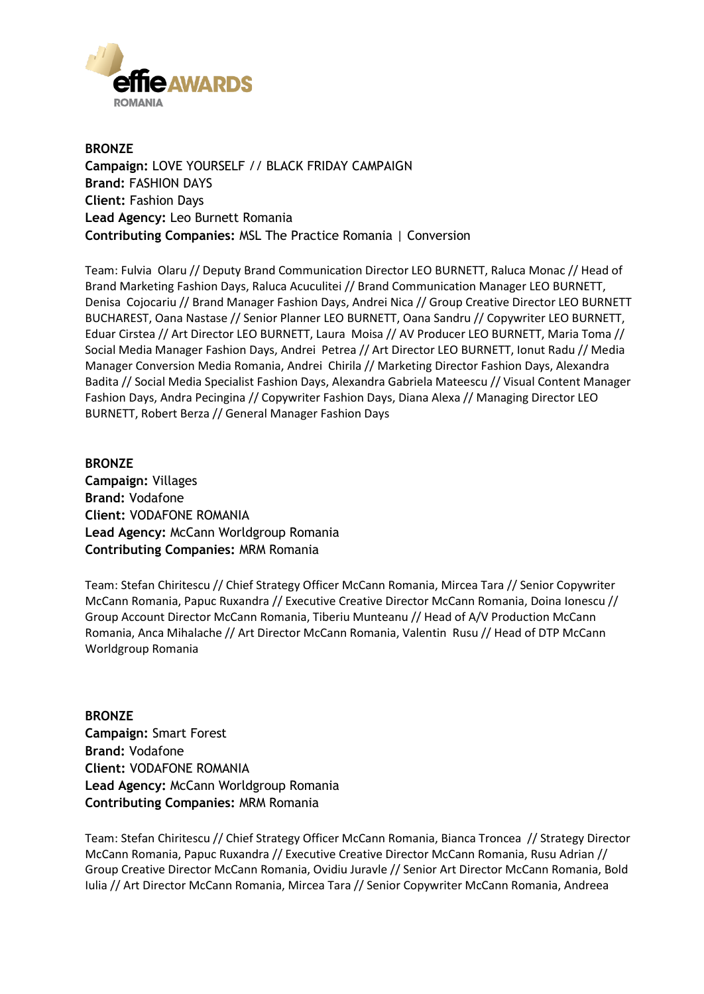

**BRONZE Campaign:** LOVE YOURSELF // BLACK FRIDAY CAMPAIGN **Brand:** FASHION DAYS **Client:** Fashion Days **Lead Agency:** Leo Burnett Romania **Contributing Companies:** MSL The Practice Romania | Conversion

Team: Fulvia Olaru // Deputy Brand Communication Director LEO BURNETT, Raluca Monac // Head of Brand Marketing Fashion Days, Raluca Acuculitei // Brand Communication Manager LEO BURNETT, Denisa Cojocariu // Brand Manager Fashion Days, Andrei Nica // Group Creative Director LEO BURNETT BUCHAREST, Oana Nastase // Senior Planner LEO BURNETT, Oana Sandru // Copywriter LEO BURNETT, Eduar Cirstea // Art Director LEO BURNETT, Laura Moisa // AV Producer LEO BURNETT, Maria Toma // Social Media Manager Fashion Days, Andrei Petrea // Art Director LEO BURNETT, Ionut Radu // Media Manager Conversion Media Romania, Andrei Chirila // Marketing Director Fashion Days, Alexandra Badita // Social Media Specialist Fashion Days, Alexandra Gabriela Mateescu // Visual Content Manager Fashion Days, Andra Pecingina // Copywriter Fashion Days, Diana Alexa // Managing Director LEO BURNETT, Robert Berza // General Manager Fashion Days

**BRONZE Campaign:** Villages **Brand:** Vodafone **Client:** VODAFONE ROMANIA **Lead Agency:** McCann Worldgroup Romania **Contributing Companies:** MRM Romania

Team: Stefan Chiritescu // Chief Strategy Officer McCann Romania, Mircea Tara // Senior Copywriter McCann Romania, Papuc Ruxandra // Executive Creative Director McCann Romania, Doina Ionescu // Group Account Director McCann Romania, Tiberiu Munteanu // Head of A/V Production McCann Romania, Anca Mihalache // Art Director McCann Romania, Valentin Rusu // Head of DTP McCann Worldgroup Romania

**BRONZE Campaign:** Smart Forest **Brand:** Vodafone **Client:** VODAFONE ROMANIA **Lead Agency:** McCann Worldgroup Romania **Contributing Companies:** MRM Romania

Team: Stefan Chiritescu // Chief Strategy Officer McCann Romania, Bianca Troncea // Strategy Director McCann Romania, Papuc Ruxandra // Executive Creative Director McCann Romania, Rusu Adrian // Group Creative Director McCann Romania, Ovidiu Juravle // Senior Art Director McCann Romania, Bold Iulia // Art Director McCann Romania, Mircea Tara // Senior Copywriter McCann Romania, Andreea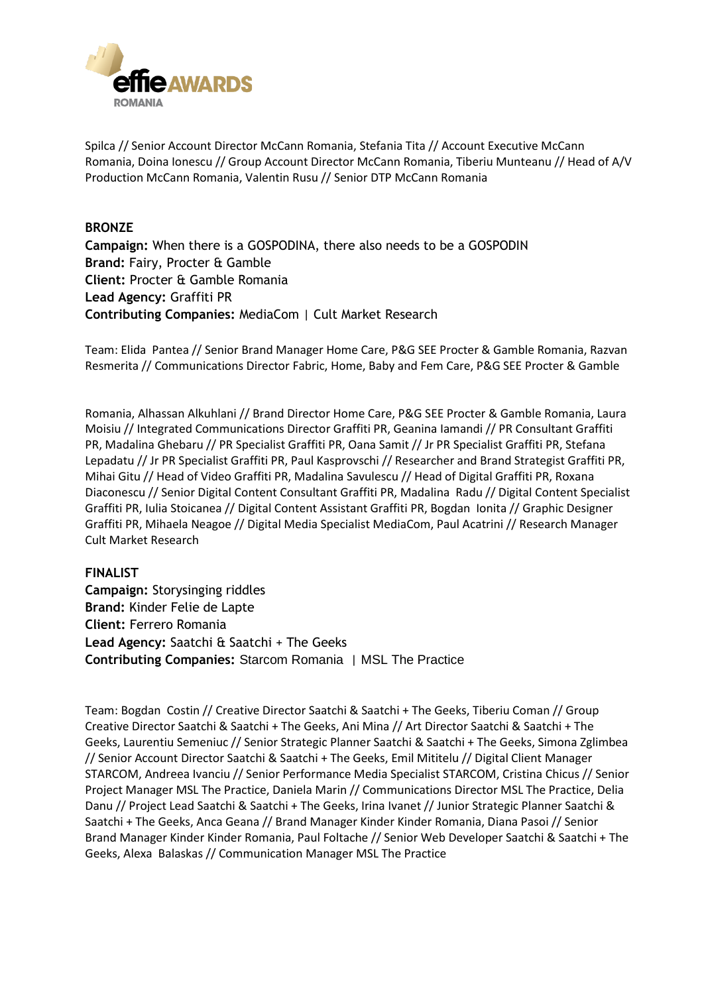

Spilca // Senior Account Director McCann Romania, Stefania Tita // Account Executive McCann Romania, Doina Ionescu // Group Account Director McCann Romania, Tiberiu Munteanu // Head of A/V Production McCann Romania, Valentin Rusu // Senior DTP McCann Romania

#### **BRONZE**

**Campaign:** When there is a GOSPODINA, there also needs to be a GOSPODIN **Brand:** Fairy, Procter & Gamble **Client:** Procter & Gamble Romania **Lead Agency:** Graffiti PR **Contributing Companies:** MediaCom | Cult Market Research

Team: Elida Pantea // Senior Brand Manager Home Care, P&G SEE Procter & Gamble Romania, Razvan Resmerita // Communications Director Fabric, Home, Baby and Fem Care, P&G SEE Procter & Gamble

Romania, Alhassan Alkuhlani // Brand Director Home Care, P&G SEE Procter & Gamble Romania, Laura Moisiu // Integrated Communications Director Graffiti PR, Geanina Iamandi // PR Consultant Graffiti PR, Madalina Ghebaru // PR Specialist Graffiti PR, Oana Samit // Jr PR Specialist Graffiti PR, Stefana Lepadatu // Jr PR Specialist Graffiti PR, Paul Kasprovschi // Researcher and Brand Strategist Graffiti PR, Mihai Gitu // Head of Video Graffiti PR, Madalina Savulescu // Head of Digital Graffiti PR, Roxana Diaconescu // Senior Digital Content Consultant Graffiti PR, Madalina Radu // Digital Content Specialist Graffiti PR, Iulia Stoicanea // Digital Content Assistant Graffiti PR, Bogdan Ionita // Graphic Designer Graffiti PR, Mihaela Neagoe // Digital Media Specialist MediaCom, Paul Acatrini // Research Manager Cult Market Research

#### **FINALIST**

**Campaign:** Storysinging riddles **Brand:** Kinder Felie de Lapte **Client:** Ferrero Romania **Lead Agency:** Saatchi & Saatchi + The Geeks **Contributing Companies:** Starcom Romania | MSL The Practice

Team: Bogdan Costin // Creative Director Saatchi & Saatchi + The Geeks, Tiberiu Coman // Group Creative Director Saatchi & Saatchi + The Geeks, Ani Mina // Art Director Saatchi & Saatchi + The Geeks, Laurentiu Semeniuc // Senior Strategic Planner Saatchi & Saatchi + The Geeks, Simona Zglimbea // Senior Account Director Saatchi & Saatchi + The Geeks, Emil Mititelu // Digital Client Manager STARCOM, Andreea Ivanciu // Senior Performance Media Specialist STARCOM, Cristina Chicus // Senior Project Manager MSL The Practice, Daniela Marin // Communications Director MSL The Practice, Delia Danu // Project Lead Saatchi & Saatchi + The Geeks, Irina Ivanet // Junior Strategic Planner Saatchi & Saatchi + The Geeks, Anca Geana // Brand Manager Kinder Kinder Romania, Diana Pasoi // Senior Brand Manager Kinder Kinder Romania, Paul Foltache // Senior Web Developer Saatchi & Saatchi + The Geeks, Alexa Balaskas // Communication Manager MSL The Practice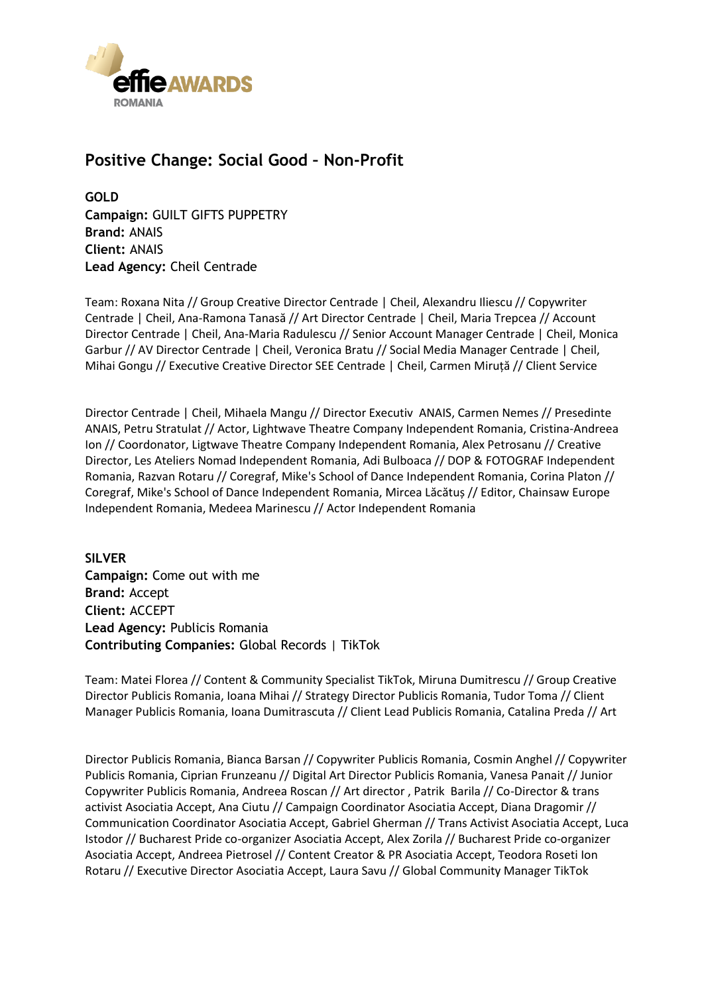

### **Positive Change: Social Good – Non-Profit**

**GOLD Campaign:** GUILT GIFTS PUPPETRY **Brand:** ANAIS **Client:** ANAIS **Lead Agency:** Cheil Centrade

Team: Roxana Nita // Group Creative Director Centrade | Cheil, Alexandru Iliescu // Copywriter Centrade | Cheil, Ana-Ramona Tanasă // Art Director Centrade | Cheil, Maria Trepcea // Account Director Centrade | Cheil, Ana-Maria Radulescu // Senior Account Manager Centrade | Cheil, Monica Garbur // AV Director Centrade | Cheil, Veronica Bratu // Social Media Manager Centrade | Cheil, Mihai Gongu // Executive Creative Director SEE Centrade | Cheil, Carmen Miruță // Client Service

Director Centrade | Cheil, Mihaela Mangu // Director Executiv ANAIS, Carmen Nemes // Presedinte ANAIS, Petru Stratulat // Actor, Lightwave Theatre Company Independent Romania, Cristina-Andreea Ion // Coordonator, Ligtwave Theatre Company Independent Romania, Alex Petrosanu // Creative Director, Les Ateliers Nomad Independent Romania, Adi Bulboaca // DOP & FOTOGRAF Independent Romania, Razvan Rotaru // Coregraf, Mike's School of Dance Independent Romania, Corina Platon // Coregraf, Mike's School of Dance Independent Romania, Mircea Lăcătuș // Editor, Chainsaw Europe Independent Romania, Medeea Marinescu // Actor Independent Romania

**SILVER Campaign:** Come out with me **Brand:** Accept **Client:** ACCEPT **Lead Agency:** Publicis Romania **Contributing Companies:** Global Records | TikTok

Team: Matei Florea // Content & Community Specialist TikTok, Miruna Dumitrescu // Group Creative Director Publicis Romania, Ioana Mihai // Strategy Director Publicis Romania, Tudor Toma // Client Manager Publicis Romania, Ioana Dumitrascuta // Client Lead Publicis Romania, Catalina Preda // Art

Director Publicis Romania, Bianca Barsan // Copywriter Publicis Romania, Cosmin Anghel // Copywriter Publicis Romania, Ciprian Frunzeanu // Digital Art Director Publicis Romania, Vanesa Panait // Junior Copywriter Publicis Romania, Andreea Roscan // Art director , Patrik Barila // Co-Director & trans activist Asociatia Accept, Ana Ciutu // Campaign Coordinator Asociatia Accept, Diana Dragomir // Communication Coordinator Asociatia Accept, Gabriel Gherman // Trans Activist Asociatia Accept, Luca Istodor // Bucharest Pride co-organizer Asociatia Accept, Alex Zorila // Bucharest Pride co-organizer Asociatia Accept, Andreea Pietrosel // Content Creator & PR Asociatia Accept, Teodora Roseti Ion Rotaru // Executive Director Asociatia Accept, Laura Savu // Global Community Manager TikTok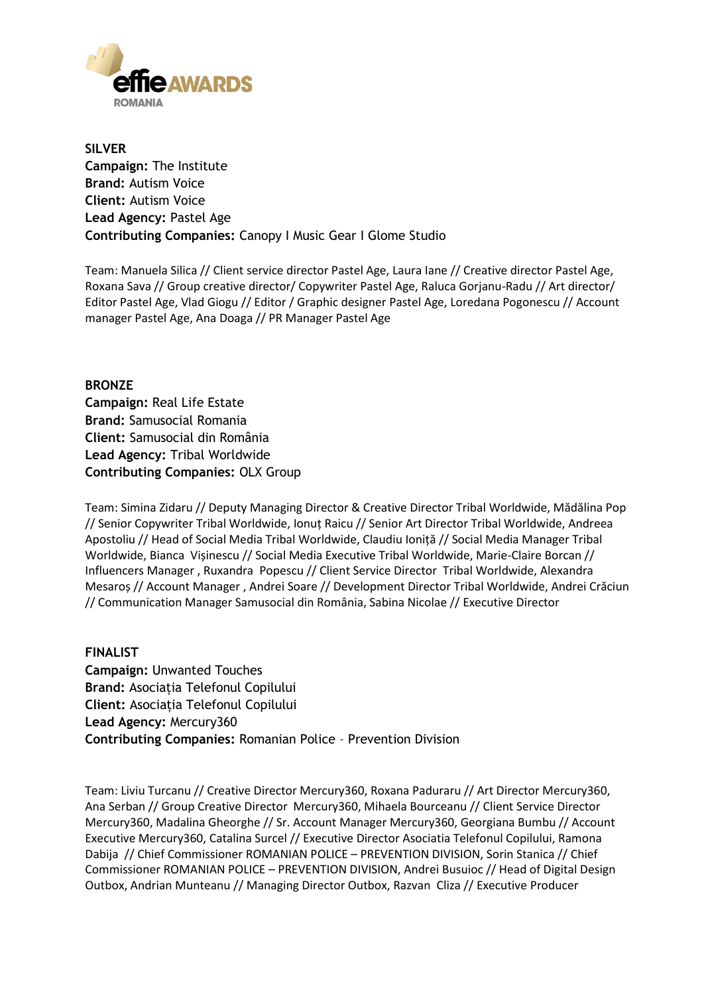

**SILVER Campaign:** The Institute **Brand:** Autism Voice **Client:** Autism Voice **Lead Agency:** Pastel Age **Contributing Companies:** Canopy I Music Gear I Glome Studio

Team: Manuela Silica // Client service director Pastel Age, Laura Iane // Creative director Pastel Age, Roxana Sava // Group creative director/ Copywriter Pastel Age, Raluca Gorjanu-Radu // Art director/ Editor Pastel Age, Vlad Giogu // Editor / Graphic designer Pastel Age, Loredana Pogonescu // Account manager Pastel Age, Ana Doaga // PR Manager Pastel Age

**BRONZE Campaign:** Real Life Estate **Brand:** Samusocial Romania **Client:** Samusocial din România **Lead Agency:** Tribal Worldwide **Contributing Companies:** OLX Group

Team: Simina Zidaru // Deputy Managing Director & Creative Director Tribal Worldwide, Mădălina Pop // Senior Copywriter Tribal Worldwide, Ionuț Raicu // Senior Art Director Tribal Worldwide, Andreea Apostoliu // Head of Social Media Tribal Worldwide, Claudiu Ioniță // Social Media Manager Tribal Worldwide, Bianca Vișinescu // Social Media Executive Tribal Worldwide, Marie-Claire Borcan // Influencers Manager , Ruxandra Popescu // Client Service Director Tribal Worldwide, Alexandra Mesaroș // Account Manager , Andrei Soare // Development Director Tribal Worldwide, Andrei Crăciun // Communication Manager Samusocial din România, Sabina Nicolae // Executive Director

**FINALIST Campaign:** Unwanted Touches **Brand:** Asociația Telefonul Copilului **Client:** Asociația Telefonul Copilului **Lead Agency:** Mercury360 **Contributing Companies:** Romanian Police – Prevention Division

Team: Liviu Turcanu // Creative Director Mercury360, Roxana Paduraru // Art Director Mercury360, Ana Serban // Group Creative Director Mercury360, Mihaela Bourceanu // Client Service Director Mercury360, Madalina Gheorghe // Sr. Account Manager Mercury360, Georgiana Bumbu // Account Executive Mercury360, Catalina Surcel // Executive Director Asociatia Telefonul Copilului, Ramona Dabija // Chief Commissioner ROMANIAN POLICE – PREVENTION DIVISION, Sorin Stanica // Chief Commissioner ROMANIAN POLICE – PREVENTION DIVISION, Andrei Busuioc // Head of Digital Design Outbox, Andrian Munteanu // Managing Director Outbox, Razvan Cliza // Executive Producer